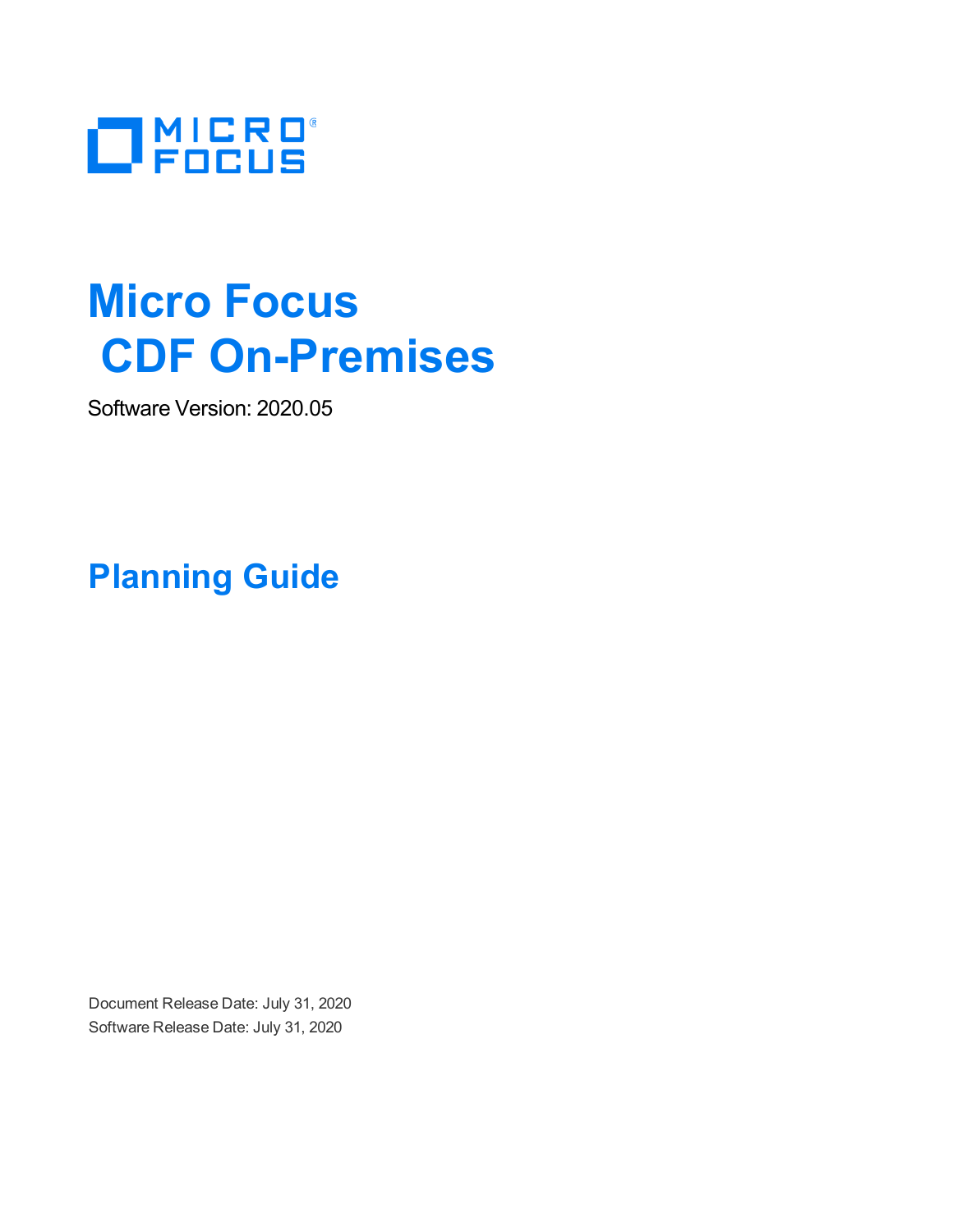

# **Micro Focus CDF On-Premises**

Software Version: 2020.05

**Planning Guide**

Document Release Date: July 31, 2020 Software Release Date: July 31, 2020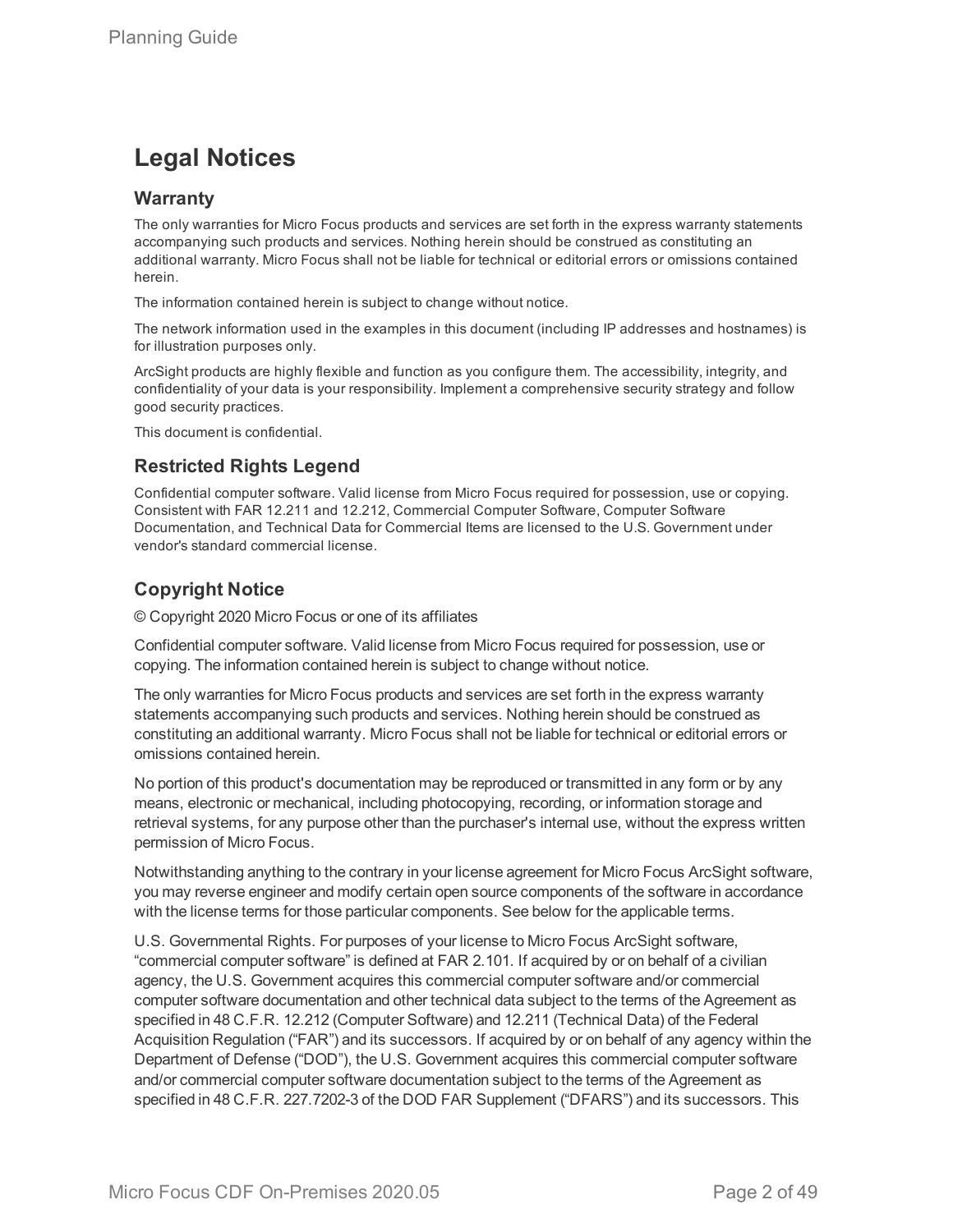### **Legal Notices**

#### **Warranty**

The only warranties for Micro Focus products and services are set forth in the express warranty statements accompanying such products and services. Nothing herein should be construed as constituting an additional warranty. Micro Focus shall not be liable for technical or editorial errors or omissions contained herein.

The information contained herein is subject to change without notice.

The network information used in the examples in this document (including IP addresses and hostnames) is for illustration purposes only.

ArcSight products are highly flexible and function as you configure them. The accessibility, integrity, and confidentiality of your data is your responsibility. Implement a comprehensive security strategy and follow good security practices.

This document is confidential.

#### **Restricted Rights Legend**

Confidential computer software. Valid license from Micro Focus required for possession, use or copying. Consistent with FAR 12.211 and 12.212, Commercial Computer Software, Computer Software Documentation, and Technical Data for Commercial Items are licensed to the U.S. Government under vendor's standard commercial license.

#### **Copyright Notice**

© Copyright 2020 Micro Focus or one of its affiliates

Confidential computer software. Valid license from Micro Focus required for possession, use or copying. The information contained herein is subject to change without notice.

The only warranties for Micro Focus products and services are set forth in the express warranty statements accompanying such products and services. Nothing herein should be construed as constituting an additional warranty. Micro Focus shall not be liable for technical or editorial errors or omissions contained herein.

No portion of this product's documentation may be reproduced or transmitted in any form or by any means, electronic or mechanical, including photocopying, recording, or information storage and retrieval systems, for any purpose other than the purchaser's internal use, without the express written permission of Micro Focus.

Notwithstanding anything to the contrary in your license agreement for Micro Focus ArcSight software, you may reverse engineer and modify certain open source components of the software in accordance with the license terms for those particular components. See below for the applicable terms.

U.S. Governmental Rights. For purposes of your license to Micro Focus ArcSight software, "commercial computer software" is defined at FAR 2.101. If acquired by or on behalf of a civilian agency, the U.S. Government acquires this commercial computer software and/or commercial computer software documentation and other technical data subject to the terms of the Agreement as specified in 48 C.F.R. 12.212 (Computer Software) and 12.211 (Technical Data) of the Federal Acquisition Regulation ("FAR") and its successors. If acquired by or on behalf of any agency within the Department of Defense ("DOD"), the U.S. Government acquires this commercial computer software and/or commercial computer software documentation subject to the terms of the Agreement as specified in 48 C.F.R. 227.7202-3 of the DOD FAR Supplement ("DFARS") and its successors. This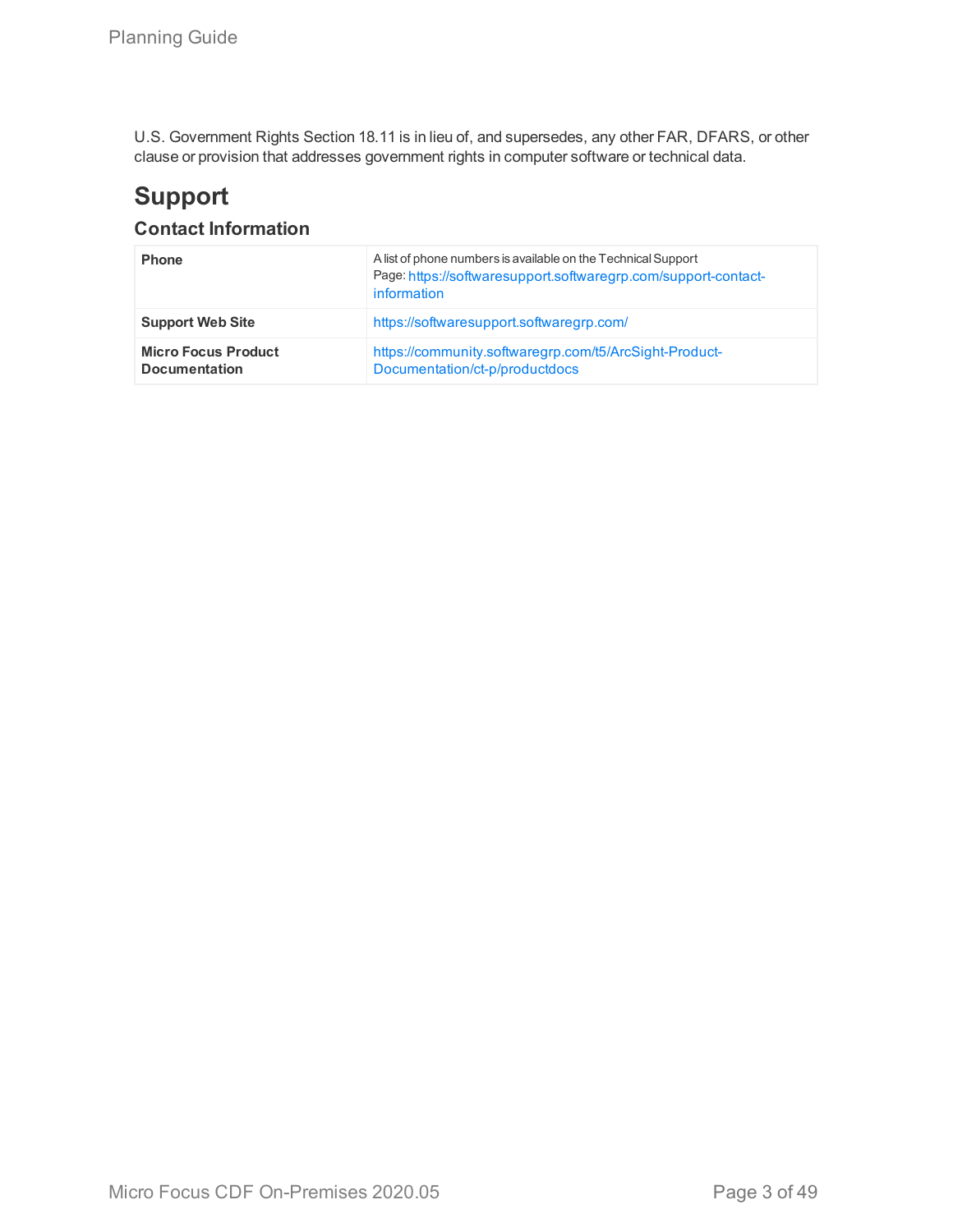U.S. Government Rights Section 18.11 is in lieu of, and supersedes, any other FAR, DFARS, or other clause or provision that addresses government rights in computer software or technical data.

## **Support**

### **Contact Information**

| <b>Phone</b>                                       | A list of phone numbers is available on the Technical Support<br>Page: https://softwaresupport.softwaregrp.com/support-contact-<br>information |
|----------------------------------------------------|------------------------------------------------------------------------------------------------------------------------------------------------|
| <b>Support Web Site</b>                            | https://softwaresupport.softwaregrp.com/                                                                                                       |
| <b>Micro Focus Product</b><br><b>Documentation</b> | https://community.softwaregrp.com/t5/ArcSight-Product-<br>Documentation/ct-p/productdocs                                                       |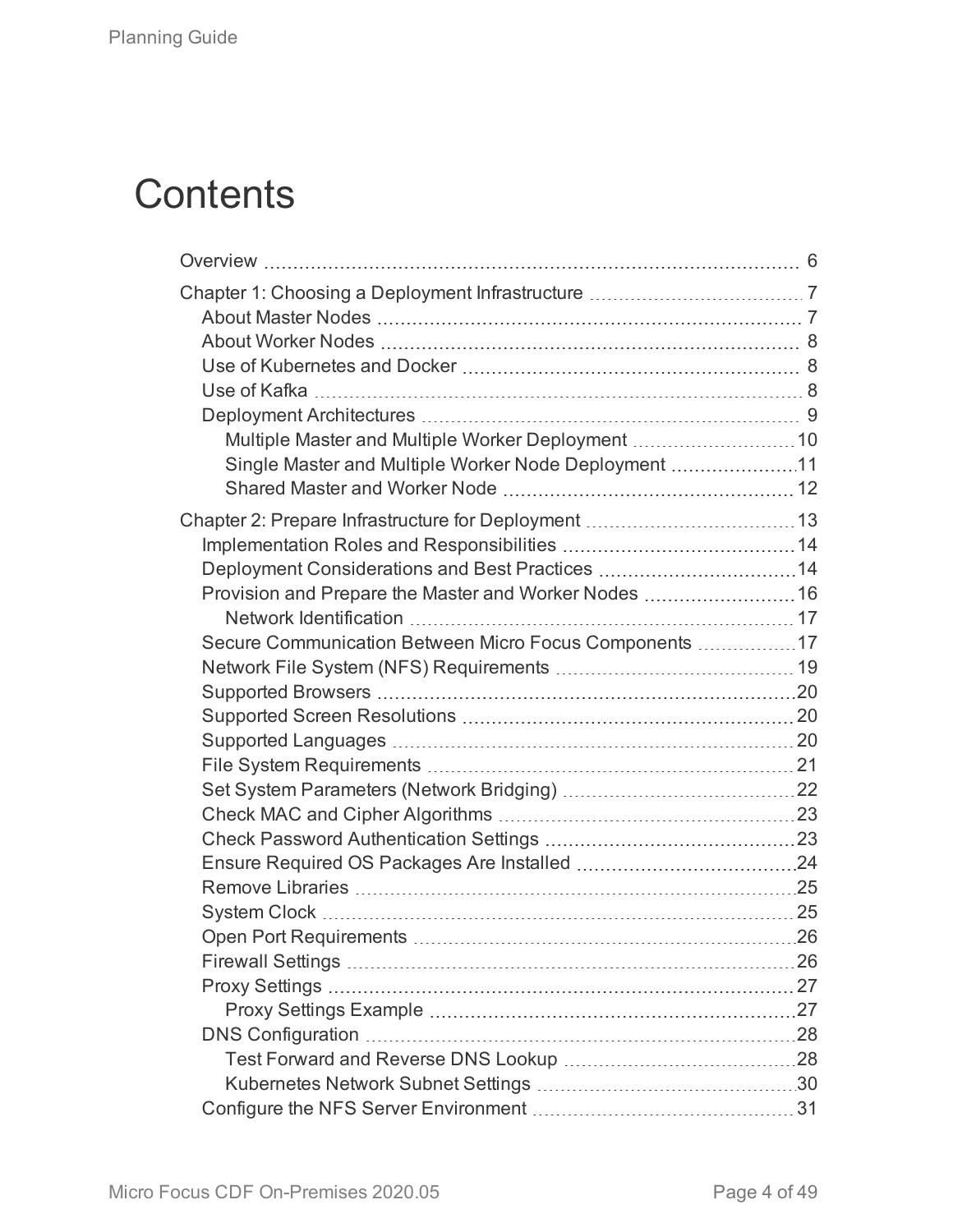# **Contents**

| Multiple Master and Multiple Worker Deployment  10     |  |
|--------------------------------------------------------|--|
| Single Master and Multiple Worker Node Deployment 11   |  |
|                                                        |  |
|                                                        |  |
|                                                        |  |
| Deployment Considerations and Best Practices 14        |  |
| Provision and Prepare the Master and Worker Nodes  16  |  |
|                                                        |  |
| Secure Communication Between Micro Focus Components 17 |  |
|                                                        |  |
|                                                        |  |
|                                                        |  |
|                                                        |  |
|                                                        |  |
|                                                        |  |
|                                                        |  |
|                                                        |  |
|                                                        |  |
|                                                        |  |
|                                                        |  |
|                                                        |  |
|                                                        |  |
|                                                        |  |
|                                                        |  |
|                                                        |  |
|                                                        |  |
|                                                        |  |
|                                                        |  |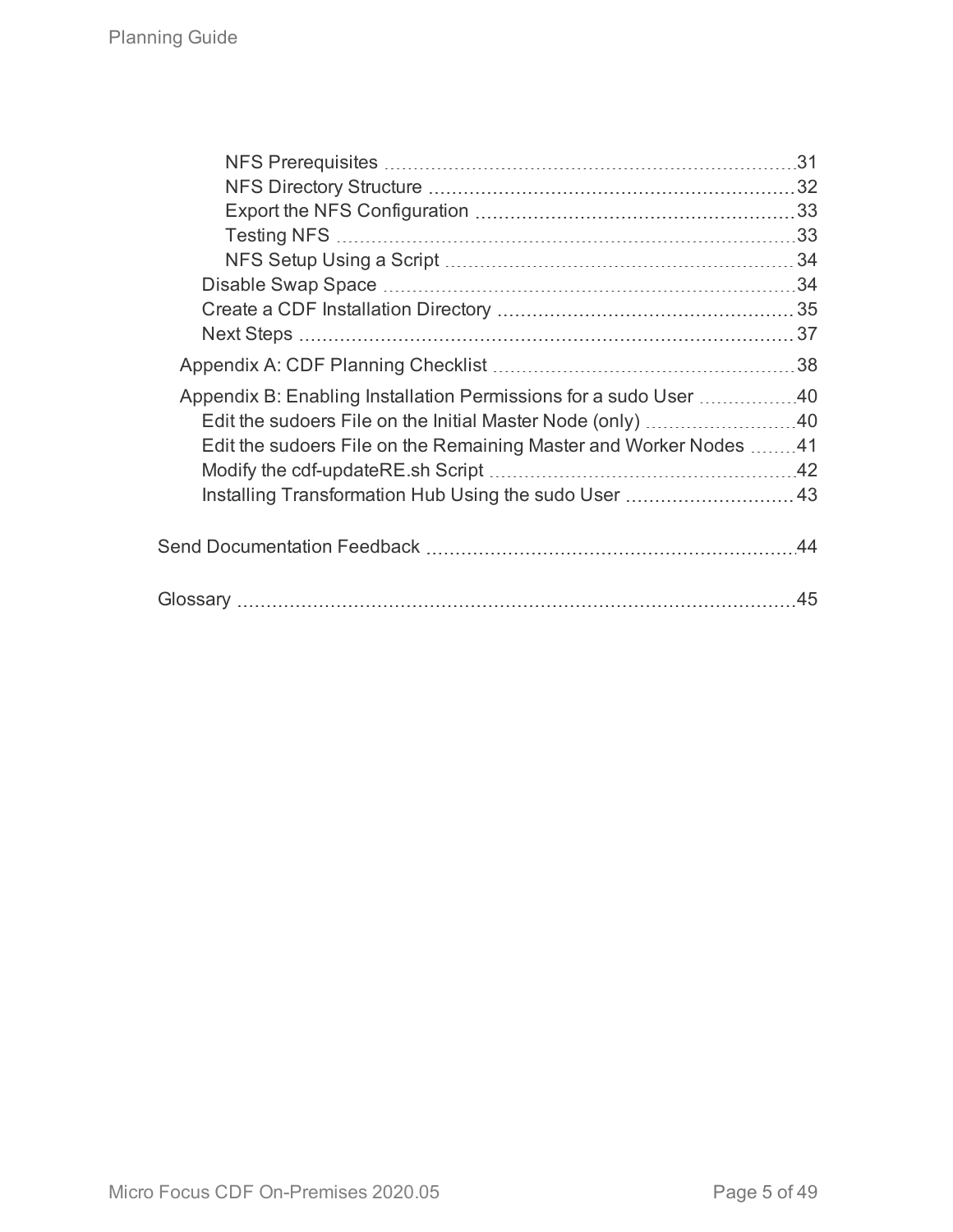|                                                                   | .31 |
|-------------------------------------------------------------------|-----|
|                                                                   |     |
|                                                                   |     |
|                                                                   |     |
|                                                                   |     |
|                                                                   |     |
|                                                                   |     |
|                                                                   |     |
|                                                                   |     |
| Appendix B: Enabling Installation Permissions for a sudo User 40  |     |
| Edit the sudoers File on the Initial Master Node (only) 40        |     |
| Edit the sudoers File on the Remaining Master and Worker Nodes 41 |     |
|                                                                   |     |
| Installing Transformation Hub Using the sudo User  43             |     |
|                                                                   |     |
|                                                                   |     |
|                                                                   | 45  |
|                                                                   |     |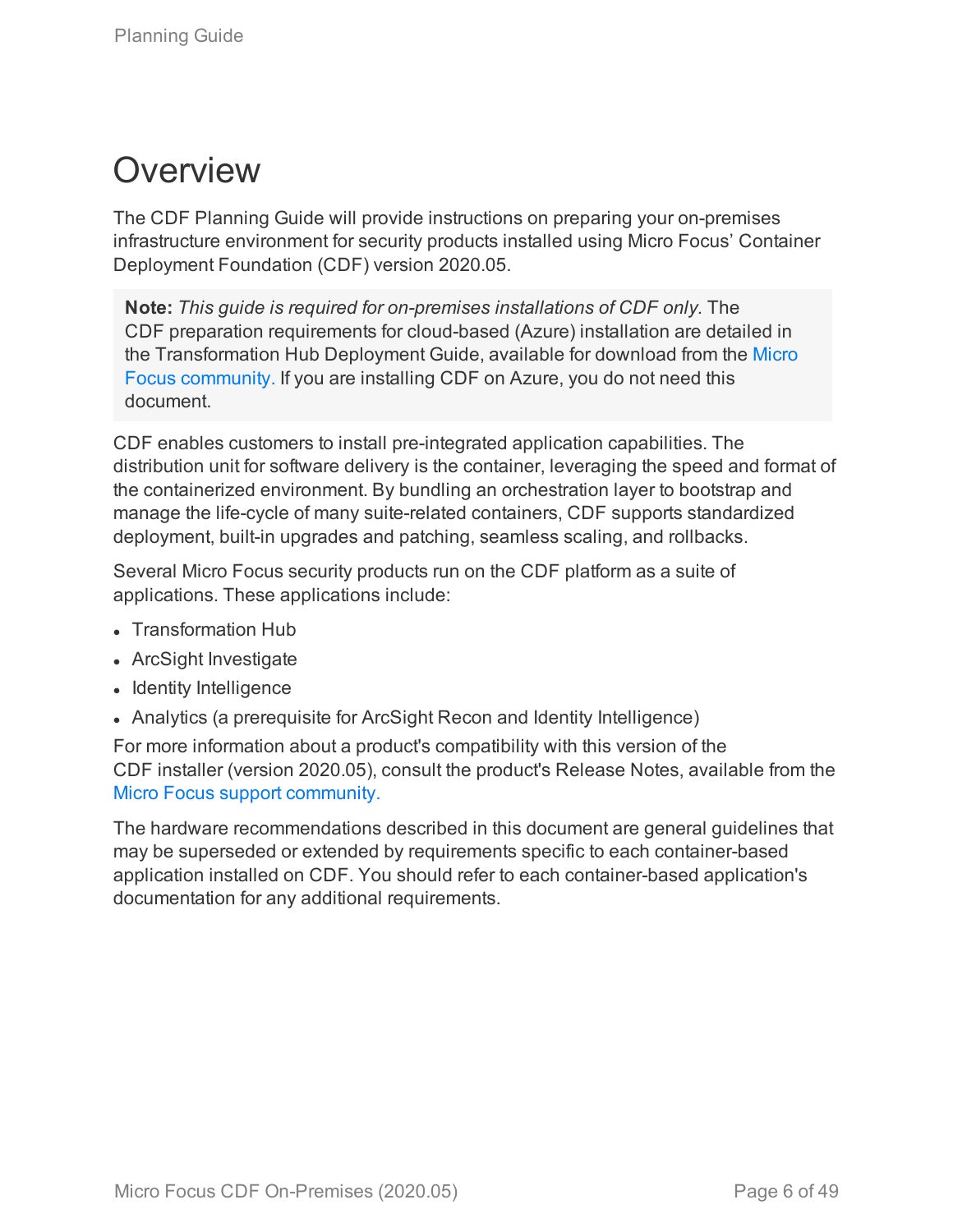# <span id="page-5-0"></span>**Overview**

The CDF Planning Guide will provide instructions on preparing your on-premises infrastructure environment for security products installed using Micro Focus' Container Deployment Foundation (CDF) version 2020.05.

**Note:** *This guide is required for on-premises installations of CDF only.* The CDF preparation requirements for cloud-based (Azure) installation are detailed in the Transformation Hub Deployment Guide, available for download from the [Micro](https://community.microfocus.com/t5/Transformation-Hub-Documentation/tkb-p/TransformationHub) Focus [community.](https://community.microfocus.com/t5/Transformation-Hub-Documentation/tkb-p/TransformationHub) If you are installing CDF on Azure, you do not need this document.

CDF enables customers to install pre-integrated application capabilities. The distribution unit for software delivery is the container, leveraging the speed and format of the containerized environment. By bundling an orchestration layer to bootstrap and manage the life-cycle of many suite-related containers, CDF supports standardized deployment, built-in upgrades and patching, seamless scaling, and rollbacks.

Several Micro Focus security products run on the CDF platform as a suite of applications. These applications include:

- Transformation Hub
- ArcSight Investigate
- $\bullet$  Identity Intelligence
- Analytics (a prerequisite for ArcSight Recon and Identity Intelligence)

For more information about a product's compatibility with this version of the CDF installer (version 2020.05), consult the product's Release Notes, available from the Micro Focus support [community.](https://community.softwaregrp.com/t5/ArcSight-Product-Documentation/ct-p/productdocs)

The hardware recommendations described in this document are general guidelines that may be superseded or extended by requirements specific to each container-based application installed on CDF. You should refer to each container-based application's documentation for any additional requirements.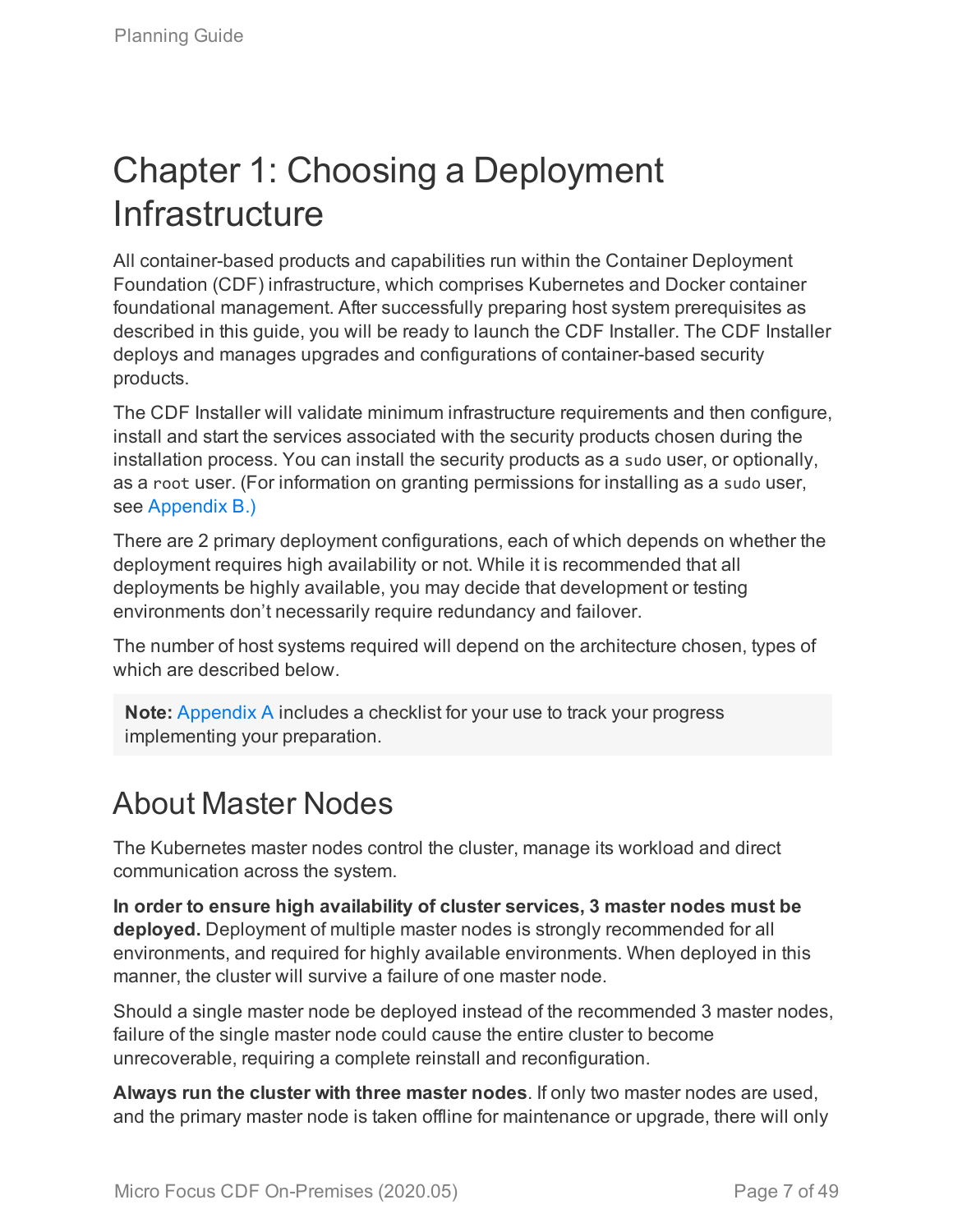# <span id="page-6-0"></span>Chapter 1: Choosing a Deployment **Infrastructure**

All container-based products and capabilities run within the Container Deployment Foundation (CDF) infrastructure, which comprises Kubernetes and Docker container foundational management. After successfully preparing host system prerequisites as described in this guide, you will be ready to launch the CDF Installer. The CDF Installer deploys and manages upgrades and configurations of container-based security products.

The CDF Installer will validate minimum infrastructure requirements and then configure, install and start the services associated with the security products chosen during the installation process. You can install the security products as a sudo user, or optionally, as a root user. (For information on granting permissions for installing as a sudo user, see [Appendix](#page-39-0) B.)

There are 2 primary deployment configurations, each of which depends on whether the deployment requires high availability or not. While it is recommended that all deployments be highly available, you may decide that development or testing environments don't necessarily require redundancy and failover.

The number of host systems required will depend on the architecture chosen, types of which are described below.

**Note:** [Appendix](#page-37-0) A includes a checklist for your use to track your progress implementing your preparation.

# <span id="page-6-1"></span>About Master Nodes

The Kubernetes master nodes control the cluster, manage its workload and direct communication across the system.

**In order to ensure high availability of cluster services, 3 master nodes must be deployed.** Deployment of multiple master nodes is strongly recommended for all environments, and required for highly available environments. When deployed in this manner, the cluster will survive a failure of one master node.

Should a single master node be deployed instead of the recommended 3 master nodes, failure of the single master node could cause the entire cluster to become unrecoverable, requiring a complete reinstall and reconfiguration.

**Always run the cluster with three master nodes**. If only two master nodes are used, and the primary master node is taken offline for maintenance or upgrade, there will only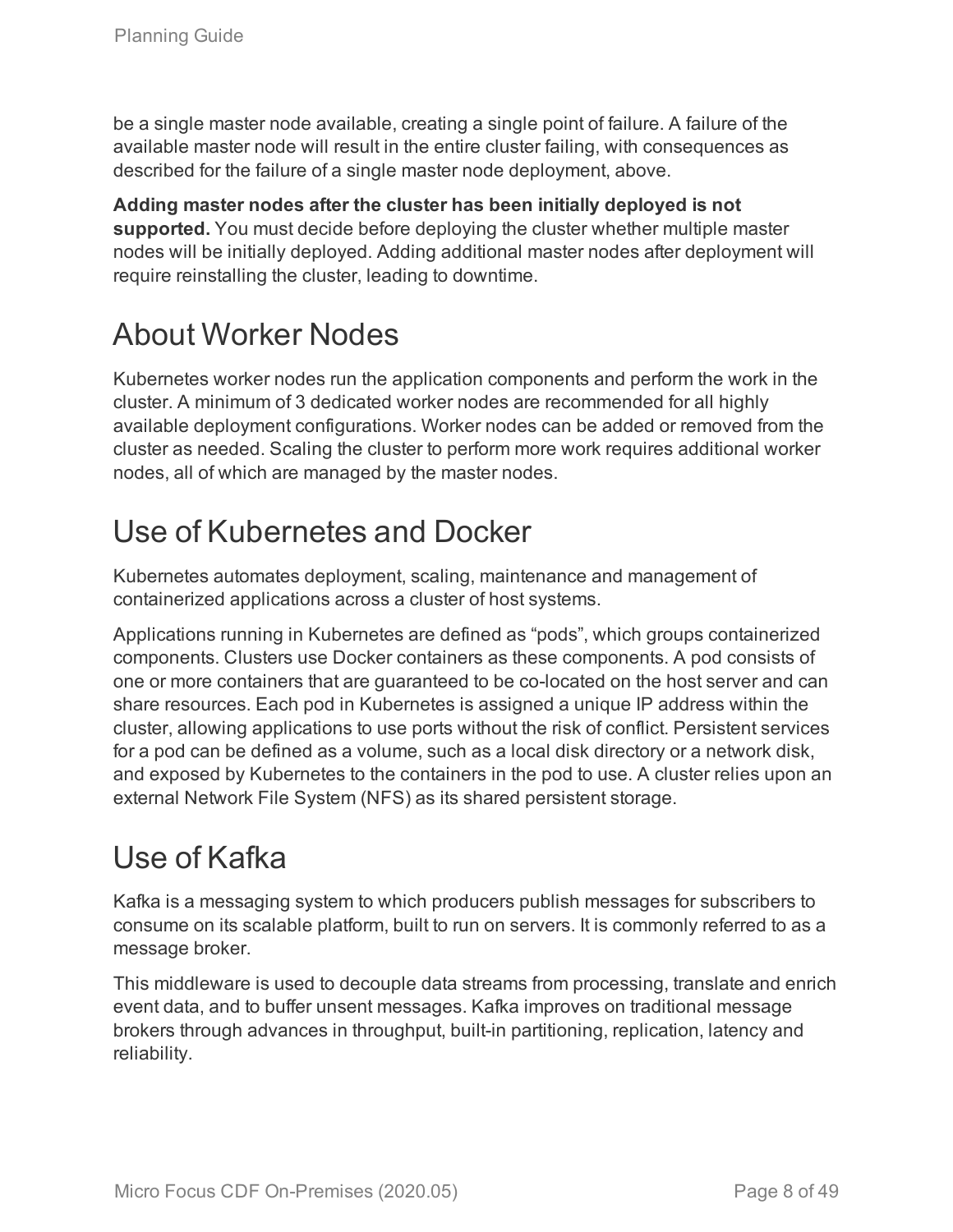be a single master node available, creating a single point of failure. A failure of the available master node will result in the entire cluster failing, with consequences as described for the failure of a single master node deployment, above.

**Adding master nodes after the cluster has been initially deployed is not supported.** You must decide before deploying the cluster whether multiple master nodes will be initially deployed. Adding additional master nodes after deployment will require reinstalling the cluster, leading to downtime.

# <span id="page-7-0"></span>About Worker Nodes

Kubernetes worker nodes run the application components and perform the work in the cluster. A minimum of 3 dedicated worker nodes are recommended for all highly available deployment configurations. Worker nodes can be added or removed from the cluster as needed. Scaling the cluster to perform more work requires additional worker nodes, all of which are managed by the master nodes.

# <span id="page-7-1"></span>Use of Kubernetes and Docker

Kubernetes automates deployment, scaling, maintenance and management of containerized applications across a cluster of host systems.

Applications running in Kubernetes are defined as "pods", which groups containerized components. Clusters use Docker containers as these components. A pod consists of one or more containers that are guaranteed to be co-located on the host server and can share resources. Each pod in Kubernetes is assigned a unique IP address within the cluster, allowing applications to use ports without the risk of conflict. Persistent services for a pod can be defined as a volume, such as a local disk directory or a network disk, and exposed by Kubernetes to the containers in the pod to use. A cluster relies upon an external Network File System (NFS) as its shared persistent storage.

# <span id="page-7-2"></span>Use of Kafka

Kafka is a messaging system to which producers publish messages for subscribers to consume on its scalable platform, built to run on servers. It is commonly referred to as a message broker.

This middleware is used to decouple data streams from processing, translate and enrich event data, and to buffer unsent messages. Kafka improves on traditional message brokers through advances in throughput, built-in partitioning, replication, latency and reliability.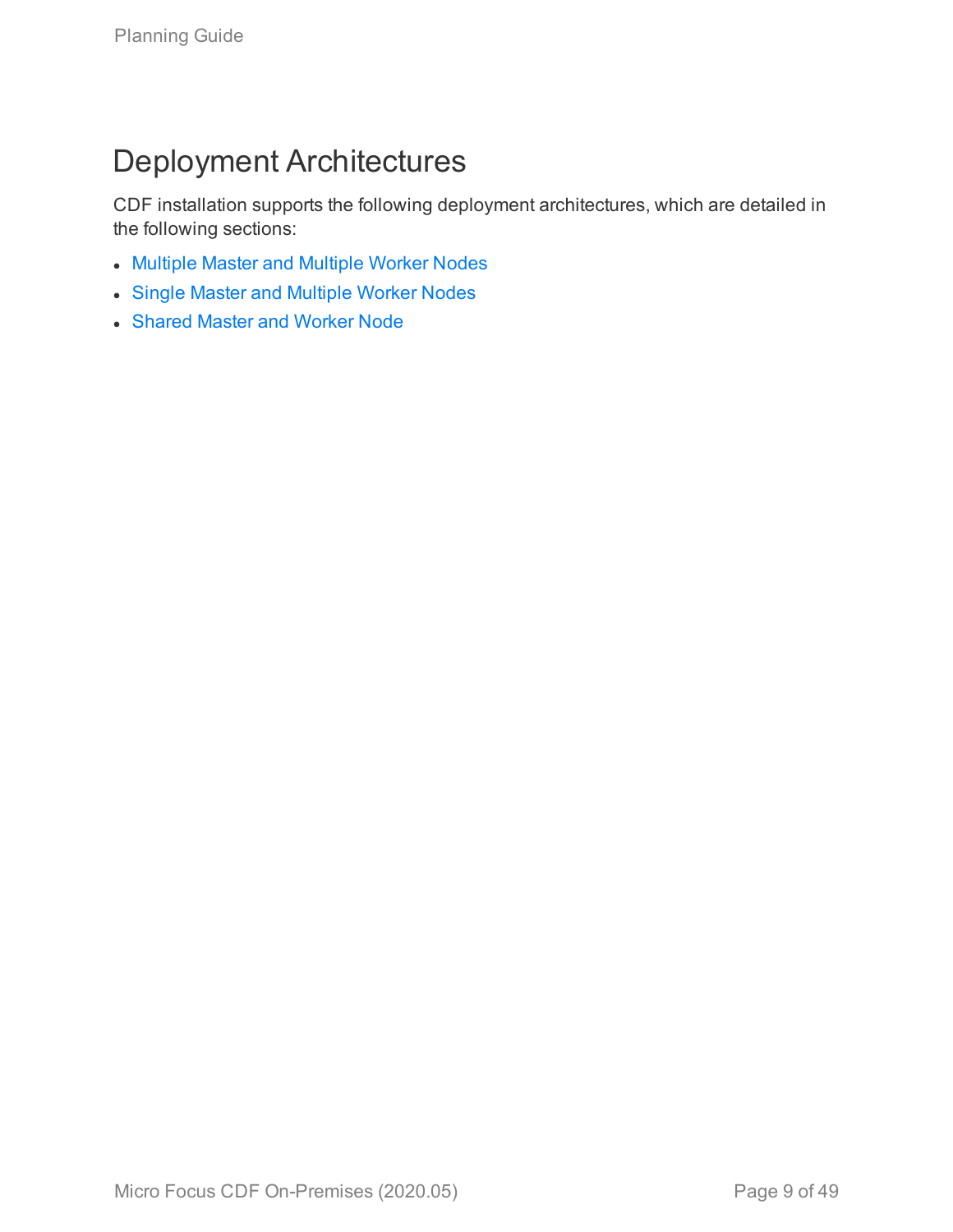# <span id="page-8-0"></span>Deployment Architectures

CDF installation supports the following deployment architectures, which are detailed in the following sections:

- [Multiple](#page-10-0) Master and Multiple Worker Nodes
- Single Master and [Multiple](#page-10-0) Worker Nodes
- [Shared](#page-11-0) Master and Worker Node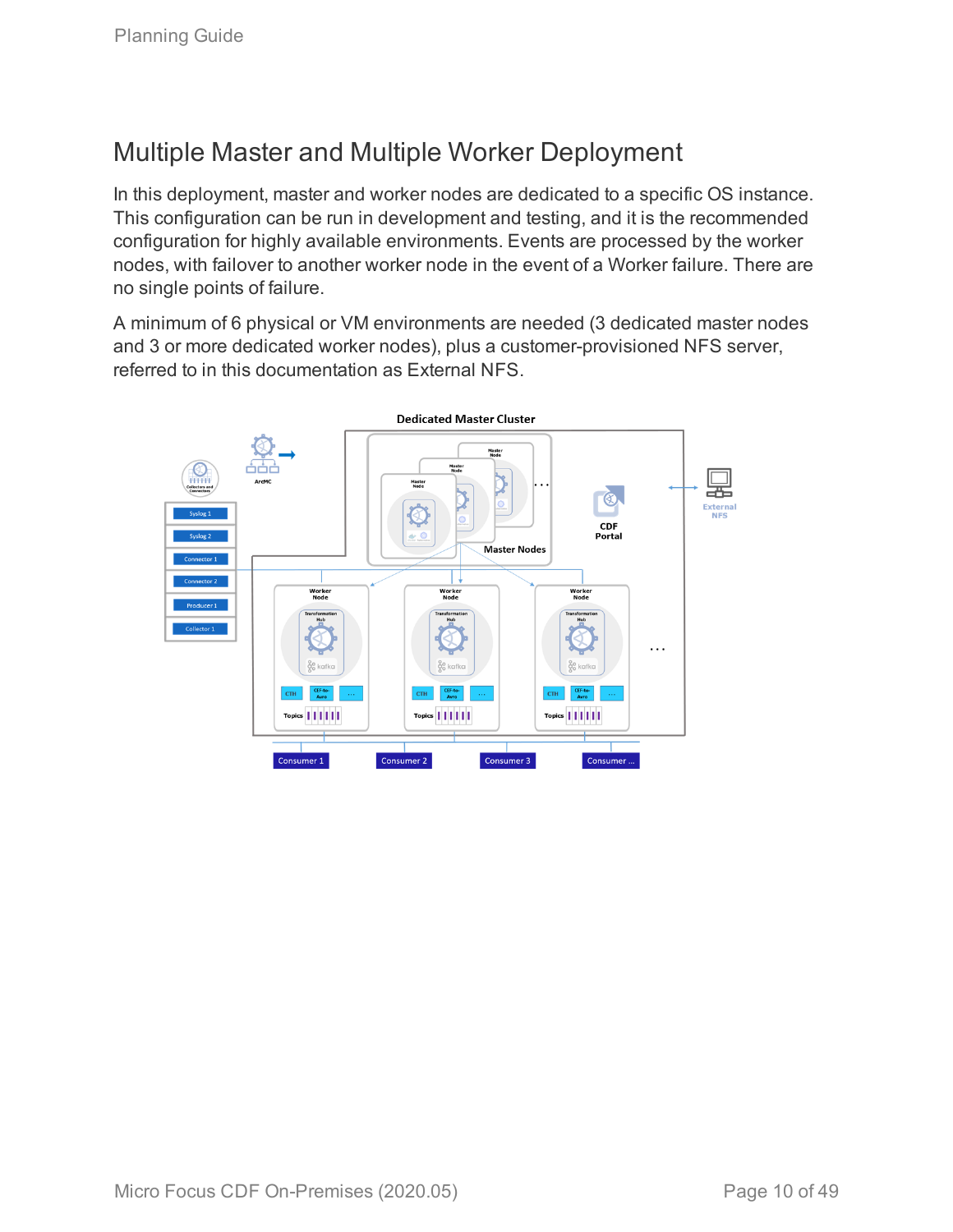### <span id="page-9-0"></span>Multiple Master and Multiple Worker Deployment

In this deployment, master and worker nodes are dedicated to a specific OS instance. This configuration can be run in development and testing, and it is the recommended configuration for highly available environments. Events are processed by the worker nodes, with failover to another worker node in the event of a Worker failure. There are no single points of failure.

A minimum of 6 physical or VM environments are needed (3 dedicated master nodes and 3 or more dedicated worker nodes), plus a customer-provisioned NFS server, referred to in this documentation as External NFS.

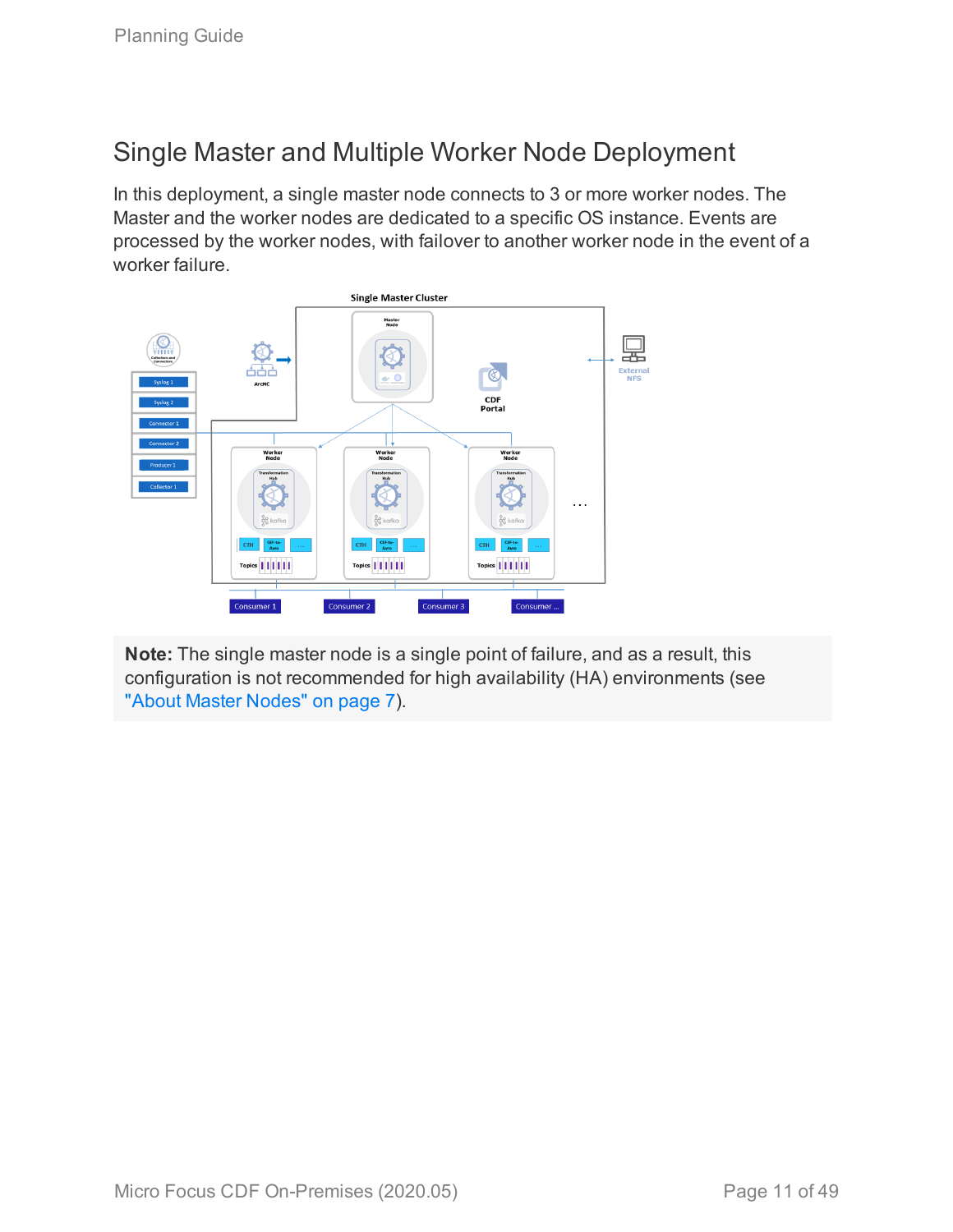### <span id="page-10-0"></span>Single Master and Multiple Worker Node Deployment

In this deployment, a single master node connects to 3 or more worker nodes. The Master and the worker nodes are dedicated to a specific OS instance. Events are processed by the worker nodes, with failover to another worker node in the event of a worker failure.



**Note:** The single master node is a single point of failure, and as a result, this configuration is not recommended for high availability (HA) environments (see "About Master [Nodes"](#page-6-1) on page 7).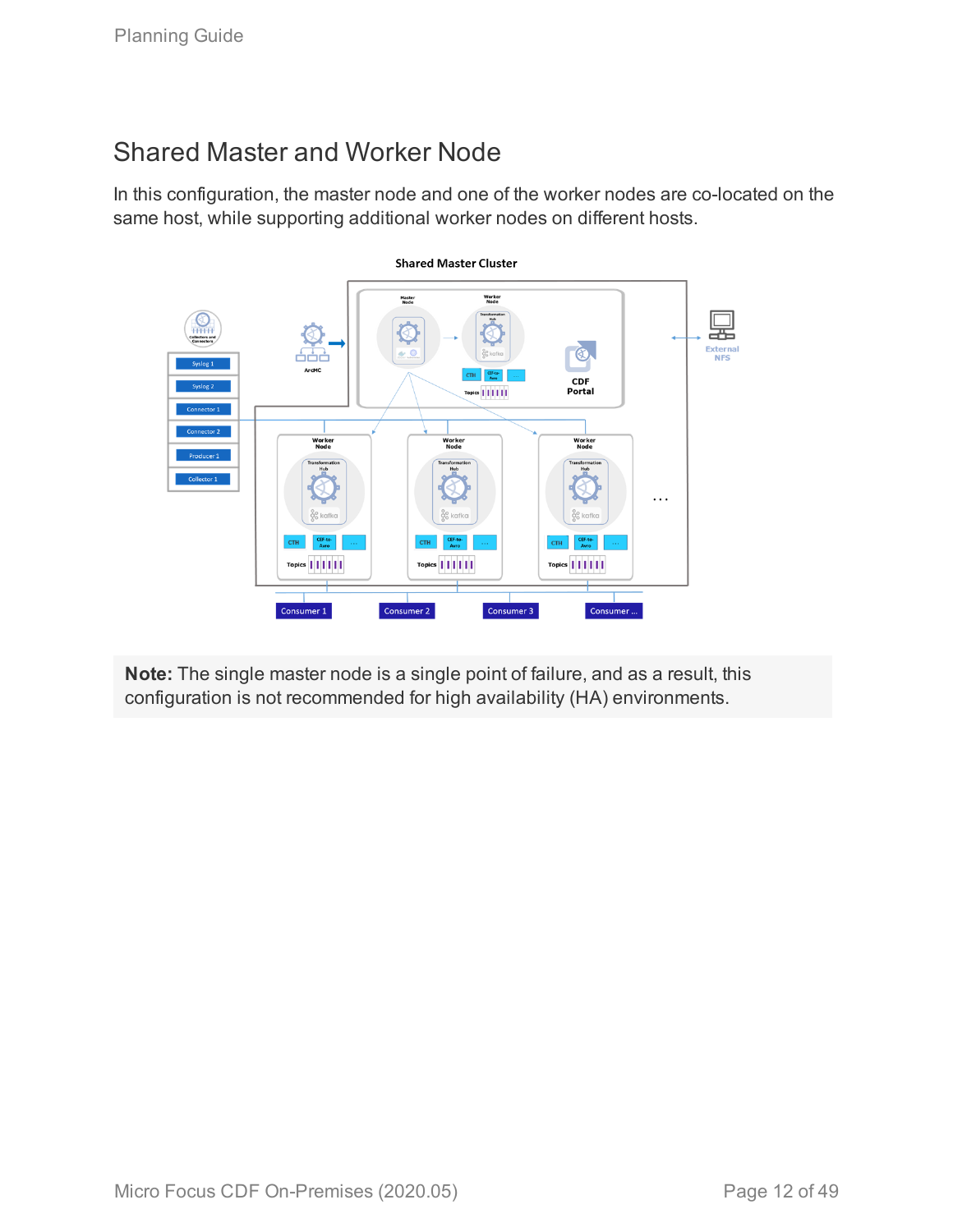### <span id="page-11-0"></span>Shared Master and Worker Node

In this configuration, the master node and one of the worker nodes are co-located on the same host, while supporting additional worker nodes on different hosts.



**Note:** The single master node is a single point of failure, and as a result, this configuration is not recommended for high availability (HA) environments.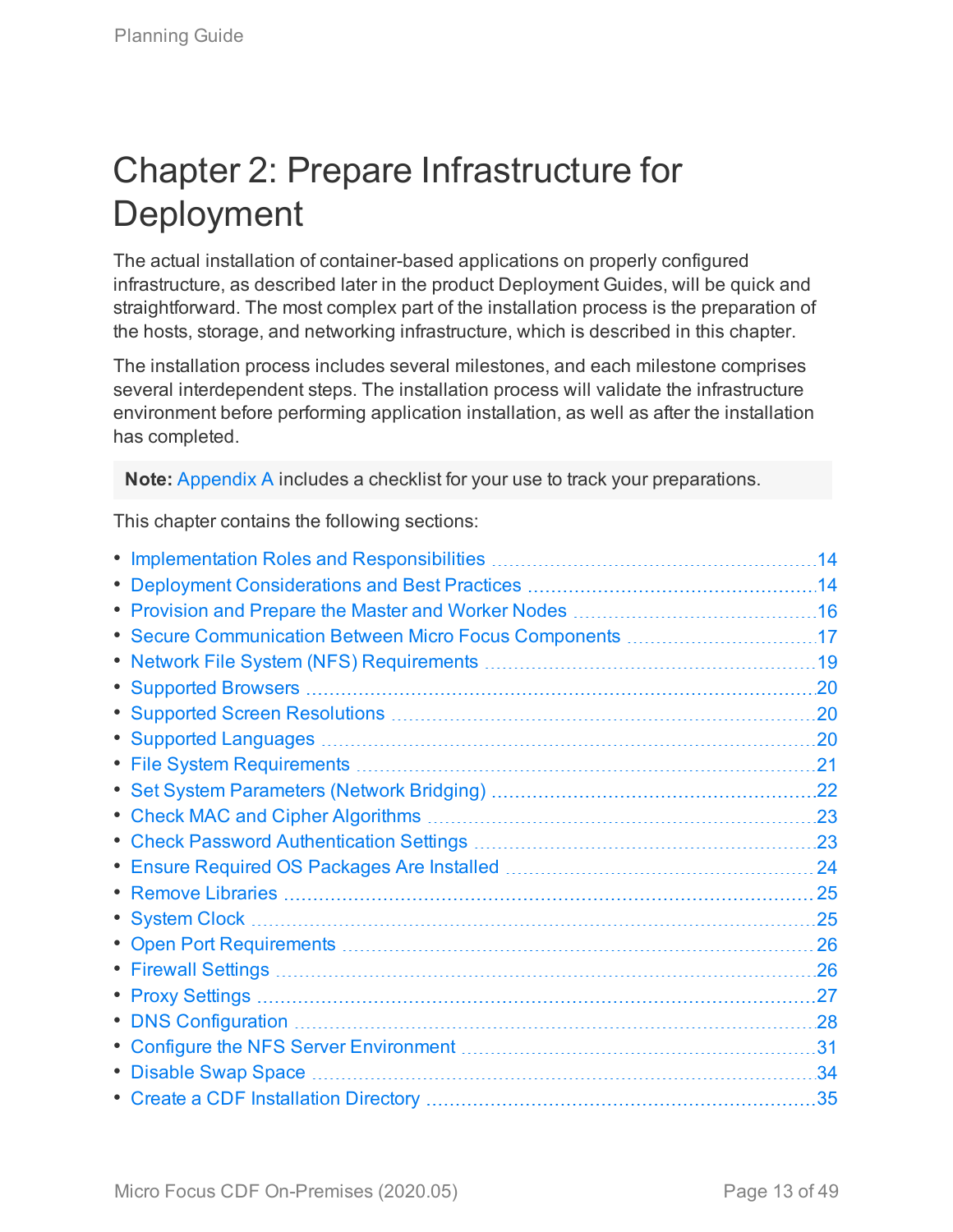# <span id="page-12-0"></span>Chapter 2: Prepare Infrastructure for Deployment

The actual installation of container-based applications on properly configured infrastructure, as described later in the product Deployment Guides, will be quick and straightforward. The most complex part of the installation process is the preparation of the hosts, storage, and networking infrastructure, which is described in this chapter.

The installation process includes several milestones, and each milestone comprises several interdependent steps. The installation process will validate the infrastructure environment before performing application installation, as well as after the installation has completed.

**Note:** [Appendix](#page-37-0) A includes a checklist for your use to track your preparations.

This chapter contains the following sections:

|                                                          | .14 |
|----------------------------------------------------------|-----|
|                                                          | .14 |
|                                                          | .16 |
| • Secure Communication Between Micro Focus Components 17 |     |
|                                                          | .19 |
|                                                          | .20 |
|                                                          | .20 |
|                                                          | .20 |
|                                                          | .21 |
|                                                          | .22 |
|                                                          | .23 |
|                                                          | .23 |
|                                                          | 24  |
|                                                          | 25  |
|                                                          | .25 |
|                                                          | 26  |
|                                                          | .26 |
|                                                          | .27 |
|                                                          | .28 |
|                                                          | 31  |
| • Disable Swap Space                                     | .34 |
|                                                          | .35 |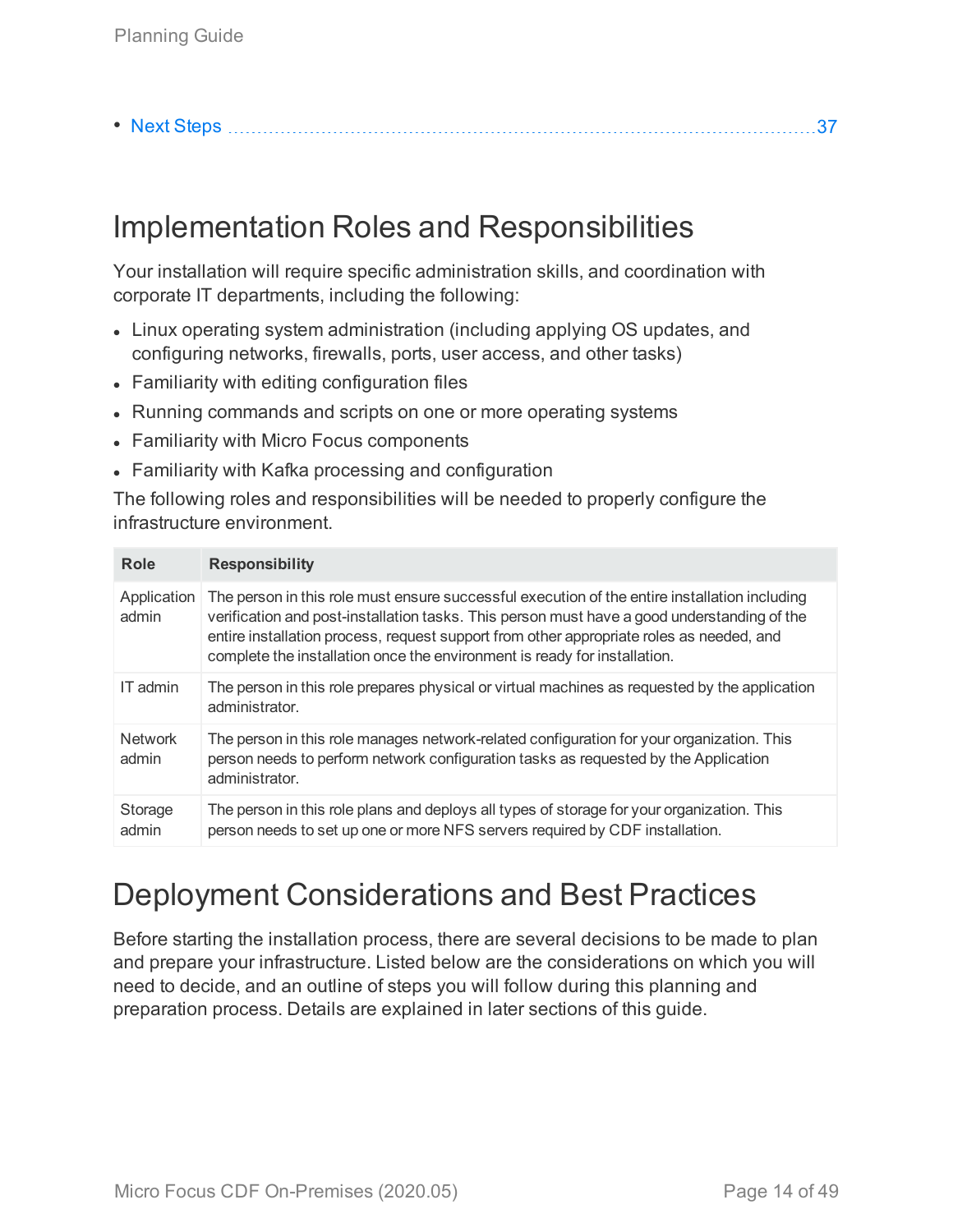|--|--|--|--|

# <span id="page-13-0"></span>Implementation Roles and Responsibilities

Your installation will require specific administration skills, and coordination with corporate IT departments, including the following:

- Linux operating system administration (including applying OS updates, and configuring networks, firewalls, ports, user access, and other tasks)
- Familiarity with editing configuration files
- Running commands and scripts on one or more operating systems
- Familiarity with Micro Focus components
- Familiarity with Kafka processing and configuration

The following roles and responsibilities will be needed to properly configure the infrastructure environment.

| Role                    | <b>Responsibility</b>                                                                                                                                                                                                                                                                                                                                                 |
|-------------------------|-----------------------------------------------------------------------------------------------------------------------------------------------------------------------------------------------------------------------------------------------------------------------------------------------------------------------------------------------------------------------|
| Application<br>admin    | The person in this role must ensure successful execution of the entire installation including<br>verification and post-installation tasks. This person must have a good understanding of the<br>entire installation process, request support from other appropriate roles as needed, and<br>complete the installation once the environment is ready for installation. |
| IT admin                | The person in this role prepares physical or virtual machines as requested by the application<br>administrator.                                                                                                                                                                                                                                                       |
| <b>Network</b><br>admin | The person in this role manages network-related configuration for your organization. This<br>person needs to perform network configuration tasks as requested by the Application<br>administrator.                                                                                                                                                                    |
| Storage<br>admin        | The person in this role plans and deploys all types of storage for your organization. This<br>person needs to set up one or more NFS servers required by CDF installation.                                                                                                                                                                                            |

# <span id="page-13-1"></span>Deployment Considerations and Best Practices

Before starting the installation process, there are several decisions to be made to plan and prepare your infrastructure. Listed below are the considerations on which you will need to decide, and an outline of steps you will follow during this planning and preparation process. Details are explained in later sections of this guide.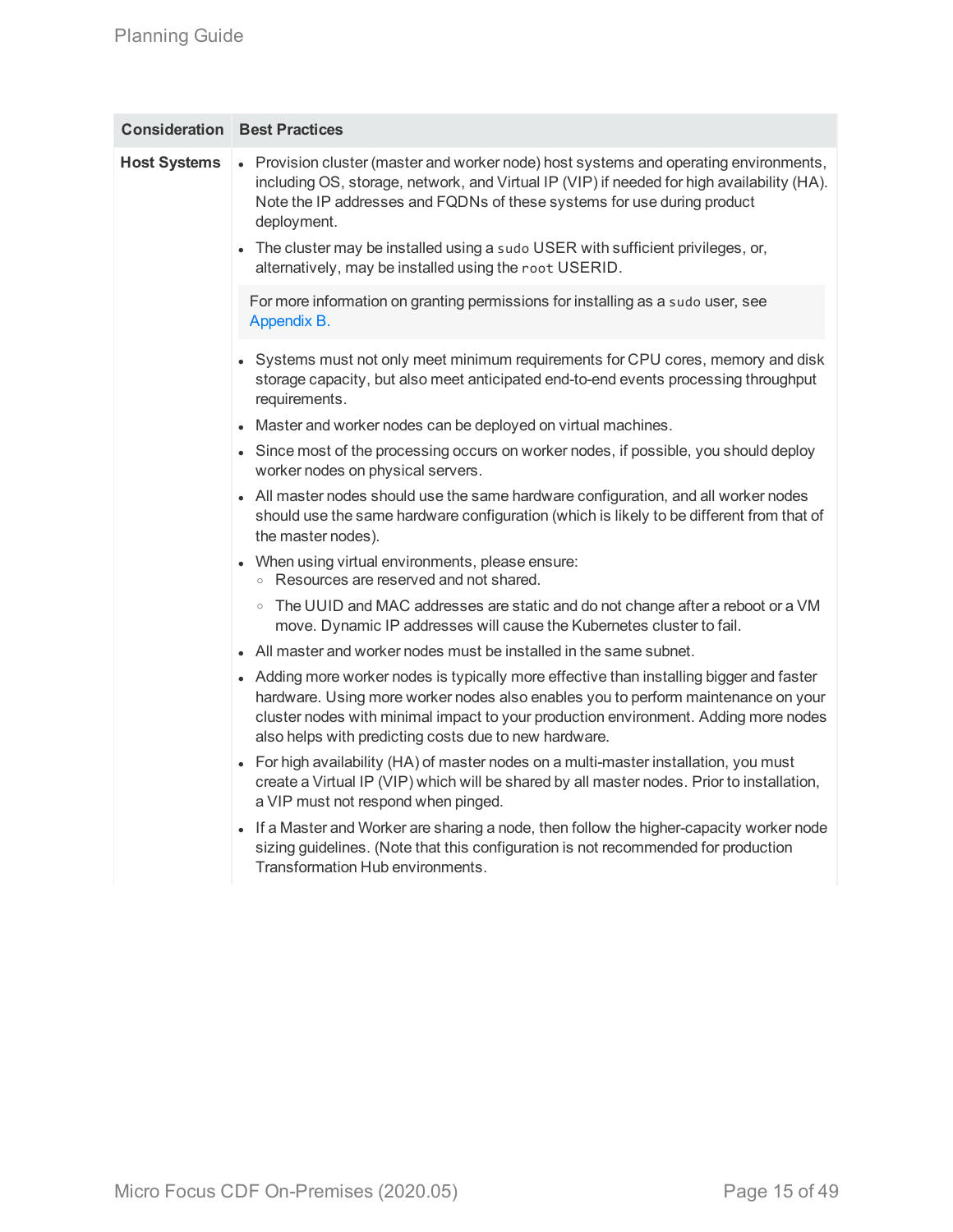|                     | <b>Consideration Best Practices</b>                                                                                                                                                                                                                                                                                                                               |
|---------------------|-------------------------------------------------------------------------------------------------------------------------------------------------------------------------------------------------------------------------------------------------------------------------------------------------------------------------------------------------------------------|
| <b>Host Systems</b> | • Provision cluster (master and worker node) host systems and operating environments,<br>including OS, storage, network, and Virtual IP (VIP) if needed for high availability (HA).<br>Note the IP addresses and FQDNs of these systems for use during product<br>deployment.<br>• The cluster may be installed using a sudo USER with sufficient privileges, or, |
|                     | alternatively, may be installed using the root USERID.                                                                                                                                                                                                                                                                                                            |
|                     | For more information on granting permissions for installing as a sudo user, see<br>Appendix B.                                                                                                                                                                                                                                                                    |
|                     | • Systems must not only meet minimum requirements for CPU cores, memory and disk<br>storage capacity, but also meet anticipated end-to-end events processing throughput<br>requirements.                                                                                                                                                                          |
|                     | Master and worker nodes can be deployed on virtual machines.                                                                                                                                                                                                                                                                                                      |
|                     | • Since most of the processing occurs on worker nodes, if possible, you should deploy<br>worker nodes on physical servers.                                                                                                                                                                                                                                        |
|                     | • All master nodes should use the same hardware configuration, and all worker nodes<br>should use the same hardware configuration (which is likely to be different from that of<br>the master nodes).                                                                                                                                                             |
|                     | • When using virtual environments, please ensure:<br>○ Resources are reserved and not shared.                                                                                                                                                                                                                                                                     |
|                     | ○ The UUID and MAC addresses are static and do not change after a reboot or a VM<br>move. Dynamic IP addresses will cause the Kubernetes cluster to fail.                                                                                                                                                                                                         |
|                     | • All master and worker nodes must be installed in the same subnet.                                                                                                                                                                                                                                                                                               |
|                     | • Adding more worker nodes is typically more effective than installing bigger and faster<br>hardware. Using more worker nodes also enables you to perform maintenance on your<br>cluster nodes with minimal impact to your production environment. Adding more nodes<br>also helps with predicting costs due to new hardware.                                     |
|                     | • For high availability (HA) of master nodes on a multi-master installation, you must<br>create a Virtual IP (VIP) which will be shared by all master nodes. Prior to installation,<br>a VIP must not respond when pinged.                                                                                                                                        |
|                     | • If a Master and Worker are sharing a node, then follow the higher-capacity worker node<br>sizing guidelines. (Note that this configuration is not recommended for production<br>Transformation Hub environments.                                                                                                                                                |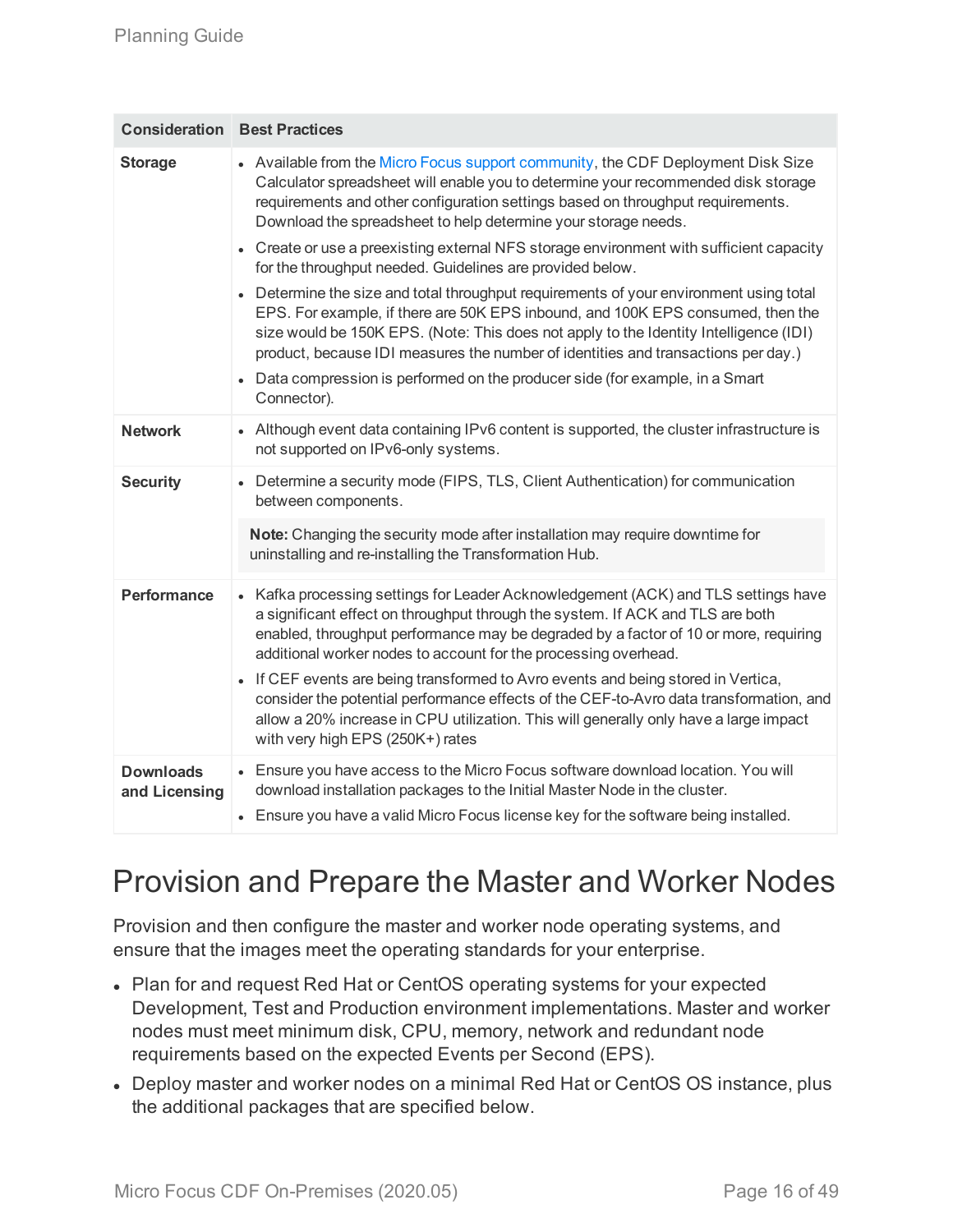|                                   | <b>Consideration Best Practices</b>                                                                                                                                                                                                                                                                                                                                                                                                                                                                                                                                                                                                                                                                                                                                                                                                                                                                                                           |
|-----------------------------------|-----------------------------------------------------------------------------------------------------------------------------------------------------------------------------------------------------------------------------------------------------------------------------------------------------------------------------------------------------------------------------------------------------------------------------------------------------------------------------------------------------------------------------------------------------------------------------------------------------------------------------------------------------------------------------------------------------------------------------------------------------------------------------------------------------------------------------------------------------------------------------------------------------------------------------------------------|
| <b>Storage</b>                    | • Available from the Micro Focus support community, the CDF Deployment Disk Size<br>Calculator spreadsheet will enable you to determine your recommended disk storage<br>requirements and other configuration settings based on throughput requirements.<br>Download the spreadsheet to help determine your storage needs.<br>• Create or use a preexisting external NFS storage environment with sufficient capacity<br>for the throughput needed. Guidelines are provided below.<br>• Determine the size and total throughput requirements of your environment using total<br>EPS. For example, if there are 50K EPS inbound, and 100K EPS consumed, then the<br>size would be 150K EPS. (Note: This does not apply to the Identity Intelligence (IDI)<br>product, because IDI measures the number of identities and transactions per day.)<br>• Data compression is performed on the producer side (for example, in a Smart<br>Connector). |
| <b>Network</b>                    | • Although event data containing IPv6 content is supported, the cluster infrastructure is<br>not supported on IPv6-only systems.                                                                                                                                                                                                                                                                                                                                                                                                                                                                                                                                                                                                                                                                                                                                                                                                              |
| <b>Security</b>                   | • Determine a security mode (FIPS, TLS, Client Authentication) for communication<br>between components.<br>Note: Changing the security mode after installation may require downtime for<br>uninstalling and re-installing the Transformation Hub.                                                                                                                                                                                                                                                                                                                                                                                                                                                                                                                                                                                                                                                                                             |
| <b>Performance</b>                | • Kafka processing settings for Leader Acknowledgement (ACK) and TLS settings have<br>a significant effect on throughput through the system. If ACK and TLS are both<br>enabled, throughput performance may be degraded by a factor of 10 or more, requiring<br>additional worker nodes to account for the processing overhead.<br>• If CEF events are being transformed to Avro events and being stored in Vertica,<br>consider the potential performance effects of the CEF-to-Avro data transformation, and<br>allow a 20% increase in CPU utilization. This will generally only have a large impact<br>with very high EPS (250K+) rates                                                                                                                                                                                                                                                                                                   |
| <b>Downloads</b><br>and Licensing | • Ensure you have access to the Micro Focus software download location. You will<br>download installation packages to the Initial Master Node in the cluster.<br>• Ensure you have a valid Micro Focus license key for the software being installed.                                                                                                                                                                                                                                                                                                                                                                                                                                                                                                                                                                                                                                                                                          |

# <span id="page-15-0"></span>Provision and Prepare the Master and Worker Nodes

Provision and then configure the master and worker node operating systems, and ensure that the images meet the operating standards for your enterprise.

- Plan for and request Red Hat or CentOS operating systems for your expected Development, Test and Production environment implementations. Master and worker nodes must meet minimum disk, CPU, memory, network and redundant node requirements based on the expected Events per Second (EPS).
- Deploy master and worker nodes on a minimal Red Hat or CentOS OS instance, plus the additional packages that are specified below.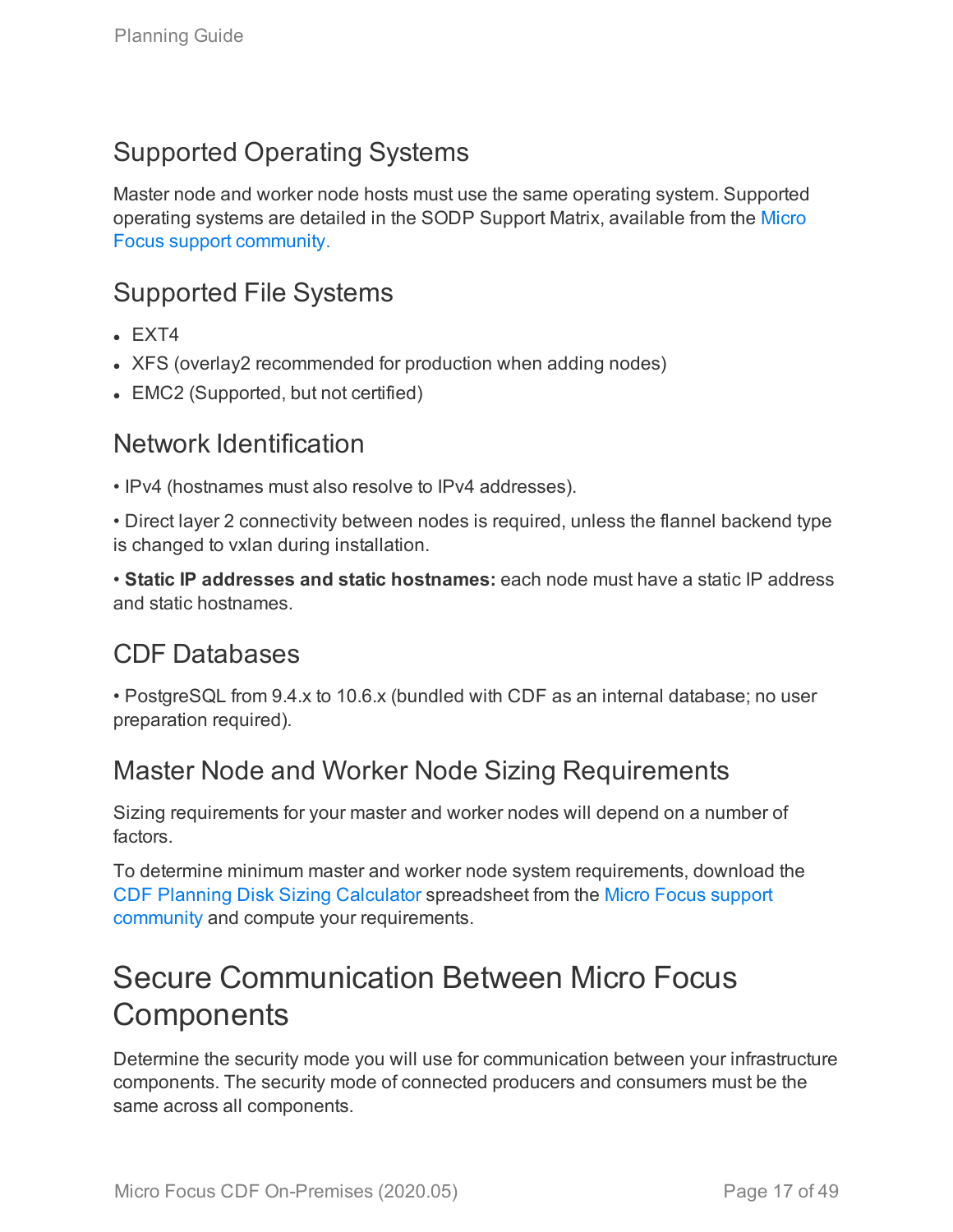## Supported Operating Systems

Master node and worker node hosts must use the same operating system. Supported operating systems are detailed in the SODP Support Matrix, available from the [Micro](https://community.softwaregrp.com/t5/ArcSight-Product-Documentation/ct-p/productdocs) Focus support [community.](https://community.softwaregrp.com/t5/ArcSight-Product-Documentation/ct-p/productdocs)

### Supported File Systems

- $E$ FXT4
- XFS (overlay2 recommended for production when adding nodes)
- <span id="page-16-0"></span>• EMC2 (Supported, but not certified)

### Network Identification

• IPv4 (hostnames must also resolve to IPv4 addresses).

• Direct layer 2 connectivity between nodes is required, unless the flannel backend type is changed to vxlan during installation.

• **Static IP addresses and static hostnames:** each node must have a static IP address and static hostnames.

### CDF Databases

• PostgreSQL from 9.4.x to 10.6.x (bundled with CDF as an internal database; no user preparation required).

### Master Node and Worker Node Sizing Requirements

Sizing requirements for your master and worker nodes will depend on a number of factors.

To determine minimum master and worker node system requirements, download the [CDF Planning](https://community.microfocus.com/t5/ArcSight-Investigate/CDF-Planning-Disk-Sizing-Calculator/ta-p/2697300) Disk Sizing Calculator spreadsheet from the Micro Focus [support](https://community.softwaregrp.com/t5/ArcSight-Product-Documentation/ct-p/productdocs) [community](https://community.softwaregrp.com/t5/ArcSight-Product-Documentation/ct-p/productdocs) and compute your requirements.

# <span id="page-16-1"></span>Secure Communication Between Micro Focus **Components**

Determine the security mode you will use for communication between your infrastructure components. The security mode of connected producers and consumers must be the same across all components.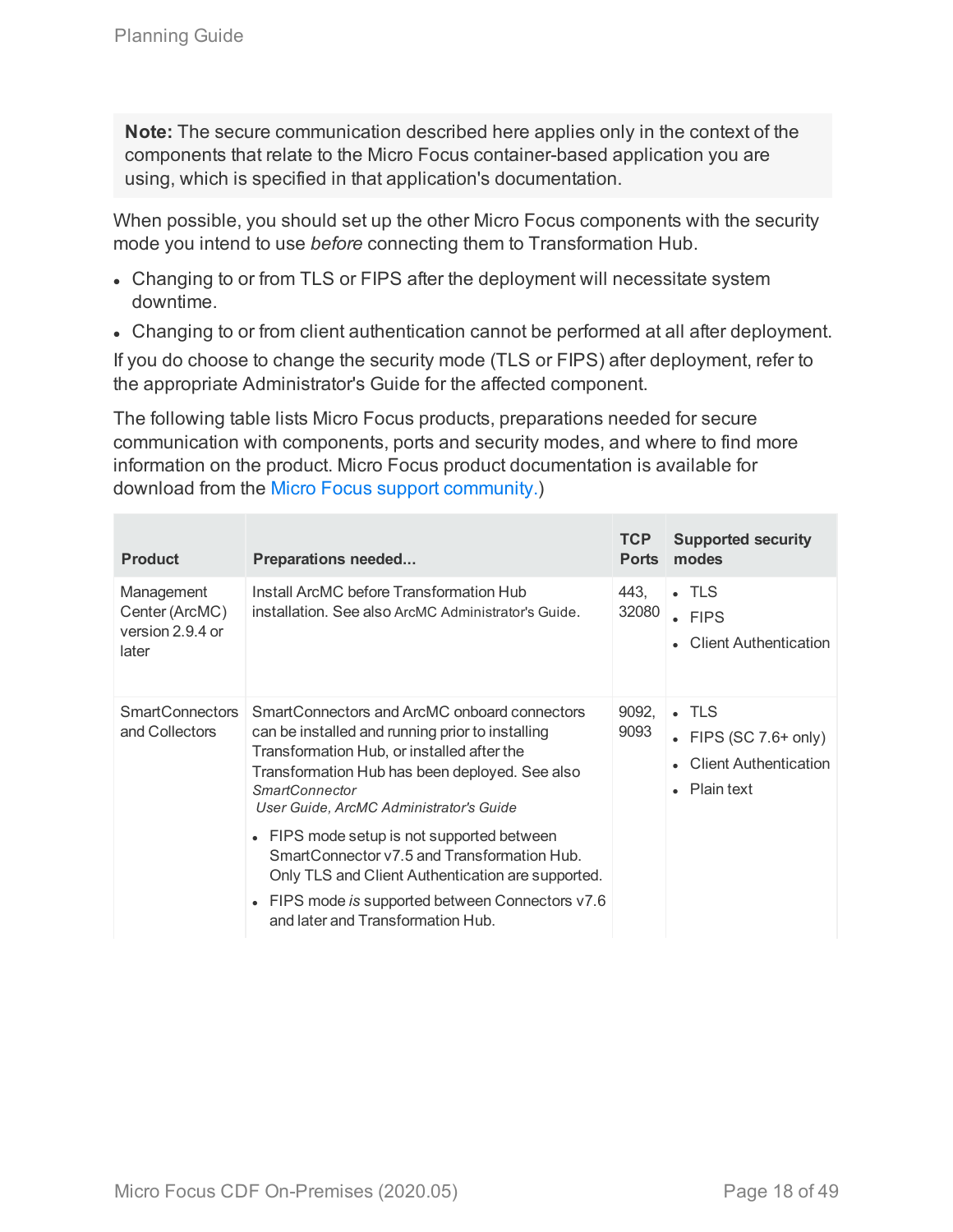**Note:** The secure communication described here applies only in the context of the components that relate to the Micro Focus container-based application you are using, which is specified in that application's documentation.

When possible, you should set up the other Micro Focus components with the security mode you intend to use *before* connecting them to Transformation Hub.

- Changing to or from TLS or FIPS after the deployment will necessitate system downtime.
- Changing to or from client authentication cannot be performed at all after deployment.

If you do choose to change the security mode (TLS or FIPS) after deployment, refer to the appropriate Administrator's Guide for the affected component.

The following table lists Micro Focus products, preparations needed for secure communication with components, ports and security modes, and where to find more information on the product. Micro Focus product documentation is available for download from the Micro Focus support [community.\)](https://community.softwaregrp.com/t5/ArcSight-Product-Documentation/ct-p/productdocs)

| <b>Product</b>                                            | <b>Preparations needed</b>                                                                                                                                                                                                                                           | TCP<br><b>Ports</b> | <b>Supported security</b><br>modes                                                                    |
|-----------------------------------------------------------|----------------------------------------------------------------------------------------------------------------------------------------------------------------------------------------------------------------------------------------------------------------------|---------------------|-------------------------------------------------------------------------------------------------------|
| Management<br>Center (ArcMC)<br>version 2.9.4 or<br>later | Install ArcMC before Transformation Hub<br>installation. See also ArcMC Administrator's Guide.                                                                                                                                                                       | 443.<br>32080       | $\blacksquare$ TLS<br>$\cdot$ FIPS<br><b>Client Authentication</b>                                    |
| <b>SmartConnectors</b><br>and Collectors                  | SmartConnectors and ArcMC onboard connectors<br>can be installed and running prior to installing<br>Transformation Hub, or installed after the<br>Transformation Hub has been deployed. See also<br><b>SmartConnector</b><br>User Guide, ArcMC Administrator's Guide | 9092.<br>9093       | $\blacksquare$ TLS<br>• FIPS (SC $7.6+$ only)<br><b>Client Authentication</b><br>$\bullet$ Plain text |
|                                                           | FIPS mode setup is not supported between<br>SmartConnector v7.5 and Transformation Hub.<br>Only TLS and Client Authentication are supported.<br>FIPS mode is supported between Connectors v7.6<br>$\bullet$<br>and later and Transformation Hub.                     |                     |                                                                                                       |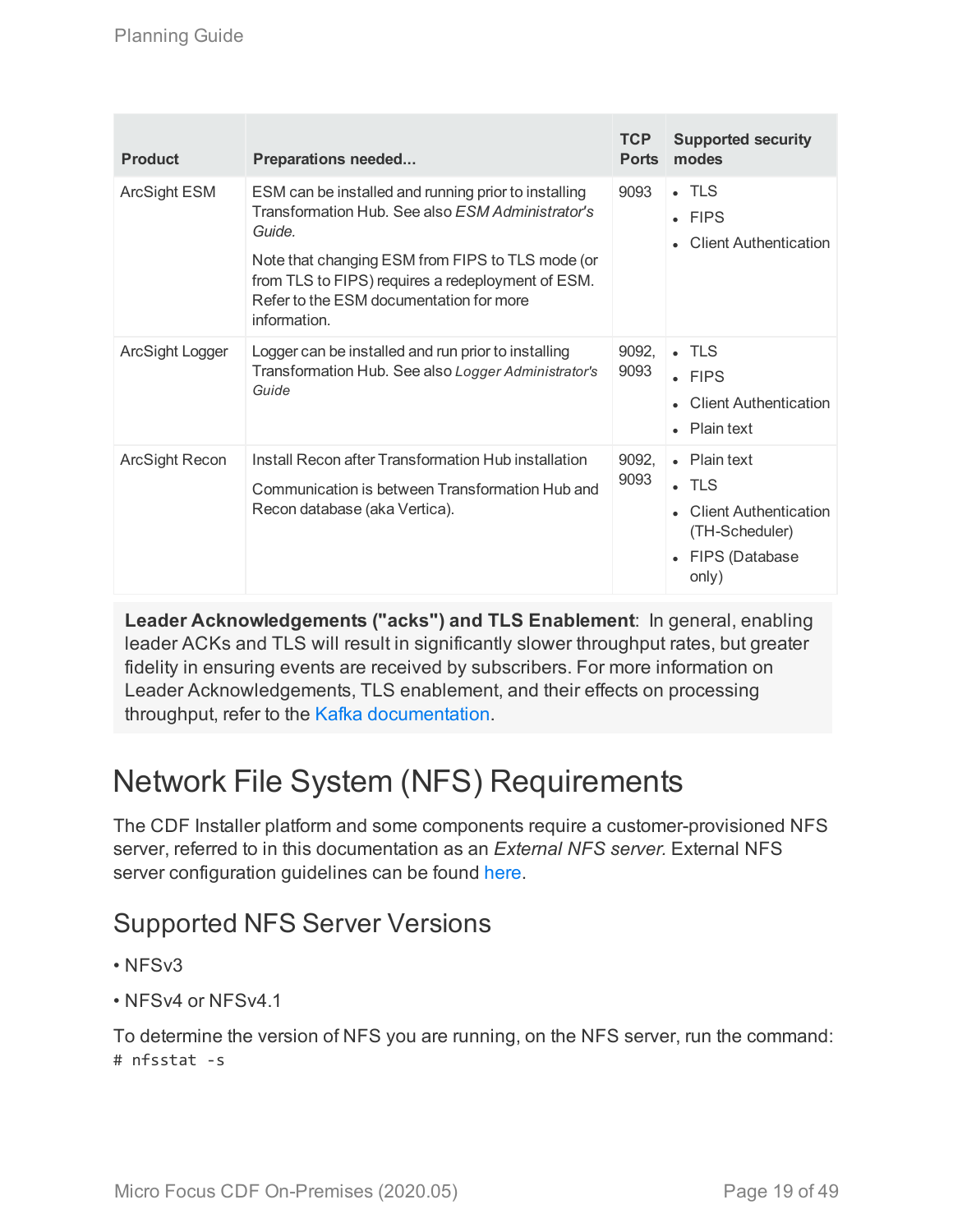| <b>Product</b>      | <b>Preparations needed</b>                                                                                                                                                                                                                                                                    | TCP<br><b>Ports</b> | <b>Supported security</b><br>modes                                                                                |
|---------------------|-----------------------------------------------------------------------------------------------------------------------------------------------------------------------------------------------------------------------------------------------------------------------------------------------|---------------------|-------------------------------------------------------------------------------------------------------------------|
| <b>ArcSight ESM</b> | ESM can be installed and running prior to installing<br>Transformation Hub. See also <i>ESM Administrator's</i><br>Guide.<br>Note that changing ESM from FIPS to TLS mode (or<br>from TLS to FIPS) requires a redeployment of ESM.<br>Refer to the ESM documentation for more<br>information. | 9093                | $\blacksquare$ TLS<br>$\cdot$ FIPS<br><b>Client Authentication</b>                                                |
| ArcSight Logger     | Logger can be installed and run prior to installing<br>Transformation Hub. See also Logger Administrator's<br>Guide                                                                                                                                                                           | 9092,<br>9093       | $\blacksquare$ TLS<br>$\cdot$ FIPS<br><b>Client Authentication</b><br>Plain text                                  |
| ArcSight Recon      | Install Recon after Transformation Hub installation<br>Communication is between Transformation Hub and<br>Recon database (aka Vertica).                                                                                                                                                       | 9092,<br>9093       | • Plain text<br>$\blacksquare$ TLS<br><b>Client Authentication</b><br>(TH-Scheduler)<br>• FIPS (Database<br>only) |

**Leader Acknowledgements ("acks") and TLS Enablement**: In general, enabling leader ACKs and TLS will result in significantly slower throughput rates, but greater fidelity in ensuring events are received by subscribers. For more information on Leader Acknowledgements, TLS enablement, and their effects on processing throughput, refer to the Kafka [documentation](https://kafka.apache.org/documentation/).

# <span id="page-18-0"></span>Network File System (NFS) Requirements

The CDF Installer platform and some components require a customer-provisioned NFS server, referred to in this documentation as an *External NFS server.* External NFS server configuration guidelines can be found [here](#page-30-0).

### Supported NFS Server Versions

- NFSv3
- NFSv4 or NFSv4.1

To determine the version of NFS you are running, on the NFS server, run the command: # nfsstat -s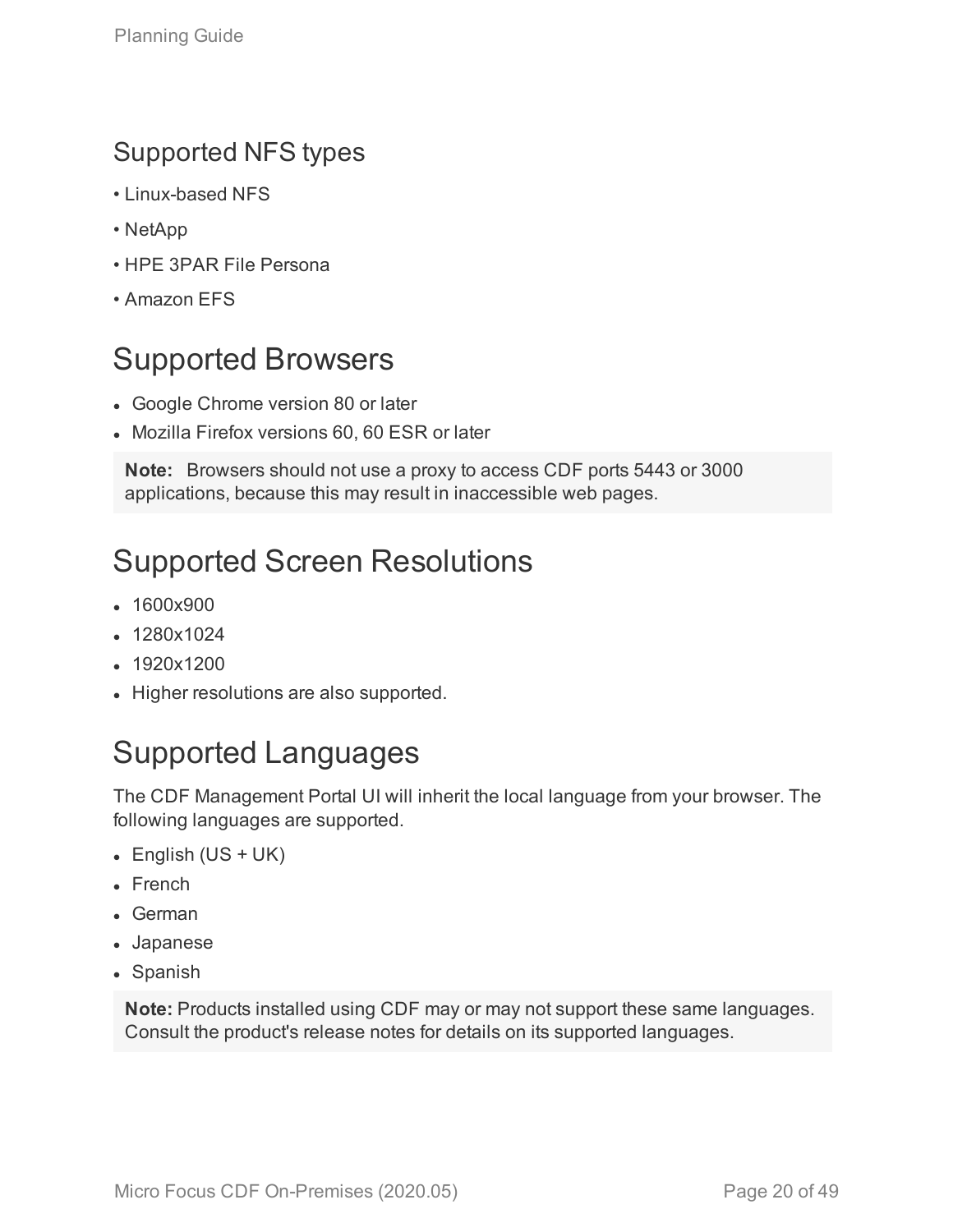### Supported NFS types

- Linux-based NFS
- NetApp
- HPE 3PAR File Persona
- <span id="page-19-0"></span>• Amazon EFS

# Supported Browsers

- Google Chrome version 80 or later
- Mozilla Firefox versions 60, 60 ESR or later

**Note:** Browsers should not use a proxy to access CDF ports 5443 or 3000 applications, because this may result in inaccessible web pages.

# <span id="page-19-1"></span>Supported Screen Resolutions

- 1600x900
- 1280x1024
- $.1920x1200$
- <span id="page-19-2"></span>• Higher resolutions are also supported.

# Supported Languages

The CDF Management Portal UI will inherit the local language from your browser. The following languages are supported.

- $\bullet$  English (US + UK)
- $\blacksquare$  French
- $\bullet$  German
- Japanese
- Spanish

**Note:** Products installed using CDF may or may not support these same languages. Consult the product's release notes for details on its supported languages.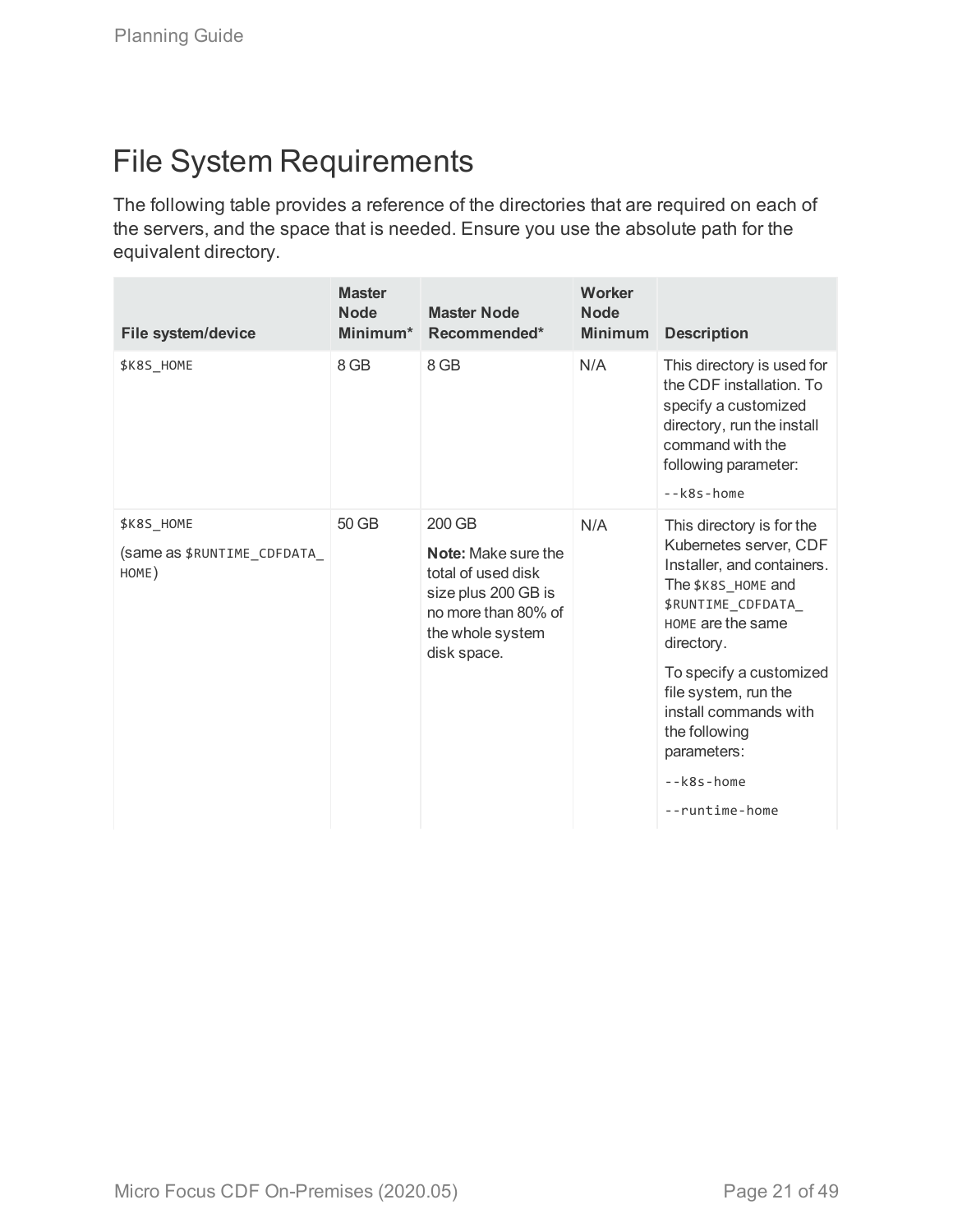# <span id="page-20-0"></span>File System Requirements

The following table provides a reference of the directories that are required on each of the servers, and the space that is needed. Ensure you use the absolute path for the equivalent directory.

| File system/device                                       | <b>Master</b><br><b>Node</b><br>Minimum* | <b>Master Node</b><br>Recommended*                                                                                                          | Worker<br><b>Node</b><br><b>Minimum</b> | <b>Description</b>                                                                                                                                                        |
|----------------------------------------------------------|------------------------------------------|---------------------------------------------------------------------------------------------------------------------------------------------|-----------------------------------------|---------------------------------------------------------------------------------------------------------------------------------------------------------------------------|
| \$K8S_HOME                                               | 8 GB                                     | 8 GB                                                                                                                                        | N/A                                     | This directory is used for<br>the CDF installation. To<br>specify a customized<br>directory, run the install<br>command with the<br>following parameter:<br>$ k8s$ - home |
| <b>\$K8S HOME</b><br>(same as \$RUNTIME CDFDATA<br>HOME) | 50 GB                                    | 200 GB<br><b>Note:</b> Make sure the<br>total of used disk<br>size plus 200 GB is<br>no more than 80% of<br>the whole system<br>disk space. | N/A                                     | This directory is for the<br>Kubernetes server, CDF<br>Installer, and containers.<br>The \$K8S_HOME and<br>\$RUNTIME_CDFDATA_<br>HOME are the same<br>directory.          |
|                                                          |                                          |                                                                                                                                             |                                         | To specify a customized<br>file system, run the<br>install commands with<br>the following<br>parameters:                                                                  |
|                                                          |                                          |                                                                                                                                             |                                         | $-k8s$ -home                                                                                                                                                              |
|                                                          |                                          |                                                                                                                                             |                                         | --runtime-home                                                                                                                                                            |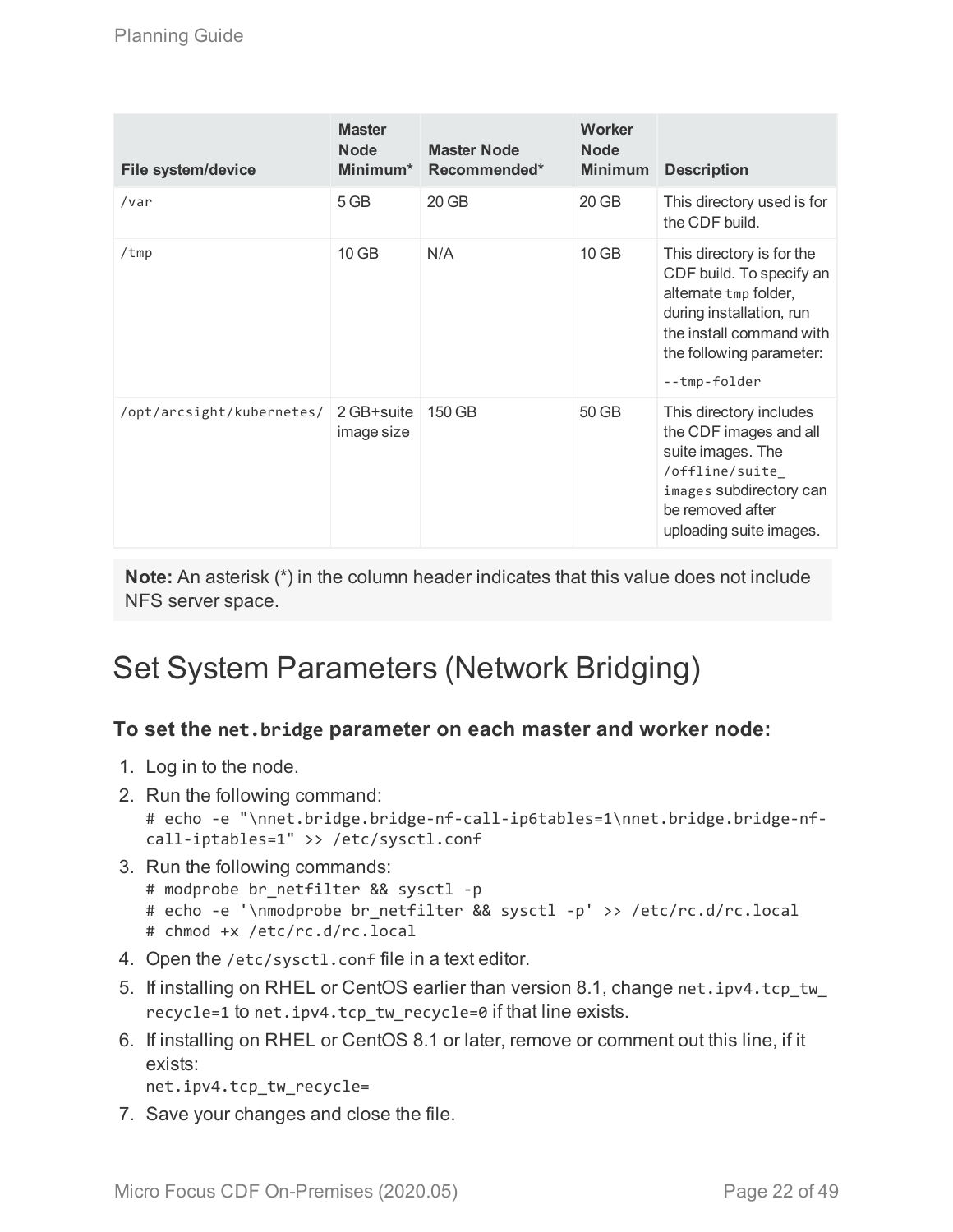| <b>File system/device</b> | <b>Master</b><br><b>Node</b><br>Minimum* | <b>Master Node</b><br>Recommended* | Worker<br><b>Node</b><br><b>Minimum</b> | <b>Description</b>                                                                                                                                                                 |
|---------------------------|------------------------------------------|------------------------------------|-----------------------------------------|------------------------------------------------------------------------------------------------------------------------------------------------------------------------------------|
| /var                      | 5 GB                                     | 20 GB                              | 20 GB                                   | This directory used is for<br>the CDF build.                                                                                                                                       |
| /tmp                      | $10$ GB                                  | N/A                                | $10$ GB                                 | This directory is for the<br>CDF build. To specify an<br>alternate tmp folder,<br>during installation, run<br>the install command with<br>the following parameter:<br>--tmp-folder |
| /opt/arcsight/kubernetes/ | 2 GB+suite<br>image size                 | 150 GB                             | 50 GB                                   | This directory includes<br>the CDF images and all<br>suite images. The<br>/offline/suite_<br>images subdirectory can<br>be removed after<br>uploading suite images.                |

**Note:** An asterisk (\*) in the column header indicates that this value does not include NFS server space.

# <span id="page-21-0"></span>Set System Parameters (Network Bridging)

### **To set the net.bridge parameter on each master and worker node:**

- 1. Log in to the node.
- 2. Run the following command: # echo -e "\nnet.bridge.bridge-nf-call-ip6tables=1\nnet.bridge.bridge-nfcall-iptables=1" >> /etc/sysctl.conf
- 3. Run the following commands: # modprobe br\_netfilter && sysctl -p # echo -e '\nmodprobe br\_netfilter && sysctl -p' >> /etc/rc.d/rc.local # chmod +x /etc/rc.d/rc.local
- 4. Open the /etc/sysctl.conf file in a text editor.
- 5. If installing on RHEL or CentOS earlier than version 8.1, change net.ipv4.tcp\_tw recycle=1 to net.ipv4.tcp\_tw\_recycle=0 if that line exists.
- 6. If installing on RHEL or CentOS 8.1 or later, remove or comment out this line, if it exists:

```
net.ipv4.tcp_tw_recycle=
```
7. Save your changes and close the file.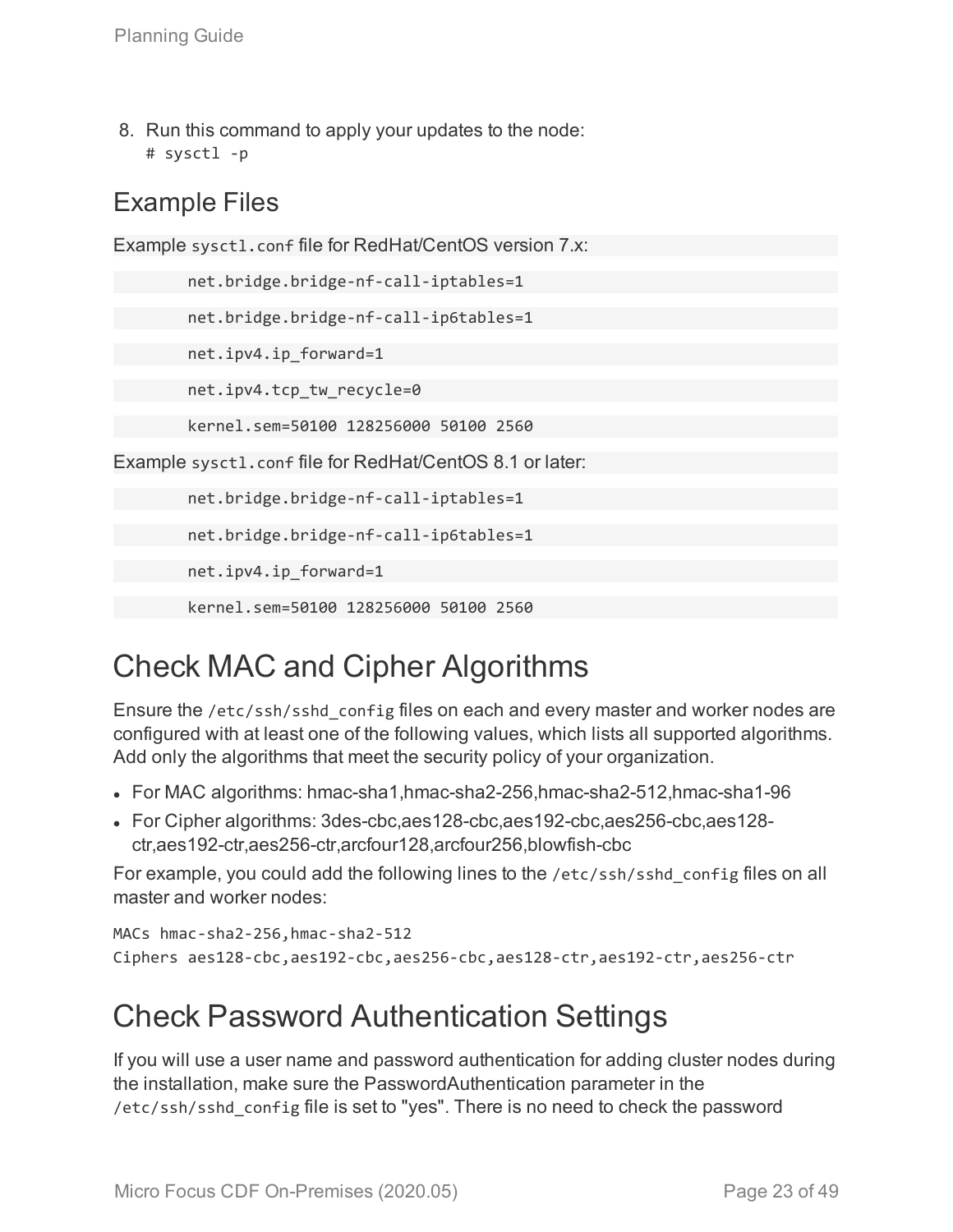8. Run this command to apply your updates to the node: # sysctl -p

### Example Files

Example sysctl.conf file for RedHat/CentOS version 7.x: net.bridge.bridge-nf-call-iptables=1 net.bridge.bridge-nf-call-ip6tables=1 net.ipv4.ip\_forward=1 net.ipv4.tcp\_tw\_recycle=0 kernel.sem=50100 128256000 50100 2560 Example sysctl.conf file for RedHat/CentOS 8.1 or later: net.bridge.bridge-nf-call-iptables=1 net.bridge.bridge-nf-call-ip6tables=1 net.ipv4.ip\_forward=1 kernel.sem=50100 128256000 50100 2560

# <span id="page-22-0"></span>Check MAC and Cipher Algorithms

Ensure the /etc/ssh/sshd\_config files on each and every master and worker nodes are configured with at least one of the following values, which lists all supported algorithms. Add only the algorithms that meet the security policy of your organization.

- For MAC algorithms: hmac-sha1,hmac-sha2-256,hmac-sha2-512,hmac-sha1-96
- For Cipher algorithms: 3des-cbc,aes128-cbc,aes192-cbc,aes256-cbc,aes128ctr,aes192-ctr,aes256-ctr,arcfour128,arcfour256,blowfish-cbc

For example, you could add the following lines to the /etc/ssh/sshd\_config files on all master and worker nodes:

```
MACs hmac-sha2-256,hmac-sha2-512
Ciphers aes128-cbc,aes192-cbc,aes256-cbc,aes128-ctr,aes192-ctr,aes256-ctr
```
# <span id="page-22-1"></span>Check Password Authentication Settings

If you will use a user name and password authentication for adding cluster nodes during the installation, make sure the PasswordAuthentication parameter in the /etc/ssh/sshd\_config file is set to "yes". There is no need to check the password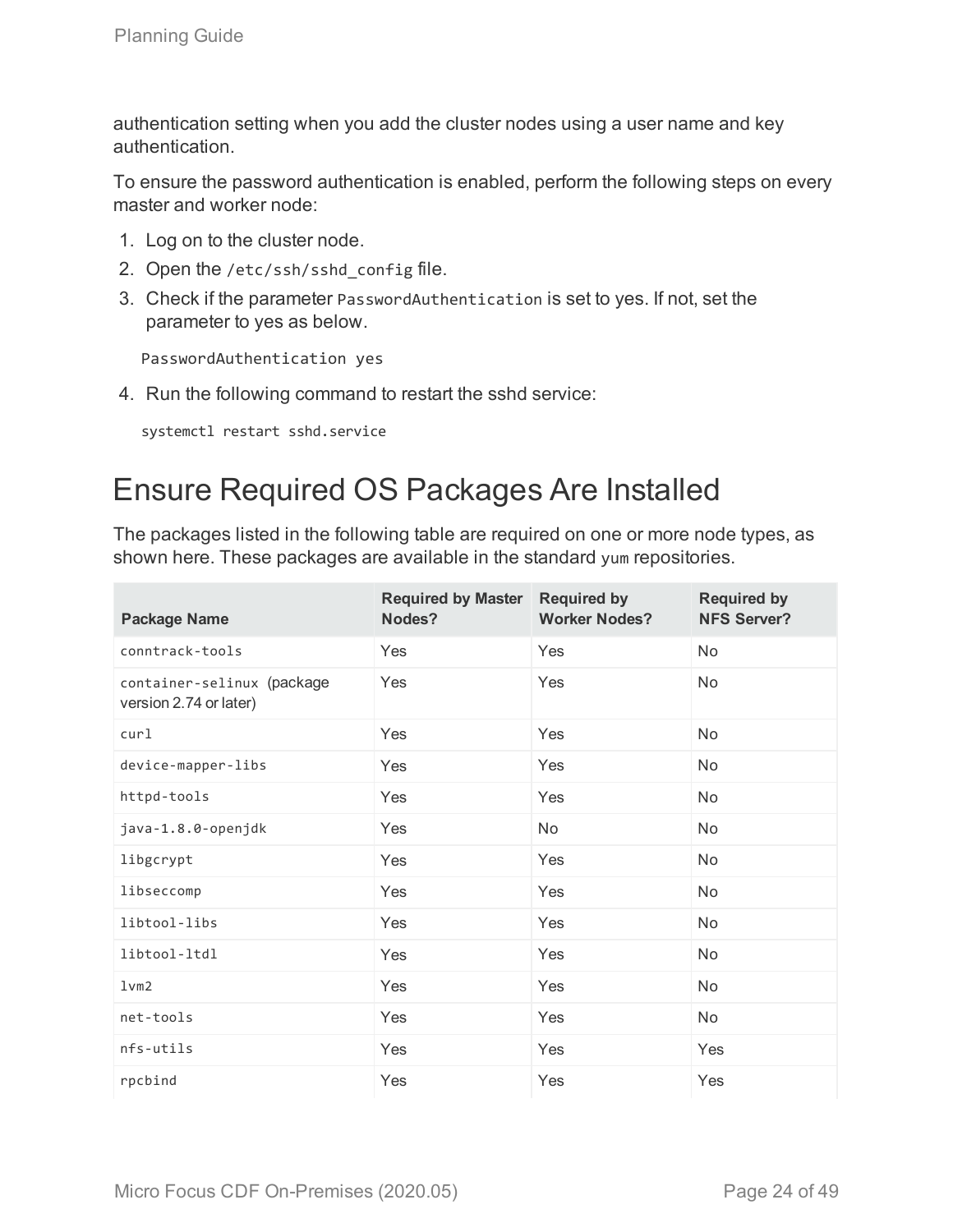authentication setting when you add the cluster nodes using a user name and key authentication.

To ensure the password authentication is enabled, perform the following steps on every master and worker node:

- 1. Log on to the cluster node.
- 2. Open the /etc/ssh/sshd\_config file.
- 3. Check if the parameter PasswordAuthentication is set to yes. If not, set the parameter to yes as below.

PasswordAuthentication yes

4. Run the following command to restart the sshd service:

<span id="page-23-0"></span>systemctl restart sshd.service

# Ensure Required OS Packages Are Installed

The packages listed in the following table are required on one or more node types, as shown here. These packages are available in the standard yum repositories.

| <b>Package Name</b>                                  | <b>Required by Master</b><br>Nodes? | <b>Required by</b><br><b>Worker Nodes?</b> | <b>Required by</b><br><b>NFS Server?</b> |
|------------------------------------------------------|-------------------------------------|--------------------------------------------|------------------------------------------|
| conntrack-tools                                      | Yes                                 | Yes                                        | <b>No</b>                                |
| container-selinux (package<br>version 2.74 or later) | Yes                                 | Yes                                        | No                                       |
| cur1                                                 | Yes                                 | Yes                                        | <b>No</b>                                |
| device-mapper-libs                                   | Yes                                 | Yes                                        | <b>No</b>                                |
| httpd-tools                                          | Yes                                 | Yes                                        | No                                       |
| java-1.8.0-openjdk                                   | Yes                                 | No                                         | No                                       |
| libgcrypt                                            | Yes                                 | Yes                                        | No                                       |
| libseccomp                                           | Yes                                 | Yes                                        | No                                       |
| libtool-libs                                         | Yes                                 | Yes                                        | No                                       |
| libtool-ltdl                                         | Yes                                 | Yes                                        | No                                       |
| 1vm2                                                 | Yes                                 | Yes                                        | No                                       |
| net-tools                                            | Yes                                 | Yes                                        | No                                       |
| nfs-utils                                            | Yes                                 | Yes                                        | Yes                                      |
| rpcbind                                              | Yes                                 | Yes                                        | Yes                                      |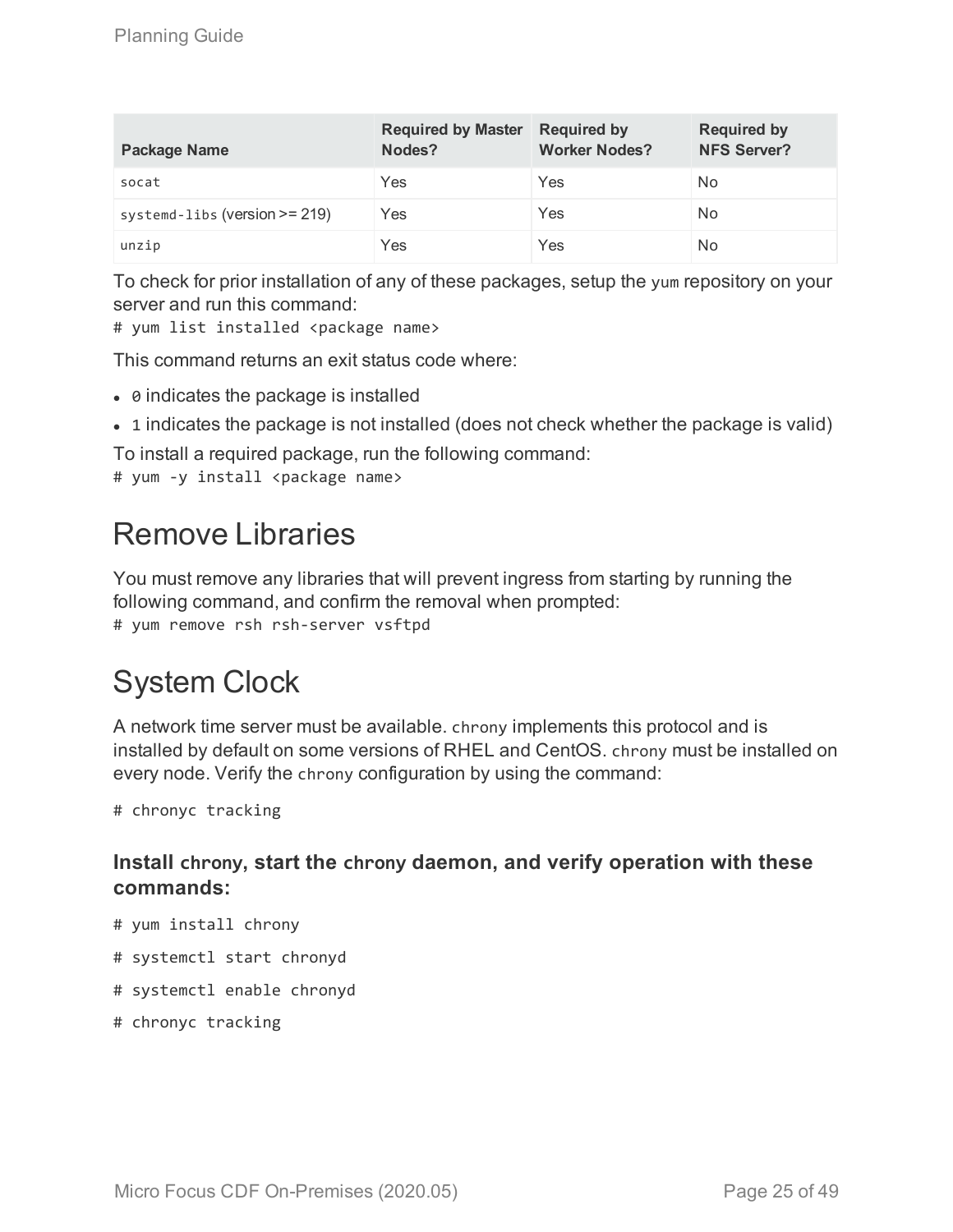| <b>Package Name</b>              | <b>Required by Master</b><br>Nodes? | <b>Required by</b><br><b>Worker Nodes?</b> | <b>Required by</b><br><b>NFS Server?</b> |
|----------------------------------|-------------------------------------|--------------------------------------------|------------------------------------------|
| socat                            | Yes                                 | Yes                                        | No                                       |
| systemd-libs (version $>= 219$ ) | Yes                                 | Yes                                        | No                                       |
| unzip                            | Yes                                 | Yes                                        | No                                       |

To check for prior installation of any of these packages, setup the yum repository on your server and run this command:

# yum list installed <package name>

This command returns an exit status code where:

- $\bullet$  0 indicates the package is installed
- 1 indicates the package is not installed (does not check whether the package is valid)

To install a required package, run the following command:

<span id="page-24-0"></span># yum -y install <package name>

## Remove Libraries

You must remove any libraries that will prevent ingress from starting by running the following command, and confirm the removal when prompted: # yum remove rsh rsh-server vsftpd

# <span id="page-24-1"></span>System Clock

A network time server must be available. chrony implements this protocol and is installed by default on some versions of RHEL and CentOS. chrony must be installed on every node. Verify the chrony configuration by using the command:

# chronyc tracking

### **Install chrony, start the chrony daemon, and verify operation with these commands:**

- # yum install chrony
- # systemctl start chronyd
- # systemctl enable chronyd
- # chronyc tracking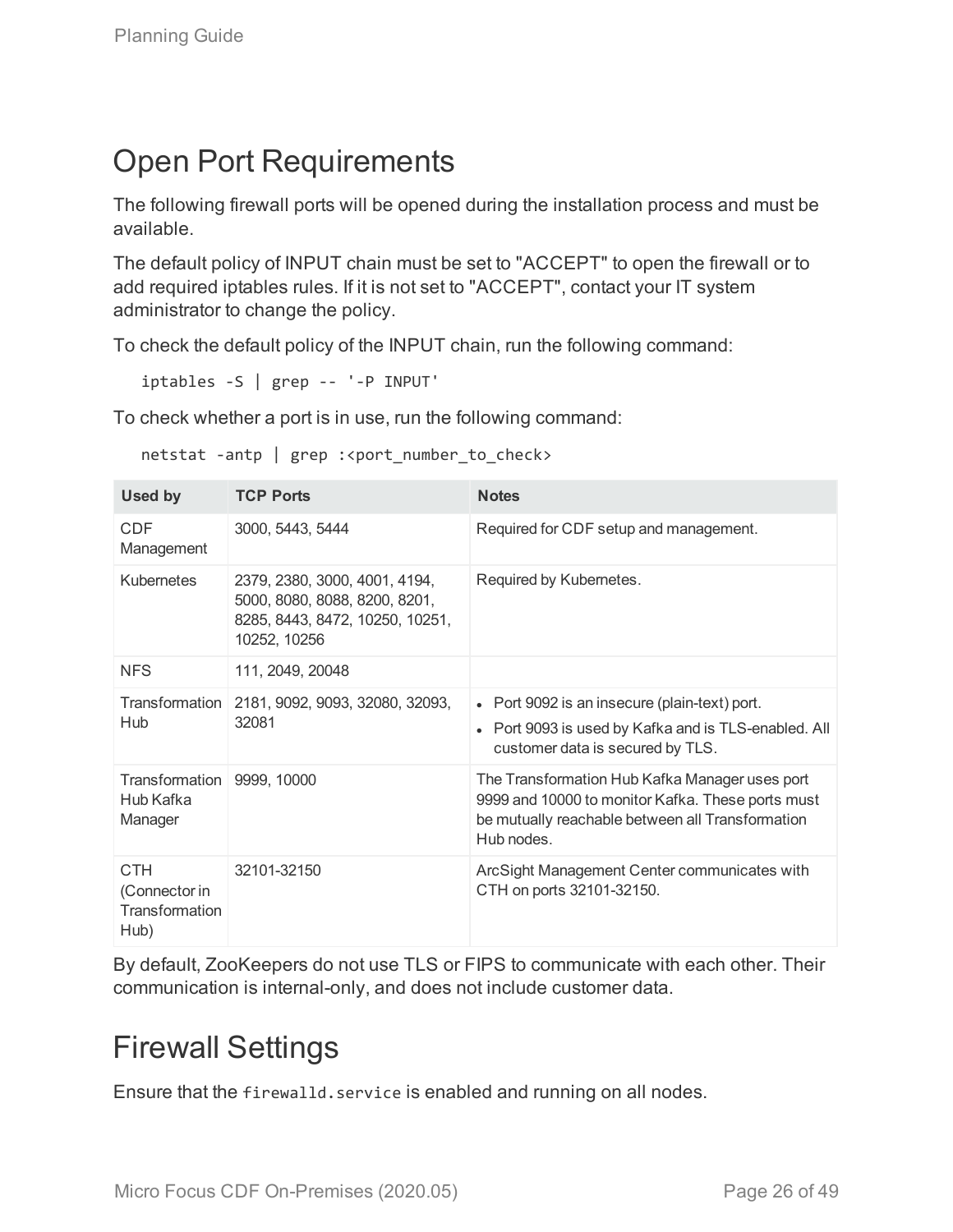# <span id="page-25-0"></span>Open Port Requirements

The following firewall ports will be opened during the installation process and must be available.

The default policy of INPUT chain must be set to "ACCEPT" to open the firewall or to add required iptables rules. If it is not set to "ACCEPT", contact your IT system administrator to change the policy.

To check the default policy of the INPUT chain, run the following command:

```
iptables -S | grep -- '-P INPUT'
```
To check whether a port is in use, run the following command:

| netstat -antp   grep : <port_number_to_check></port_number_to_check> |  |  |  |  |  |
|----------------------------------------------------------------------|--|--|--|--|--|
|----------------------------------------------------------------------|--|--|--|--|--|

| <b>Used by</b>                                        | <b>TCP Ports</b>                                                                                                  | <b>Notes</b>                                                                                                                                                          |
|-------------------------------------------------------|-------------------------------------------------------------------------------------------------------------------|-----------------------------------------------------------------------------------------------------------------------------------------------------------------------|
| <b>CDF</b><br>Management                              | 3000, 5443, 5444                                                                                                  | Required for CDF setup and management.                                                                                                                                |
| Kubernetes                                            | 2379, 2380, 3000, 4001, 4194,<br>5000, 8080, 8088, 8200, 8201,<br>8285, 8443, 8472, 10250, 10251,<br>10252, 10256 | Required by Kubernetes.                                                                                                                                               |
| <b>NFS</b>                                            | 111, 2049, 20048                                                                                                  |                                                                                                                                                                       |
| Transformation<br>Hub                                 | 2181, 9092, 9093, 32080, 32093,<br>32081                                                                          | • Port 9092 is an insecure (plain-text) port.<br>• Port 9093 is used by Kafka and is TLS-enabled. All<br>customer data is secured by TLS.                             |
| Transformation 9999, 10000<br>Hub Kafka<br>Manager    |                                                                                                                   | The Transformation Hub Kafka Manager uses port<br>9999 and 10000 to monitor Kafka. These ports must<br>be mutually reachable between all Transformation<br>Hub nodes. |
| <b>CTH</b><br>(Connector in<br>Transformation<br>Hub) | 32101-32150                                                                                                       | ArcSight Management Center communicates with<br>CTH on ports 32101-32150.                                                                                             |

<span id="page-25-1"></span>By default, ZooKeepers do not use TLS or FIPS to communicate with each other. Their communication is internal-only, and does not include customer data.

## Firewall Settings

Ensure that the firewalld.service is enabled and running on all nodes.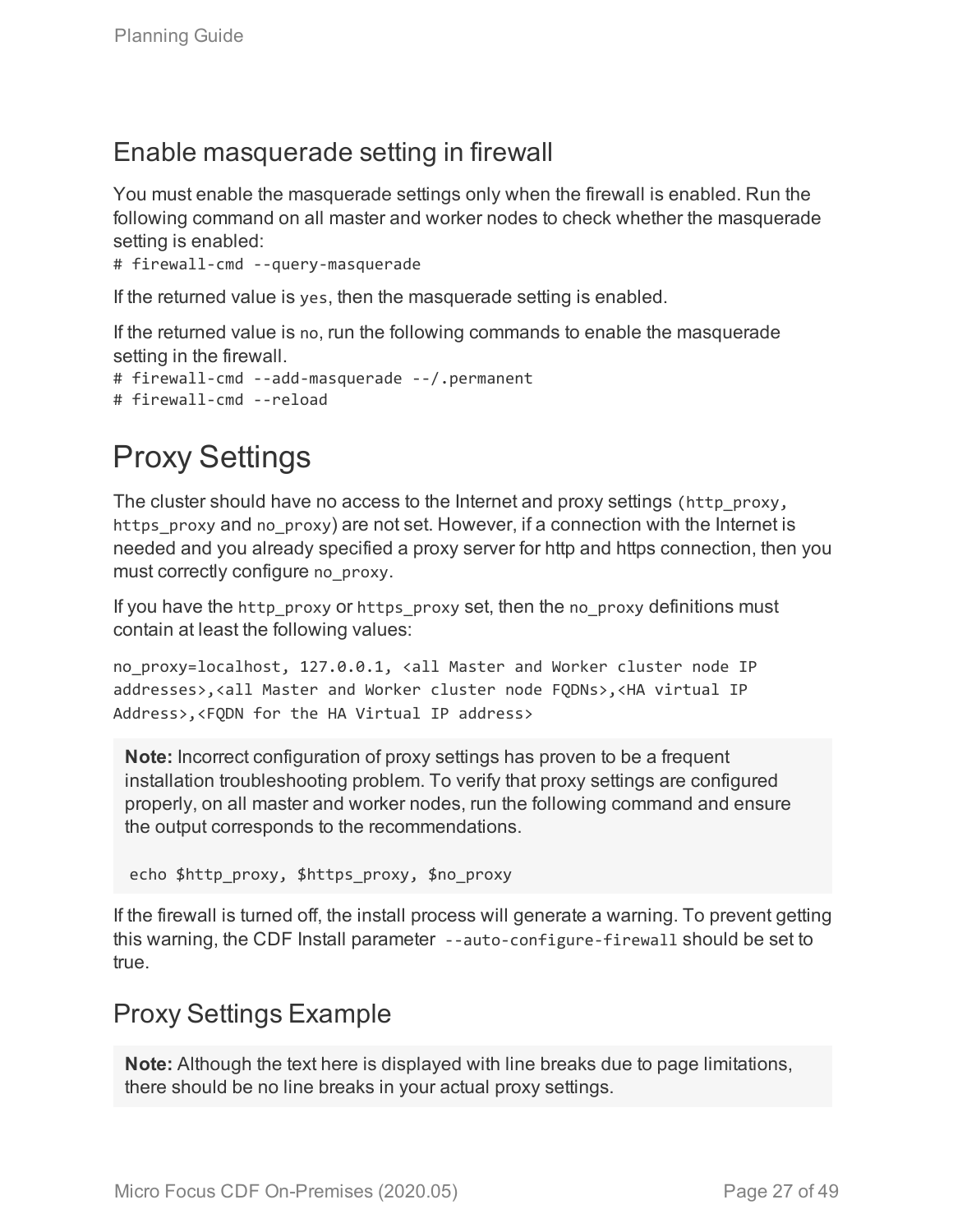### Enable masquerade setting in firewall

You must enable the masquerade settings only when the firewall is enabled. Run the following command on all master and worker nodes to check whether the masquerade setting is enabled:

```
# firewall-cmd --query-masquerade
```
If the returned value is yes, then the masquerade setting is enabled.

If the returned value is no, run the following commands to enable the masquerade setting in the firewall.

```
# firewall-cmd --add-masquerade --/.permanent
# firewall-cmd --reload
```
# Proxy Settings

The cluster should have no access to the Internet and proxy settings (http\_proxy, https proxy and no proxy) are not set. However, if a connection with the Internet is needed and you already specified a proxy server for http and https connection, then you must correctly configure no proxy.

If you have the http\_proxy or https\_proxy set, then the no\_proxy definitions must contain at least the following values:

no proxy=localhost, 127.0.0.1, <all Master and Worker cluster node IP addresses>,<all Master and Worker cluster node FQDNs>,<HA virtual IP Address>,<FQDN for the HA Virtual IP address>

**Note:** Incorrect configuration of proxy settings has proven to be a frequent installation troubleshooting problem. To verify that proxy settings are configured properly, on all master and worker nodes, run the following command and ensure the output corresponds to the recommendations.

```
echo $http proxy, $https proxy, $no proxy
```
If the firewall is turned off, the install process will generate a warning. To prevent getting this warning, the CDF Install parameter --auto-configure-firewall should be set to true.

### <span id="page-26-1"></span>Proxy Settings Example

**Note:** Although the text here is displayed with line breaks due to page limitations, there should be no line breaks in your actual proxy settings.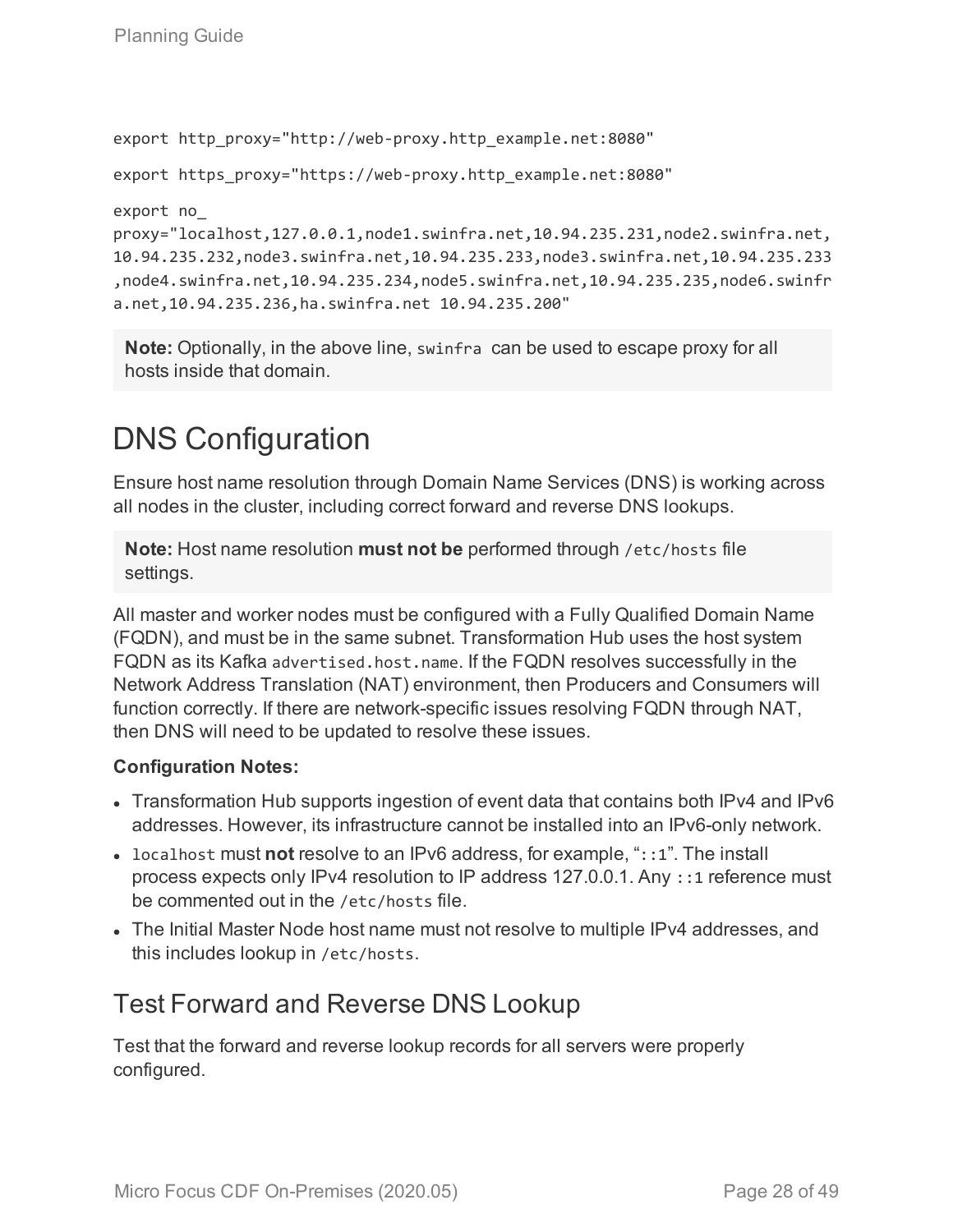```
export http_proxy="http://web-proxy.http_example.net:8080"
export https proxy="https://web-proxy.http example.net:8080"
export no_
proxy="localhost,127.0.0.1,node1.swinfra.net,10.94.235.231,node2.swinfra.net,
10.94.235.232,node3.swinfra.net,10.94.235.233,node3.swinfra.net,10.94.235.233
,node4.swinfra.net,10.94.235.234,node5.swinfra.net,10.94.235.235,node6.swinfr
a.net,10.94.235.236,ha.swinfra.net 10.94.235.200"
```
**Note:** Optionally, in the above line, swinfra can be used to escape proxy for all hosts inside that domain.

# <span id="page-27-0"></span>DNS Configuration

Ensure host name resolution through Domain Name Services (DNS) is working across all nodes in the cluster, including correct forward and reverse DNS lookups.

**Note:** Host name resolution **must not be** performed through /etc/hosts file settings.

All master and worker nodes must be configured with a Fully Qualified Domain Name (FQDN), and must be in the same subnet. Transformation Hub uses the host system FQDN as its Kafka advertised.host.name. If the FQDN resolves successfully in the Network Address Translation (NAT) environment, then Producers and Consumers will function correctly. If there are network-specific issues resolving FQDN through NAT, then DNS will need to be updated to resolve these issues.

### **Configuration Notes:**

- Transformation Hub supports ingestion of event data that contains both IPv4 and IPv6 addresses. However, its infrastructure cannot be installed into an IPv6-only network.
- localhost must not resolve to an IPv6 address, for example, "::1". The install process expects only IPv4 resolution to IP address 127.0.0.1. Any ::1 reference must be commented out in the /etc/hosts file.
- The Initial Master Node host name must not resolve to multiple IPv4 addresses, and this includes lookup in /etc/hosts.

## <span id="page-27-1"></span>Test Forward and Reverse DNS Lookup

Test that the forward and reverse lookup records for all servers were properly configured.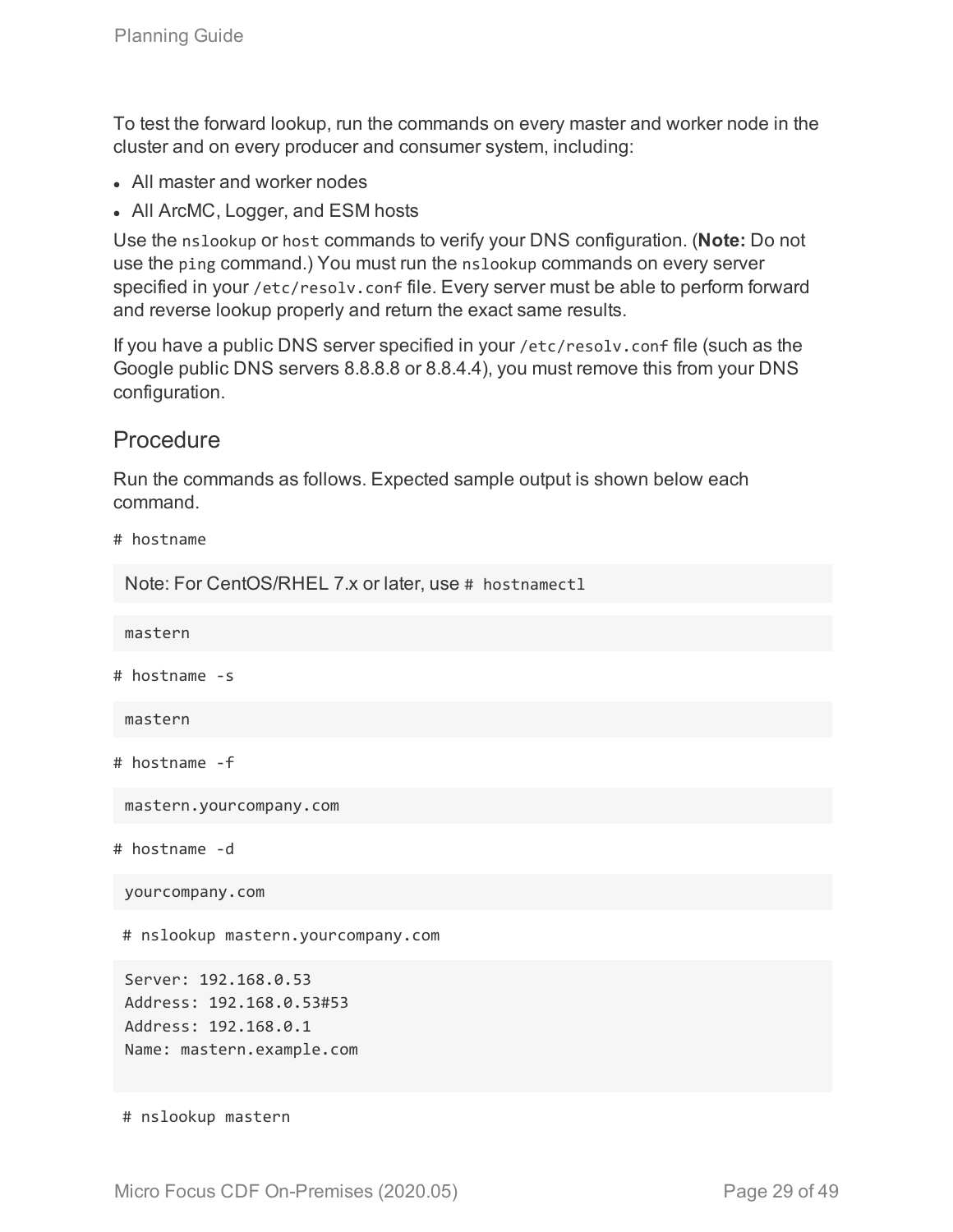To test the forward lookup, run the commands on every master and worker node in the cluster and on every producer and consumer system, including:

- All master and worker nodes
- All ArcMC, Logger, and ESM hosts

Use the nslookup or host commands to verify your DNS configuration. (**Note:** Do not use the ping command.) You must run the nslookup commands on every server specified in your /etc/resolv.conf file. Every server must be able to perform forward and reverse lookup properly and return the exact same results.

If you have a public DNS server specified in your /etc/resolv.conf file (such as the Google public DNS servers 8.8.8.8 or 8.8.4.4), you must remove this from your DNS configuration.

### **Procedure**

Run the commands as follows. Expected sample output is shown below each command.

```
# hostname
```
Note: For CentOS/RHEL 7.x or later, use # hostnamect1

mastern

# hostname -s

mastern

```
# hostname -f
```
mastern.yourcompany.com

# hostname -d

yourcompany.com

# nslookup mastern.yourcompany.com

Server: 192.168.0.53 Address: 192.168.0.53#53 Address: 192.168.0.1 Name: mastern.example.com

# nslookup mastern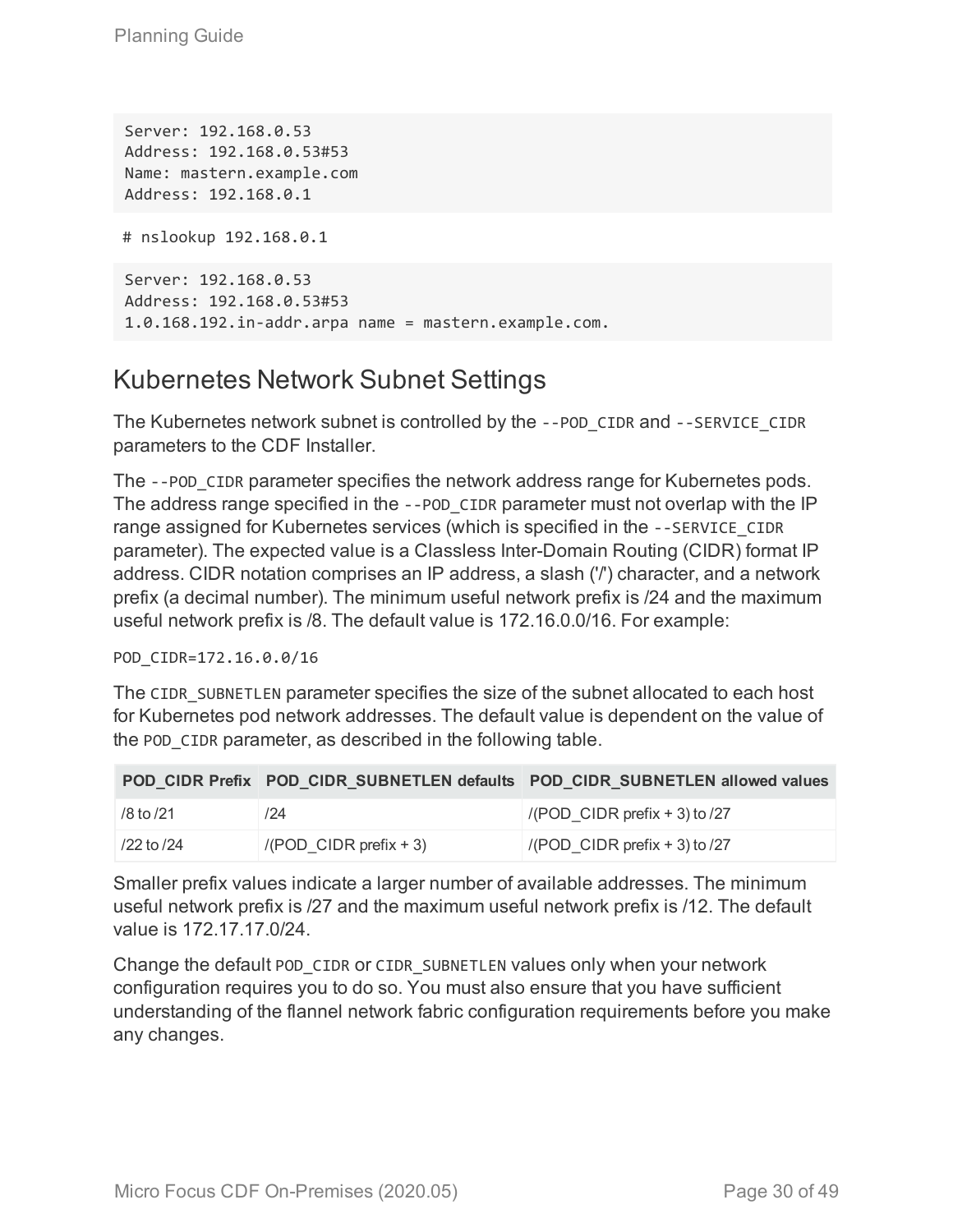Server: 192.168.0.53 Address: 192.168.0.53#53 Name: mastern.example.com Address: 192.168.0.1

# nslookup 192.168.0.1

Server: 192.168.0.53 Address: 192.168.0.53#53 1.0.168.192.in-addr.arpa name = mastern.example.com.

### <span id="page-29-0"></span>Kubernetes Network Subnet Settings

The Kubernetes network subnet is controlled by the --POD\_CIDR and --SERVICE\_CIDR parameters to the CDF Installer.

The --POD\_CIDR parameter specifies the network address range for Kubernetes pods. The address range specified in the --POD\_CIDR parameter must not overlap with the IP range assigned for Kubernetes services (which is specified in the --SERVICE\_CIDR parameter). The expected value is a Classless Inter-Domain Routing (CIDR) format IP address. CIDR notation comprises an IP address, a slash ('/') character, and a network prefix (a decimal number). The minimum useful network prefix is /24 and the maximum useful network prefix is /8. The default value is 172.16.0.0/16. For example:

POD CIDR=172.16.0.0/16

The CIDR SUBNETLEN parameter specifies the size of the subnet allocated to each host for Kubernetes pod network addresses. The default value is dependent on the value of the POD CIDR parameter, as described in the following table.

|               |                          | POD_CIDR_Prefix_POD_CIDR_SUBNETLEN_defaults_POD_CIDR_SUBNETLEN_allowed_values |
|---------------|--------------------------|-------------------------------------------------------------------------------|
| $/8$ to $/21$ | 124                      | /(POD CIDR prefix $+$ 3) to /27                                               |
| 22 to /24     | $/(POD$ CIDR prefix + 3) | /(POD CIDR prefix $+$ 3) to /27                                               |

Smaller prefix values indicate a larger number of available addresses. The minimum useful network prefix is /27 and the maximum useful network prefix is /12. The default value is 172.17.17.0/24.

Change the default POD CIDR or CIDR SUBNETLEN values only when your network configuration requires you to do so. You must also ensure that you have sufficient understanding of the flannel network fabric configuration requirements before you make any changes.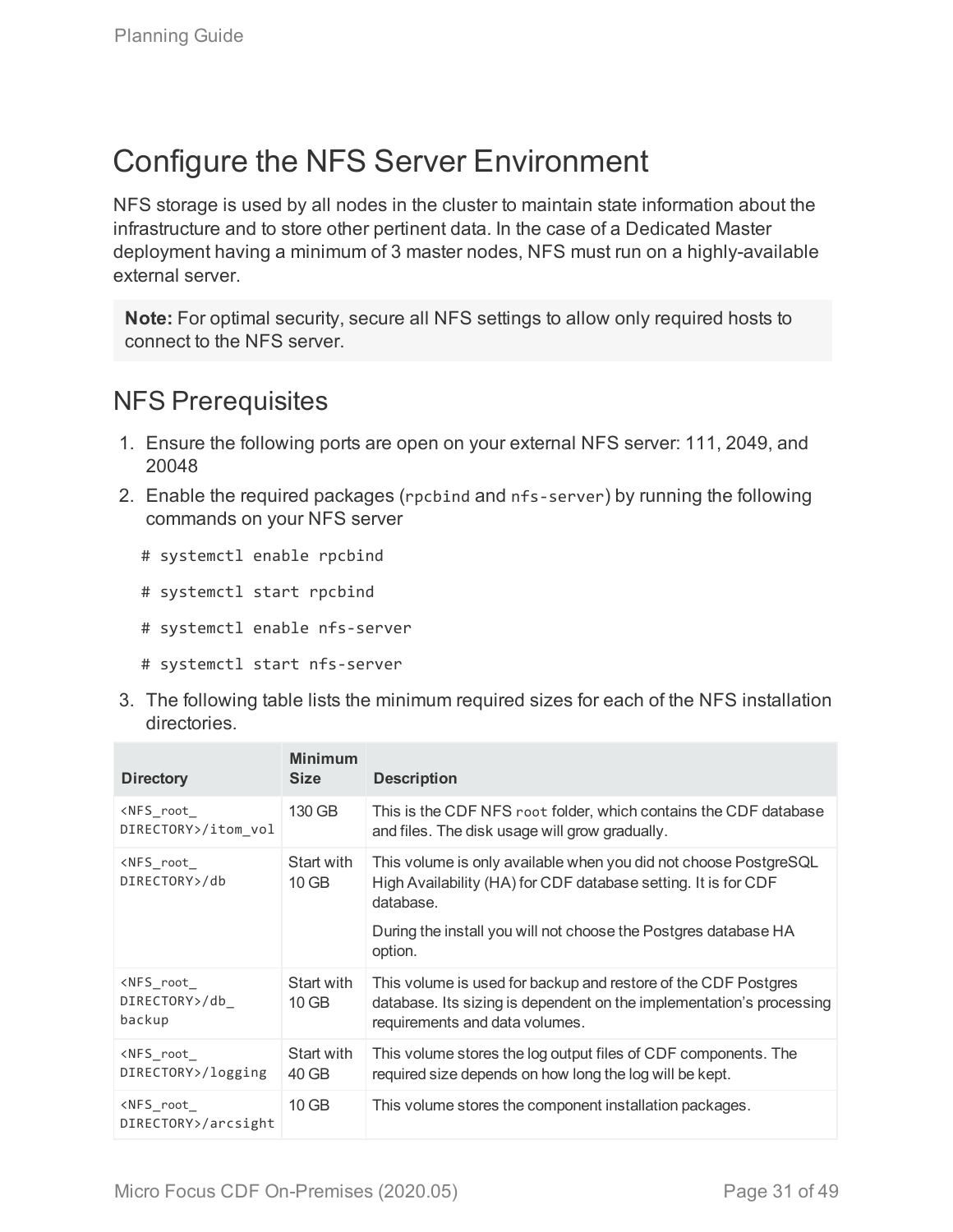# <span id="page-30-0"></span>Configure the NFS Server Environment

NFS storage is used by all nodes in the cluster to maintain state information about the infrastructure and to store other pertinent data. In the case of a Dedicated Master deployment having a minimum of 3 master nodes, NFS must run on a highly-available external server.

**Note:** For optimal security, secure all NFS settings to allow only required hosts to connect to the NFS server.

### <span id="page-30-1"></span>NFS Prerequisites

- 1. Ensure the following ports are open on your external NFS server: 111, 2049, and 20048
- 2. Enable the required packages (rpcbind and nfs-server) by running the following commands on your NFS server
	- # systemctl enable rpcbind
	- # systemctl start rpcbind
	- # systemctl enable nfs-server
	- # systemctl start nfs-server
- 3. The following table lists the minimum required sizes for each of the NFS installation directories.

| <b>Directory</b>                                  | <b>Minimum</b><br><b>Size</b> | <b>Description</b>                                                                                                                                                                                                            |
|---------------------------------------------------|-------------------------------|-------------------------------------------------------------------------------------------------------------------------------------------------------------------------------------------------------------------------------|
| <nfs root<br="">DIRECTORY&gt;/itom vol</nfs>      | 130 GB                        | This is the CDF NFS root folder, which contains the CDF database<br>and files. The disk usage will grow gradually.                                                                                                            |
| <nfs root<br="">DIRECTORY&gt;/db</nfs>            | Start with<br>$10$ GB         | This volume is only available when you did not choose PostgreSQL<br>High Availability (HA) for CDF database setting. It is for CDF<br>database.<br>During the install you will not choose the Postgres database HA<br>option. |
| <nfs root<br="">DIRECTORY&gt;/db<br/>backup</nfs> | Start with<br>$10$ GB         | This volume is used for backup and restore of the CDF Postgres<br>database. Its sizing is dependent on the implementation's processing<br>requirements and data volumes.                                                      |
| <nfs root<br="">DIRECTORY&gt;/logging</nfs>       | Start with<br>40 GB           | This volume stores the log output files of CDF components. The<br>required size depends on how long the log will be kept.                                                                                                     |
| <nfs root<br="">DIRECTORY&gt;/arcsight</nfs>      | $10$ GB                       | This volume stores the component installation packages.                                                                                                                                                                       |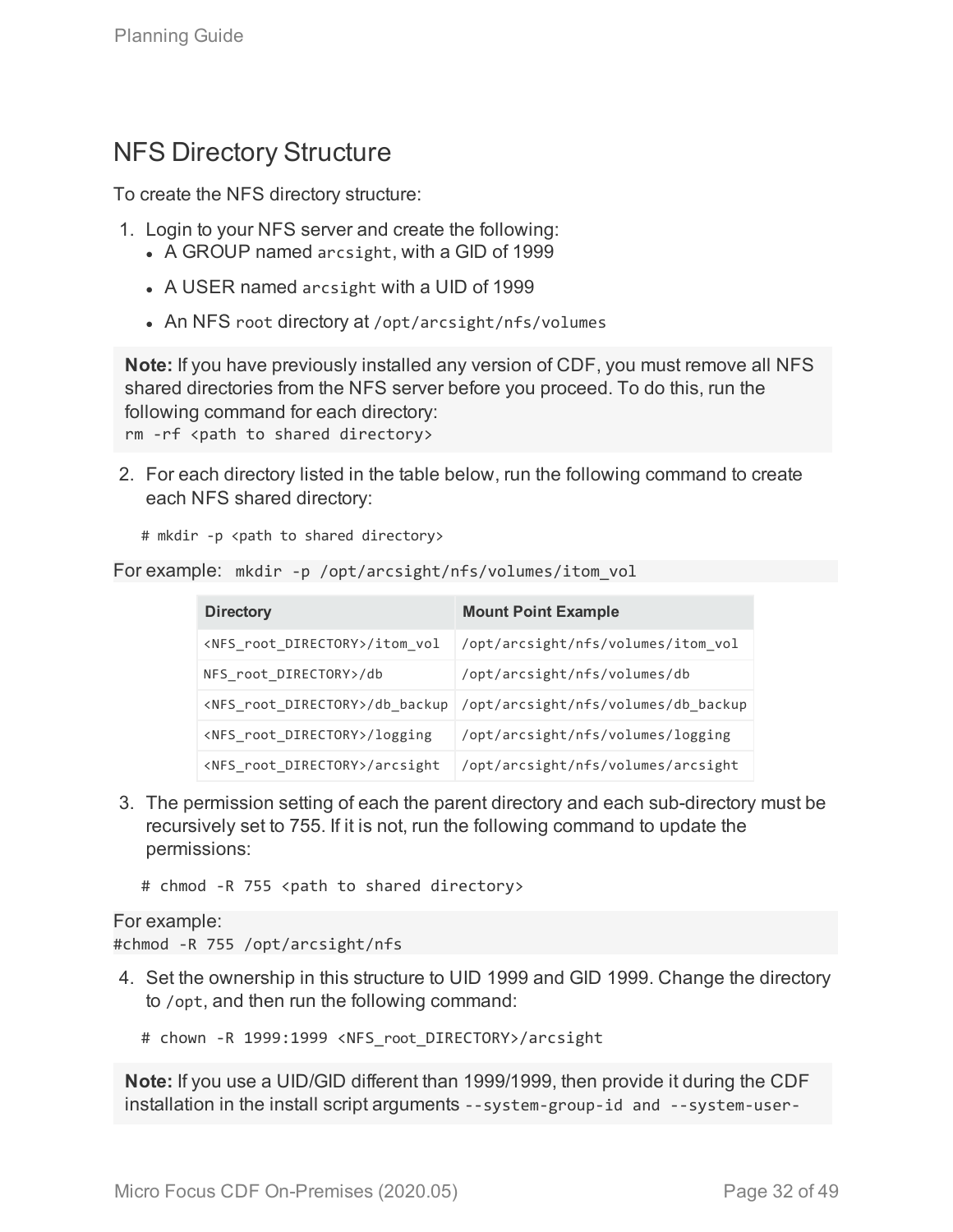### <span id="page-31-0"></span>NFS Directory Structure

To create the NFS directory structure:

- 1. Login to your NFS server and create the following:
	- A GROUP named arcsight, with a GID of 1999
	- A USER named arcsight with a UID of 1999
	- An NFS root directory at /opt/arcsight/nfs/volumes

**Note:** If you have previously installed any version of CDF, you must remove all NFS shared directories from the NFS server before you proceed. To do this, run the following command for each directory:

rm -rf <path to shared directory>

2. For each directory listed in the table below, run the following command to create each NFS shared directory:

```
# mkdir -p <path to shared directory>
```

```
For example: mkdir -p /opt/arcsight/nfs/volumes/itom_vol
```

| <b>Directory</b>                           | <b>Mount Point Example</b>          |
|--------------------------------------------|-------------------------------------|
| <nfs directory="" root="">/itom vol</nfs>  | /opt/arcsight/nfs/volumes/itom_vol  |
| NFS root DIRECTORY>/db                     | /opt/arcsight/nfs/volumes/db        |
| <nfs directory="" root="">/db backup</nfs> | /opt/arcsight/nfs/volumes/db backup |
| <nfs directory="" root="">/logging</nfs>   | /opt/arcsight/nfs/volumes/logging   |
| <nfs directory="" root="">/arcsight</nfs>  | /opt/arcsight/nfs/volumes/arcsight  |

3. The permission setting of each the parent directory and each sub-directory must be recursively set to 755. If it is not, run the following command to update the permissions:

# chmod -R 755 <path to shared directory>

#### For example:

#chmod -R 755 /opt/arcsight/nfs

4. Set the ownership in this structure to UID 1999 and GID 1999. Change the directory to /opt, and then run the following command:

# chown -R 1999:1999 <NFS root DIRECTORY>/arcsight

**Note:** If you use a UID/GID different than 1999/1999, then provide it during the CDF installation in the install script arguments --system-group-id and --system-user-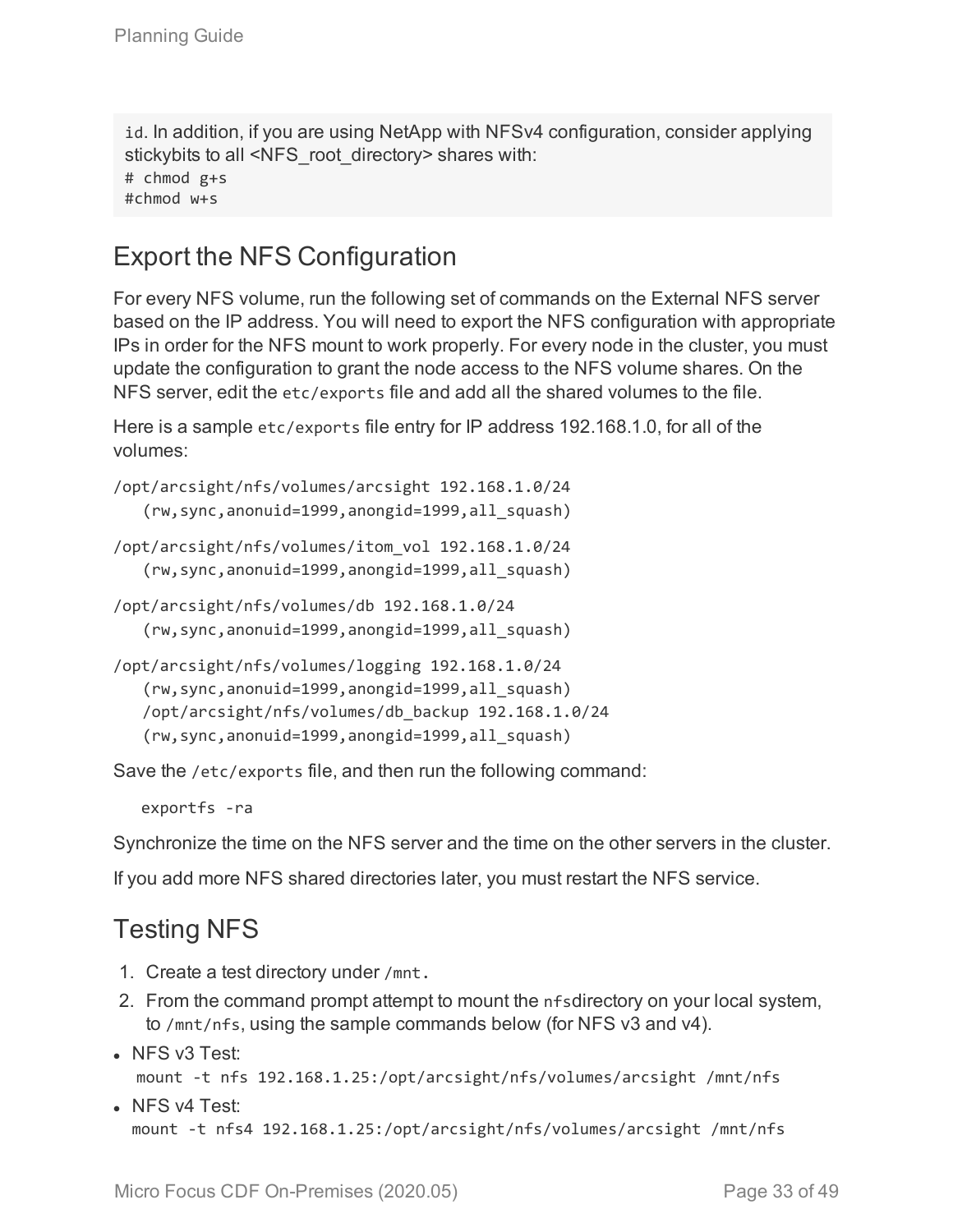id. In addition, if you are using NetApp with NFSv4 configuration, consider applying stickybits to all <NFS\_root\_directory> shares with: # chmod g+s

<span id="page-32-0"></span>#chmod w+s

### Export the NFS Configuration

For every NFS volume, run the following set of commands on the External NFS server based on the IP address. You will need to export the NFS configuration with appropriate IPs in order for the NFS mount to work properly. For every node in the cluster, you must update the configuration to grant the node access to the NFS volume shares. On the NFS server, edit the etc/exports file and add all the shared volumes to the file.

Here is a sample etc/exports file entry for IP address 192.168.1.0, for all of the volumes:

```
/opt/arcsight/nfs/volumes/arcsight 192.168.1.0/24
   (rw,sync,anonuid=1999,anongid=1999,all_squash)
/opt/arcsight/nfs/volumes/itom_vol 192.168.1.0/24
```

```
(rw,sync,anonuid=1999,anongid=1999,all_squash)
```

```
/opt/arcsight/nfs/volumes/db 192.168.1.0/24
   (rw,sync,anonuid=1999,anongid=1999,all_squash)
```

```
/opt/arcsight/nfs/volumes/logging 192.168.1.0/24
   (rw,sync,anonuid=1999,anongid=1999,all_squash)
   /opt/arcsight/nfs/volumes/db_backup 192.168.1.0/24
   (rw,sync,anonuid=1999,anongid=1999,all_squash)
```
Save the /etc/exports file, and then run the following command:

exportfs -ra

Synchronize the time on the NFS server and the time on the other servers in the cluster.

<span id="page-32-1"></span>If you add more NFS shared directories later, you must restart the NFS service.

## Testing NFS

- 1. Create a test directory under /mnt.
- 2. From the command prompt attempt to mount the nfsdirectory on your local system, to /mnt/nfs, using the sample commands below (for NFS v3 and v4).
- $\bullet$  NFS v3 Test:
	- mount -t nfs 192.168.1.25:/opt/arcsight/nfs/volumes/arcsight /mnt/nfs
- NFS v4 Test: mount -t nfs4 192.168.1.25:/opt/arcsight/nfs/volumes/arcsight /mnt/nfs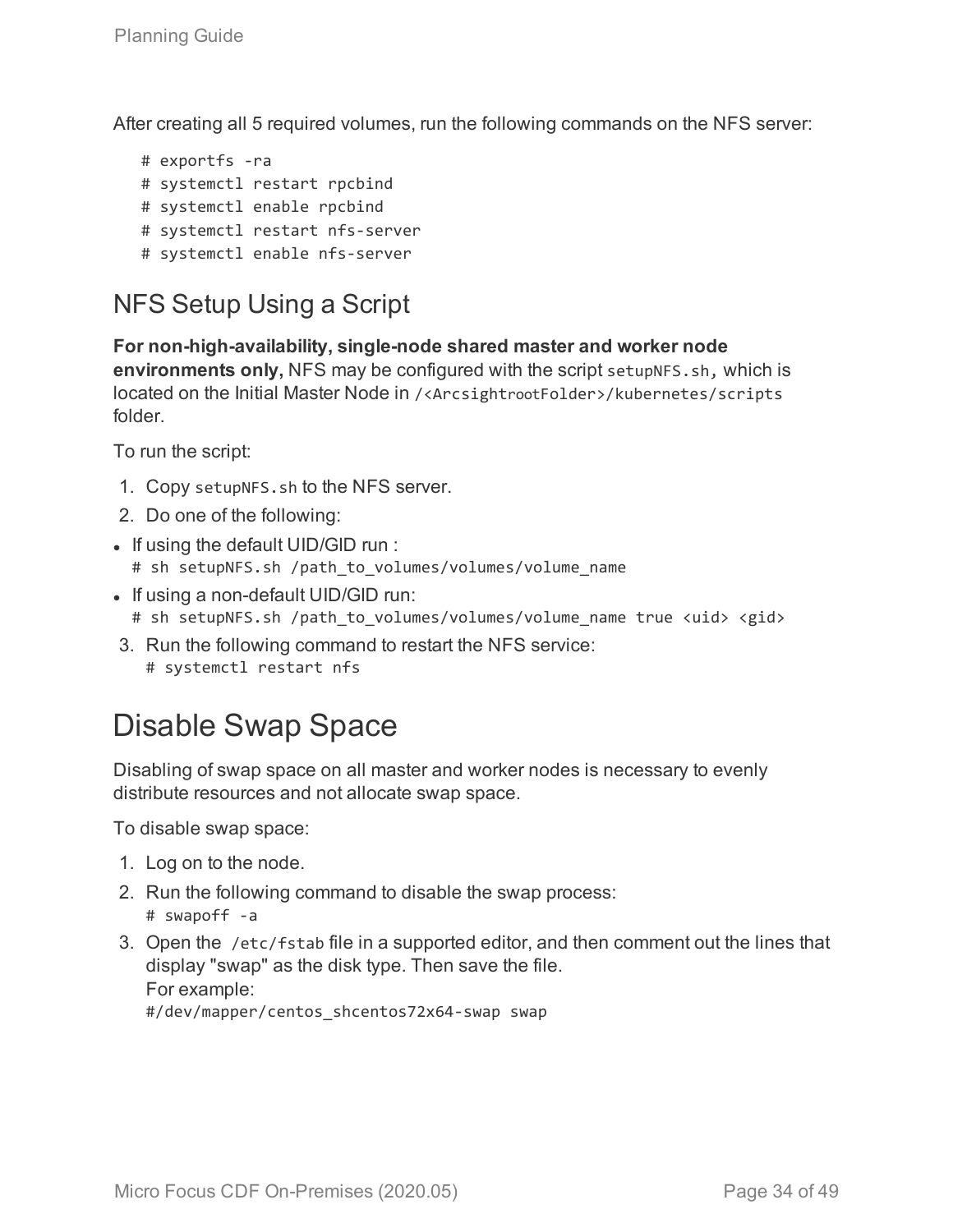After creating all 5 required volumes, run the following commands on the NFS server:

# exportfs -ra # systemctl restart rpcbind # systemctl enable rpcbind # systemctl restart nfs-server # systemctl enable nfs-server

### <span id="page-33-0"></span>NFS Setup Using a Script

**For non-high-availability, single-node shared master and worker node environments only,** NFS may be configured with the script setupNFS.sh, which is located on the Initial Master Node in /<ArcsightrootFolder>/kubernetes/scripts folder.

To run the script:

- 1. Copy setupNFS.sh to the NFS server.
- 2. Do one of the following:
- If using the default UID/GID run : # sh setupNFS.sh /path to volumes/volumes/volume name
- If using a non-default UID/GID run:
	- # sh setupNFS.sh /path to volumes/volumes/volume name true <uid> <gid>
- 3. Run the following command to restart the NFS service: # systemctl restart nfs

# <span id="page-33-1"></span>Disable Swap Space

Disabling of swap space on all master and worker nodes is necessary to evenly distribute resources and not allocate swap space.

To disable swap space:

- 1. Log on to the node.
- 2. Run the following command to disable the swap process: # swapoff -a
- 3. Open the /etc/fstab file in a supported editor, and then comment out the lines that display "swap" as the disk type. Then save the file. For example:

#/dev/mapper/centos\_shcentos72x64-swap swap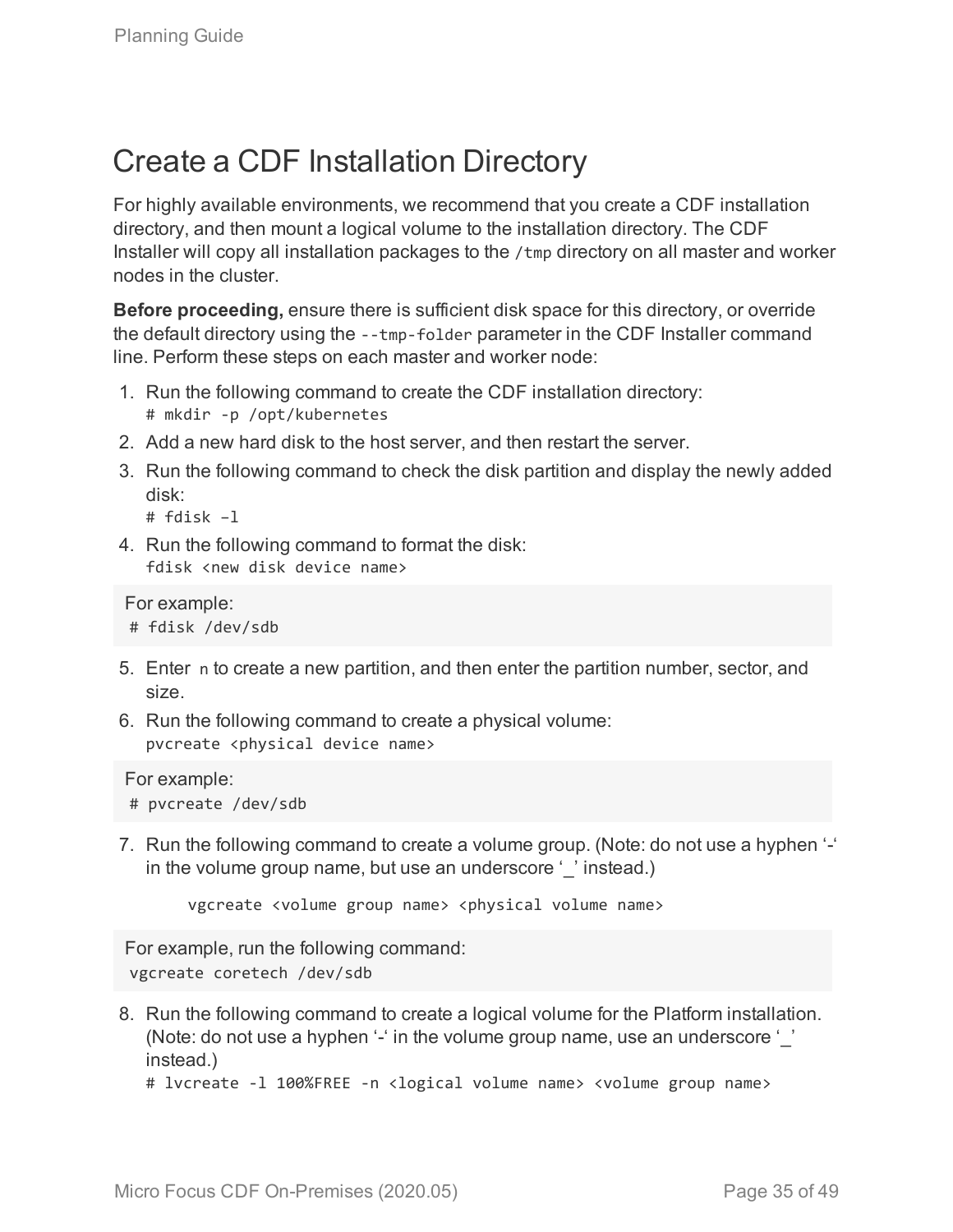# <span id="page-34-0"></span>Create a CDF Installation Directory

For highly available environments, we recommend that you create a CDF installation directory, and then mount a logical volume to the installation directory. The CDF Installer will copy all installation packages to the /tmp directory on all master and worker nodes in the cluster.

**Before proceeding,** ensure there is sufficient disk space for this directory, or override the default directory using the --tmp-folder parameter in the CDF Installer command line. Perform these steps on each master and worker node:

- 1. Run the following command to create the CDF installation directory: # mkdir -p /opt/kubernetes
- 2. Add a new hard disk to the host server, and then restart the server.
- 3. Run the following command to check the disk partition and display the newly added disk:

# fdisk –l

4. Run the following command to format the disk: fdisk <new disk device name>

```
For example:
# fdisk /dev/sdb
```
- 5. Enter n to create a new partition, and then enter the partition number, sector, and size.
- 6. Run the following command to create a physical volume: pvcreate <physical device name>

For example: # pvcreate /dev/sdb

7. Run the following command to create a volume group. (Note: do not use a hyphen '-' in the volume group name, but use an underscore ' ' instead.)

```
vgcreate <volume group name> <physical volume name>
```
For example, run the following command: vgcreate coretech /dev/sdb

8. Run the following command to create a logical volume for the Platform installation. (Note: do not use a hyphen '-' in the volume group name, use an underscore '' instead.)

```
# lvcreate -l 100%FREE -n <logical volume name> <volume group name>
```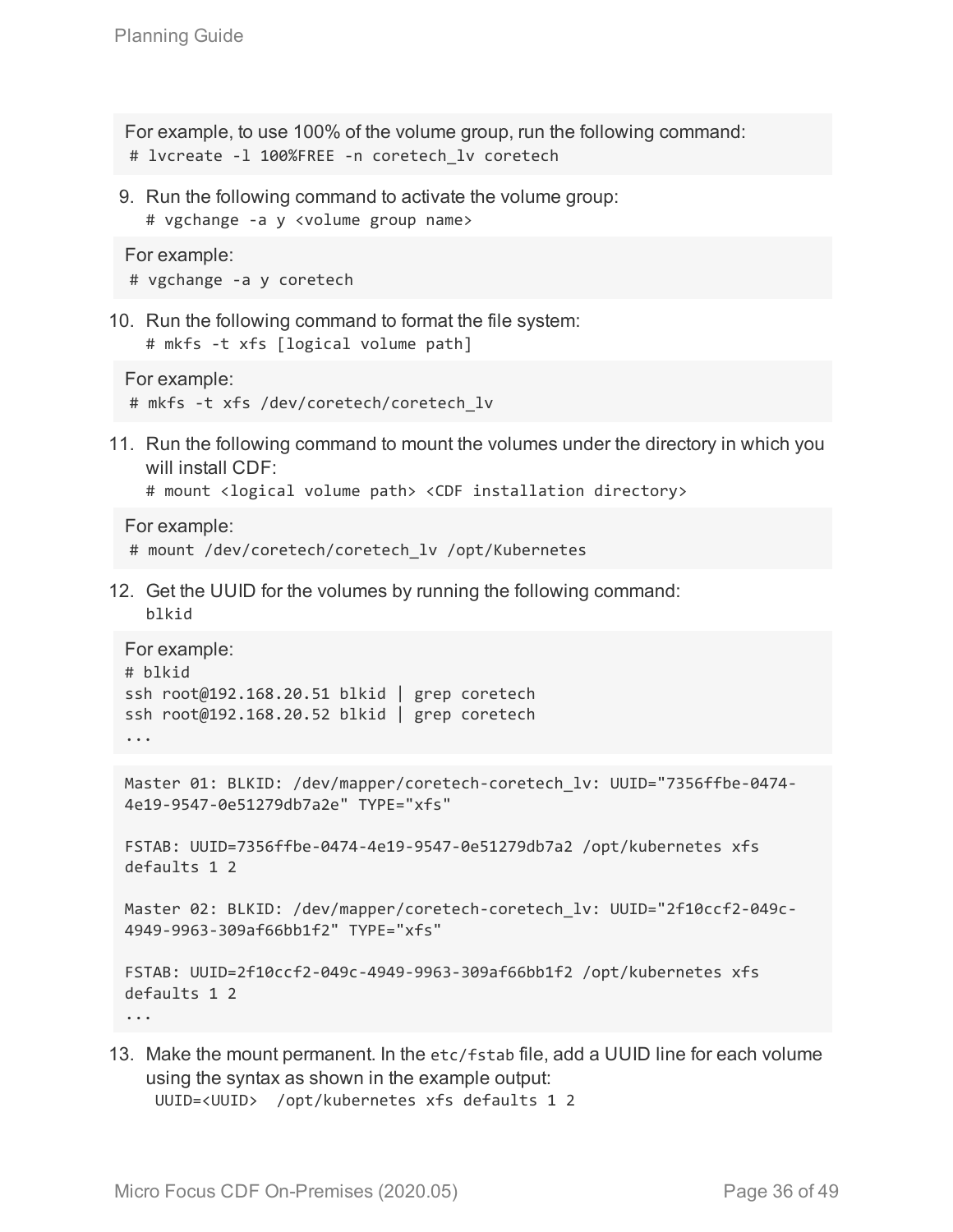For example, to use 100% of the volume group, run the following command: # lvcreate -l 100%FREE -n coretech\_lv coretech

9. Run the following command to activate the volume group: # vgchange -a y <volume group name>

```
For example:
# vgchange -a y coretech
```
10. Run the following command to format the file system:

```
# mkfs -t xfs [logical volume path]
```

```
For example:
# mkfs -t xfs /dev/coretech/coretech_lv
```
11. Run the following command to mount the volumes under the directory in which you will install CDF:

```
# mount <logical volume path> <CDF installation directory>
```
For example:

```
# mount /dev/coretech/coretech_lv /opt/Kubernetes
```
12. Get the UUID for the volumes by running the following command: blkid

```
For example:
# blkid
ssh root@192.168.20.51 blkid | grep coretech
ssh root@192.168.20.52 blkid | grep coretech
...
```

```
Master 01: BLKID: /dev/mapper/coretech-coretech lv: UUID="7356ffbe-0474-
4e19-9547-0e51279db7a2e" TYPE="xfs"
```

```
FSTAB: UUID=7356ffbe-0474-4e19-9547-0e51279db7a2 /opt/kubernetes xfs
defaults 1 2
```
Master 02: BLKID: /dev/mapper/coretech-coretech\_lv: UUID="2f10ccf2-049c-4949-9963-309af66bb1f2" TYPE="xfs"

```
FSTAB: UUID=2f10ccf2-049c-4949-9963-309af66bb1f2 /opt/kubernetes xfs
defaults 1 2
```
...

13. Make the mount permanent. In the etc/fstab file, add a UUID line for each volume using the syntax as shown in the example output: UUID=<UUID> /opt/kubernetes xfs defaults 1 2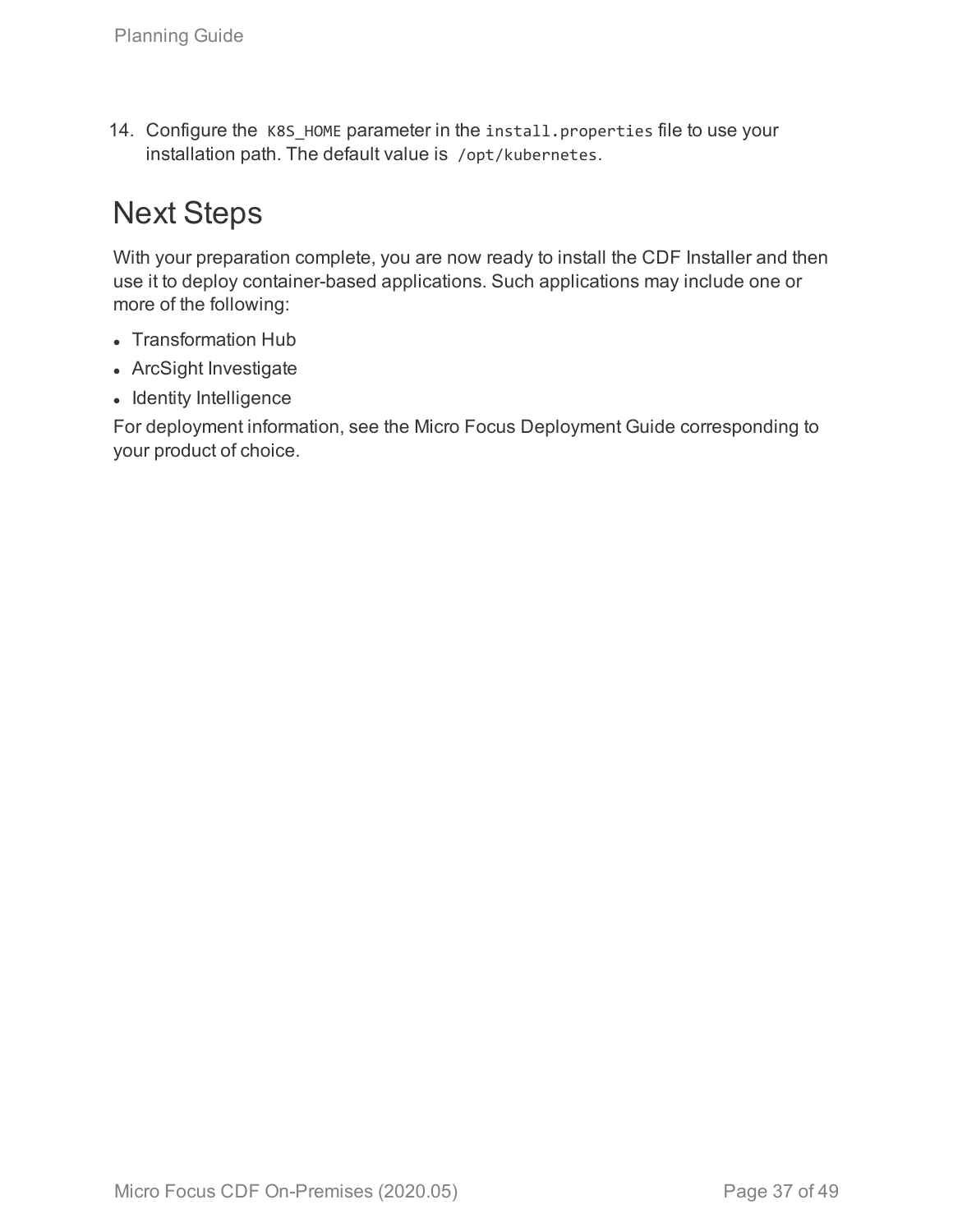14. Configure the K8S HOME parameter in the install.properties file to use your installation path. The default value is /opt/kubernetes.

# <span id="page-36-0"></span>Next Steps

With your preparation complete, you are now ready to install the CDF Installer and then use it to deploy container-based applications. Such applications may include one or more of the following:

- Transformation Hub
- ArcSight Investigate
- Identity Intelligence

For deployment information, see the Micro Focus Deployment Guide corresponding to your product of choice.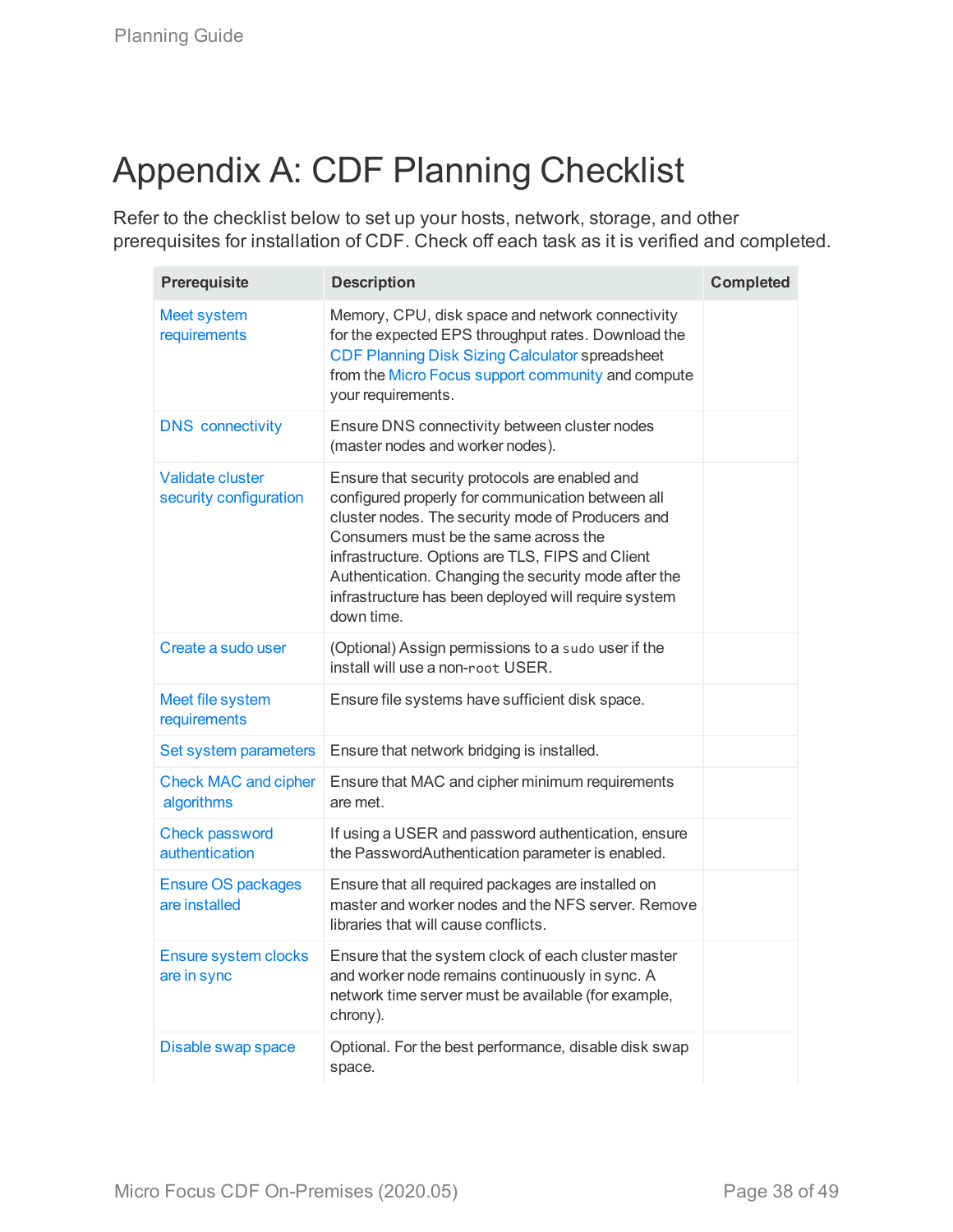# <span id="page-37-0"></span>Appendix A: CDF Planning Checklist

Refer to the checklist below to set up your hosts, network, storage, and other prerequisites for installation of CDF. Check off each task as it is verified and completed.

| Prerequisite                                      | <b>Description</b>                                                                                                                                                                                                                                                                                                                                                                  | <b>Completed</b> |
|---------------------------------------------------|-------------------------------------------------------------------------------------------------------------------------------------------------------------------------------------------------------------------------------------------------------------------------------------------------------------------------------------------------------------------------------------|------------------|
| <b>Meet system</b><br>requirements                | Memory, CPU, disk space and network connectivity<br>for the expected EPS throughput rates. Download the<br><b>CDF Planning Disk Sizing Calculator spreadsheet</b><br>from the Micro Focus support community and compute<br>your requirements.                                                                                                                                       |                  |
| <b>DNS</b> connectivity                           | Ensure DNS connectivity between cluster nodes<br>(master nodes and worker nodes).                                                                                                                                                                                                                                                                                                   |                  |
| <b>Validate cluster</b><br>security configuration | Ensure that security protocols are enabled and<br>configured properly for communication between all<br>cluster nodes. The security mode of Producers and<br>Consumers must be the same across the<br>infrastructure. Options are TLS, FIPS and Client<br>Authentication. Changing the security mode after the<br>infrastructure has been deployed will require system<br>down time. |                  |
| Create a sudo user                                | (Optional) Assign permissions to a sudo user if the<br>install will use a non-root USER.                                                                                                                                                                                                                                                                                            |                  |
| Meet file system<br>requirements                  | Ensure file systems have sufficient disk space.                                                                                                                                                                                                                                                                                                                                     |                  |
| Set system parameters                             | Ensure that network bridging is installed.                                                                                                                                                                                                                                                                                                                                          |                  |
| <b>Check MAC and cipher</b><br>algorithms         | Ensure that MAC and cipher minimum requirements<br>are met.                                                                                                                                                                                                                                                                                                                         |                  |
| <b>Check password</b><br>authentication           | If using a USER and password authentication, ensure<br>the PasswordAuthentication parameter is enabled.                                                                                                                                                                                                                                                                             |                  |
| <b>Ensure OS packages</b><br>are installed        | Ensure that all required packages are installed on<br>master and worker nodes and the NFS server. Remove<br>libraries that will cause conflicts.                                                                                                                                                                                                                                    |                  |
| Ensure system clocks<br>are in sync               | Ensure that the system clock of each cluster master<br>and worker node remains continuously in sync. A<br>network time server must be available (for example,<br>chrony).                                                                                                                                                                                                           |                  |
| Disable swap space                                | Optional. For the best performance, disable disk swap<br>space.                                                                                                                                                                                                                                                                                                                     |                  |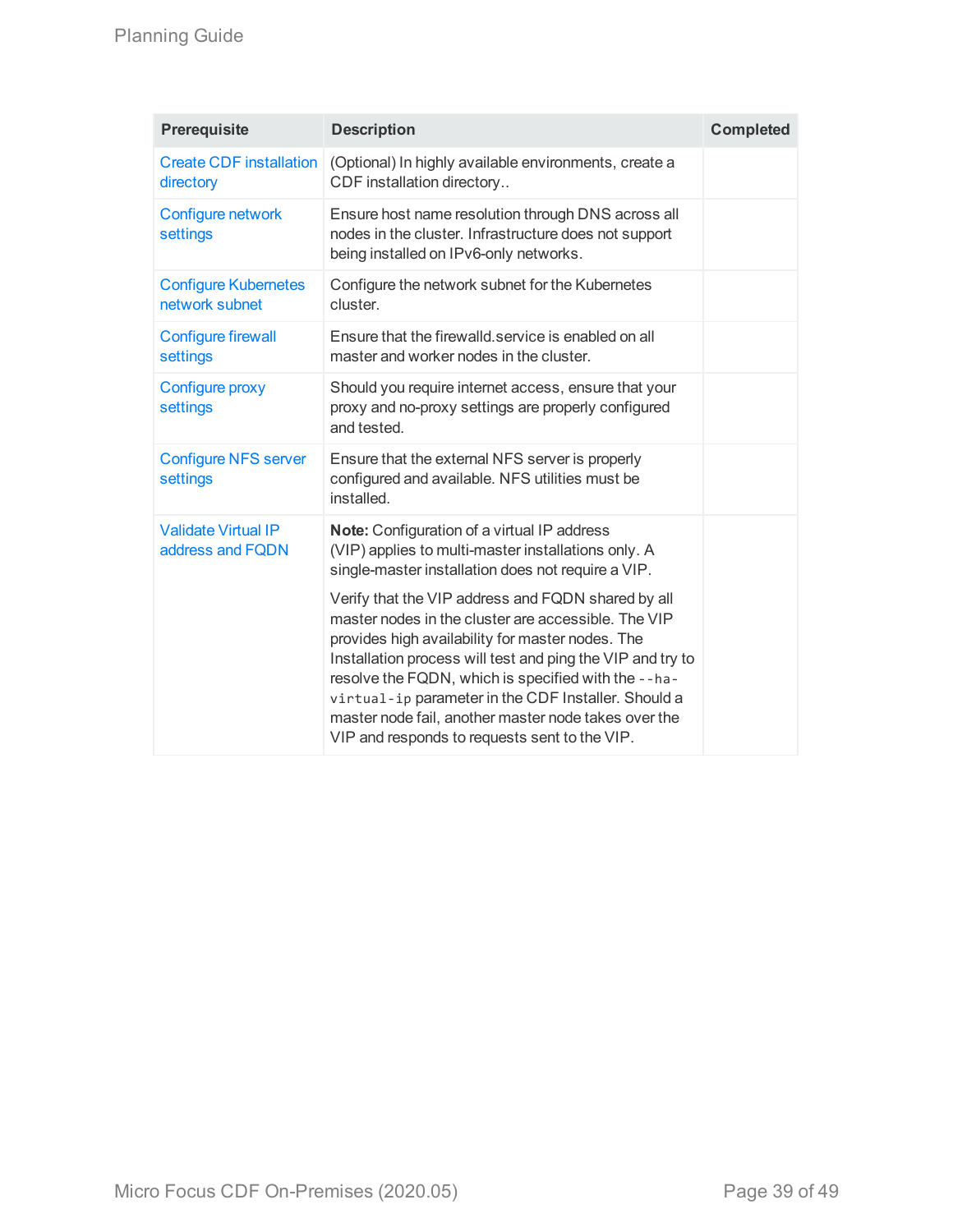| Prerequisite                                   | <b>Description</b>                                                                                                                                                                                                                                                                                                                                                                                                                                 | <b>Completed</b> |
|------------------------------------------------|----------------------------------------------------------------------------------------------------------------------------------------------------------------------------------------------------------------------------------------------------------------------------------------------------------------------------------------------------------------------------------------------------------------------------------------------------|------------------|
| <b>Create CDF installation</b><br>directory    | (Optional) In highly available environments, create a<br>CDF installation directory                                                                                                                                                                                                                                                                                                                                                                |                  |
| Configure network<br>settings                  | Ensure host name resolution through DNS across all<br>nodes in the cluster. Infrastructure does not support<br>being installed on IPv6-only networks.                                                                                                                                                                                                                                                                                              |                  |
| <b>Configure Kubernetes</b><br>network subnet  | Configure the network subnet for the Kubernetes<br>cluster.                                                                                                                                                                                                                                                                                                                                                                                        |                  |
| <b>Configure firewall</b><br>settings          | Ensure that the firewalld service is enabled on all<br>master and worker nodes in the cluster.                                                                                                                                                                                                                                                                                                                                                     |                  |
| Configure proxy<br>settings                    | Should you require internet access, ensure that your<br>proxy and no-proxy settings are properly configured<br>and tested.                                                                                                                                                                                                                                                                                                                         |                  |
| <b>Configure NFS server</b><br>settings        | Ensure that the external NFS server is properly<br>configured and available. NFS utilities must be<br>installed.                                                                                                                                                                                                                                                                                                                                   |                  |
| <b>Validate Virtual IP</b><br>address and FQDN | Note: Configuration of a virtual IP address<br>(VIP) applies to multi-master installations only. A<br>single-master installation does not require a VIP.                                                                                                                                                                                                                                                                                           |                  |
|                                                | Verify that the VIP address and FQDN shared by all<br>master nodes in the cluster are accessible. The VIP<br>provides high availability for master nodes. The<br>Installation process will test and ping the VIP and try to<br>resolve the FQDN, which is specified with the --ha-<br>virtual-ip parameter in the CDF Installer. Should a<br>master node fail, another master node takes over the<br>VIP and responds to requests sent to the VIP. |                  |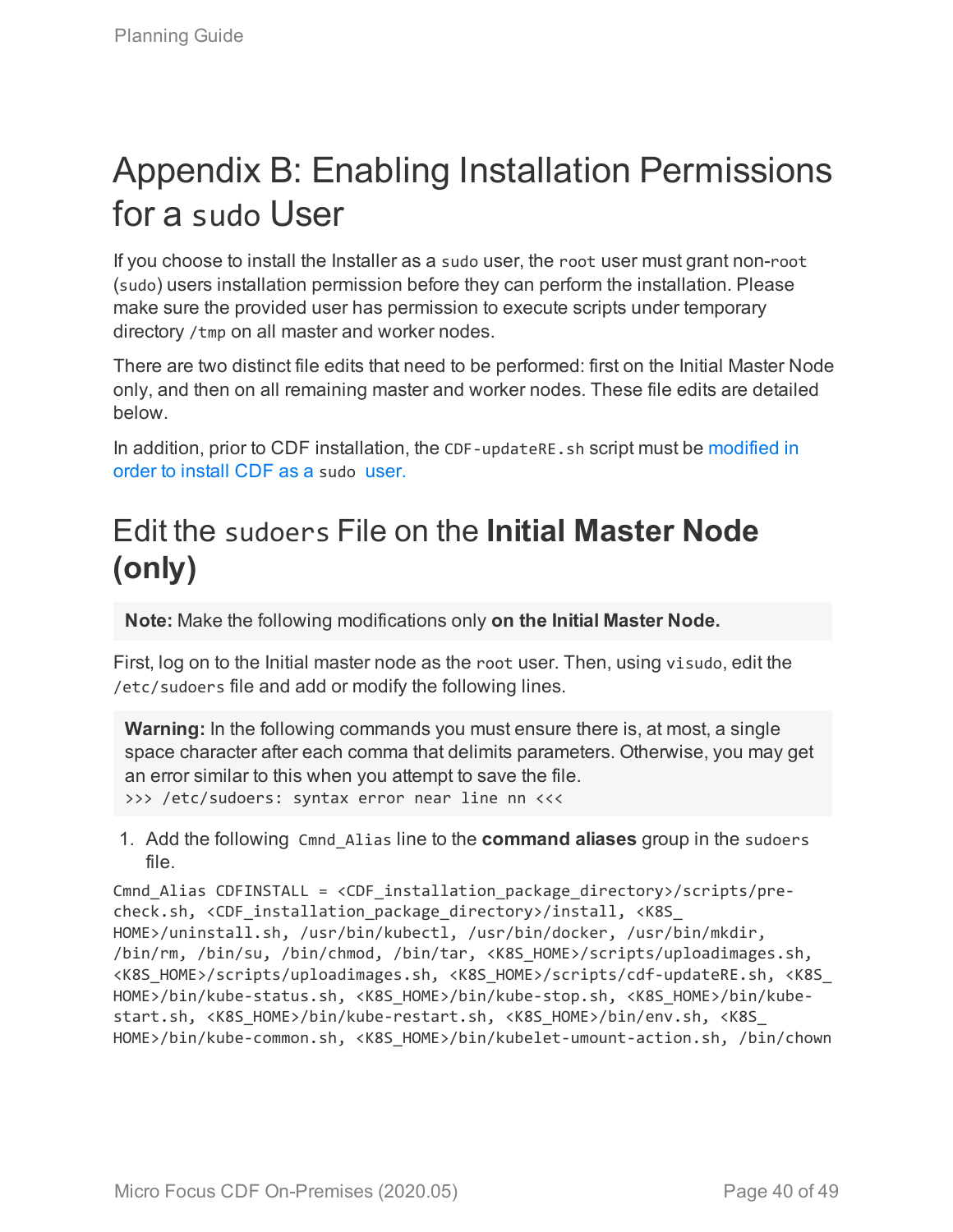# <span id="page-39-0"></span>Appendix B: Enabling Installation Permissions for a sudo User

If you choose to install the Installer as a sudo user, the root user must grant non-root (sudo) users installation permission before they can perform the installation. Please make sure the provided user has permission to execute scripts under temporary directory /tmp on all master and worker nodes.

There are two distinct file edits that need to be performed: first on the Initial Master Node only, and then on all remaining master and worker nodes. These file edits are detailed below.

In addition, prior to CDF installation, the CDF-updateRE.sh script must be [modified](#page-41-0) in order to [install](#page-41-0) CDF as a sudo user.

# <span id="page-39-1"></span>Edit the sudoers File on the **Initial Master Node (only)**

**Note:** Make the following modifications only **on the Initial Master Node.**

First, log on to the Initial master node as the root user. Then, using visudo, edit the /etc/sudoers file and add or modify the following lines.

**Warning:** In the following commands you must ensure there is, at most, a single space character after each comma that delimits parameters. Otherwise, you may get an error similar to this when you attempt to save the file. >>> /etc/sudoers: syntax error near line nn <<<

1. Add the following Cmnd\_Alias line to the **command aliases** group in the sudoers file.

Cmnd Alias CDFINSTALL = <CDF installation package directory>/scripts/precheck.sh, <CDF installation package directory>/install, <K8S HOME>/uninstall.sh, /usr/bin/kubectl, /usr/bin/docker, /usr/bin/mkdir, /bin/rm, /bin/su, /bin/chmod, /bin/tar, <K8S\_HOME>/scripts/uploadimages.sh, <K8S\_HOME>/scripts/uploadimages.sh, <K8S\_HOME>/scripts/cdf-updateRE.sh, <K8S\_ HOME>/bin/kube-status.sh, <K8S\_HOME>/bin/kube-stop.sh, <K8S\_HOME>/bin/kubestart.sh, <K8S HOME>/bin/kube-restart.sh, <K8S HOME>/bin/env.sh, <K8S HOME>/bin/kube-common.sh, <K8S\_HOME>/bin/kubelet-umount-action.sh, /bin/chown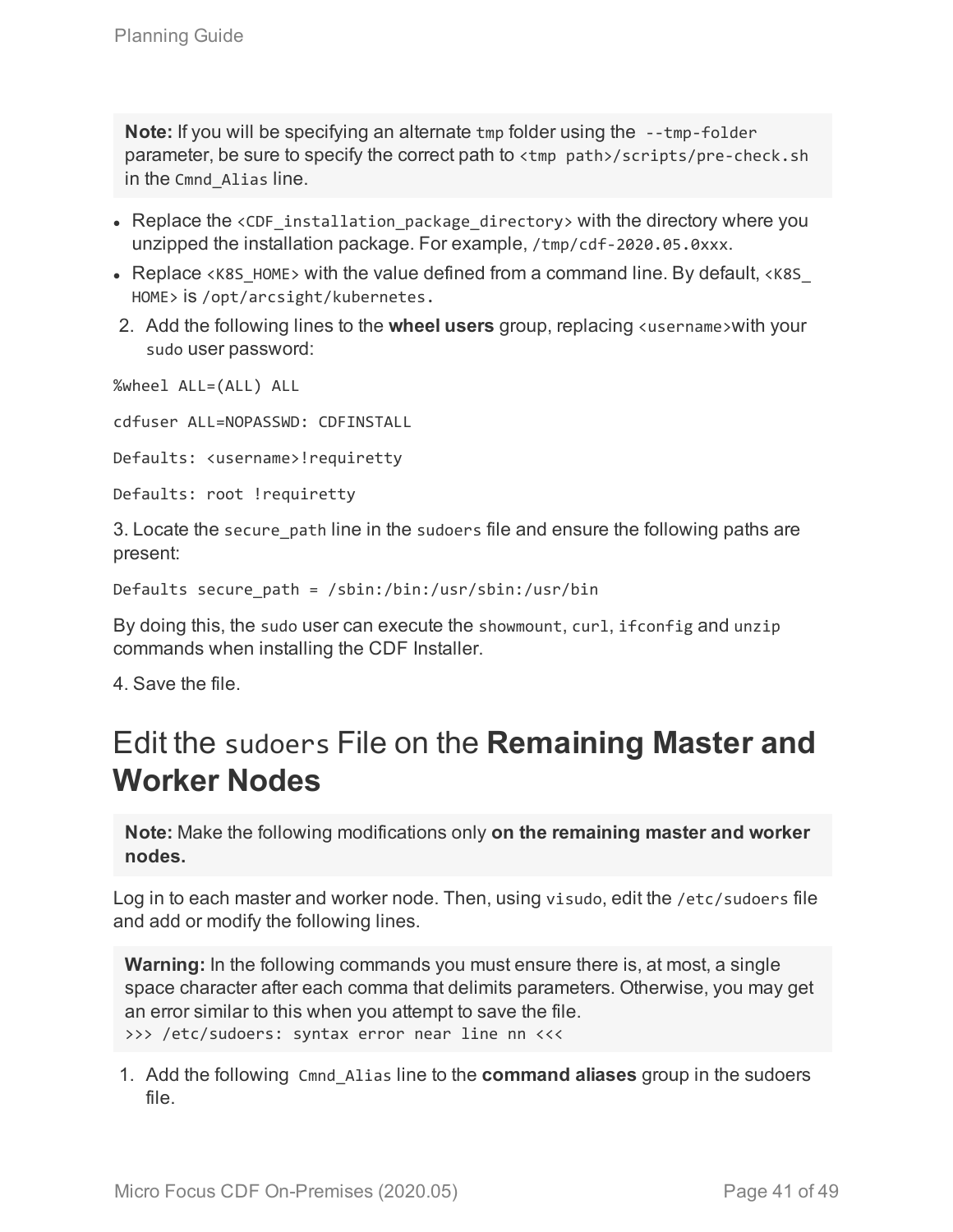**Note:** If you will be specifying an alternate tmp folder using the --tmp-folder parameter, be sure to specify the correct path to <tmp path>/scripts/pre-check.sh in the Cmnd\_Alias line.

- Replace the  $\langle$ CDF installation package directory> with the directory where you unzipped the installation package. For example, /tmp/cdf-2020.05.0xxx.
- Replace  $\langle K8S$  HOME> with the value defined from a command line. By default,  $\langle K8S$ HOME> is /opt/arcsight/kubernetes.
- 2. Add the following lines to the **wheel users** group, replacing <username>with your sudo user password:

%wheel ALL=(ALL) ALL

cdfuser ALL=NOPASSWD: CDFINSTALL

Defaults: <username>!requiretty

Defaults: root !requiretty

3. Locate the secure path line in the sudoers file and ensure the following paths are present:

Defaults secure\_path = /sbin:/bin:/usr/sbin:/usr/bin

By doing this, the sudo user can execute the showmount, curl, ifconfig and unzip commands when installing the CDF Installer.

<span id="page-40-0"></span>4. Save the file.

# Edit the sudoers File on the **Remaining Master and Worker Nodes**

**Note:** Make the following modifications only **on the remaining master and worker nodes.**

Log in to each master and worker node. Then, using visudo, edit the /etc/sudoers file and add or modify the following lines.

**Warning:** In the following commands you must ensure there is, at most, a single space character after each comma that delimits parameters. Otherwise, you may get an error similar to this when you attempt to save the file. >>> /etc/sudoers: syntax error near line nn <<<

1. Add the following Cmnd\_Alias line to the **command aliases** group in the sudoers file.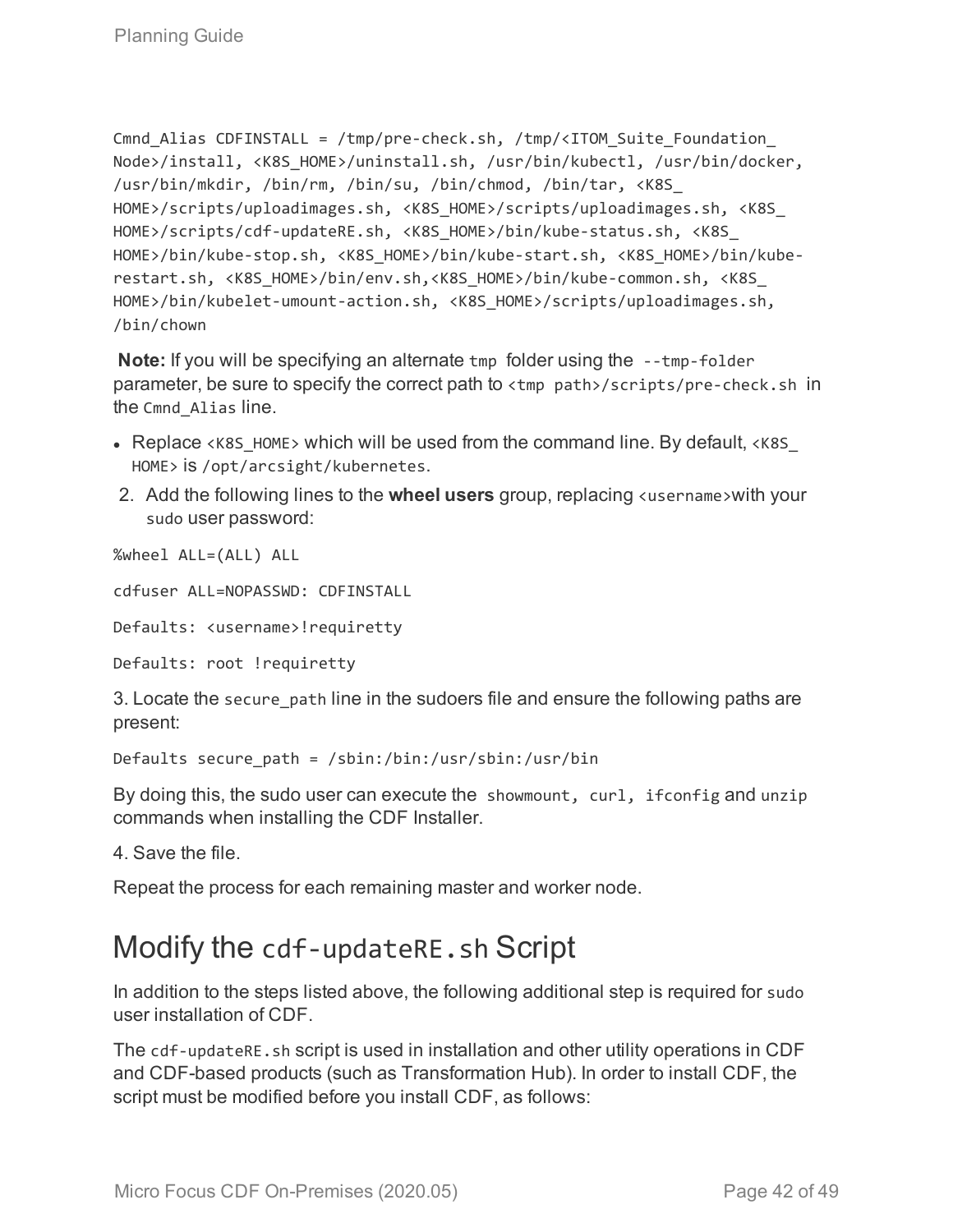```
Cmnd Alias CDFINSTALL = /tmp/pre-check.sh, /tmp/<ITOM Suite Foundation
Node>/install, <K8S_HOME>/uninstall.sh, /usr/bin/kubectl, /usr/bin/docker,
/usr/bin/mkdir, /bin/rm, /bin/su, /bin/chmod, /bin/tar, <K8S_
HOME>/scripts/uploadimages.sh, <K8S_HOME>/scripts/uploadimages.sh, <K8S_
HOME>/scripts/cdf-updateRE.sh, <K8S_HOME>/bin/kube-status.sh, <K8S_
HOME>/bin/kube-stop.sh, <K8S_HOME>/bin/kube-start.sh, <K8S_HOME>/bin/kube-
restart.sh, <K8S_HOME>/bin/env.sh,<K8S_HOME>/bin/kube-common.sh, <K8S_
HOME>/bin/kubelet-umount-action.sh, <K8S_HOME>/scripts/uploadimages.sh,
/bin/chown
```
**Note:** If you will be specifying an alternate tmp folder using the --tmp-folder parameter, be sure to specify the correct path to <tmp path>/scripts/pre-check.sh in the Cmnd\_Alias line.

- Replace <K8S HOME> which will be used from the command line. By default, <K8S HOME> is /opt/arcsight/kubernetes.
- 2. Add the following lines to the **wheel users** group, replacing <username>with your sudo user password:

%wheel ALL=(ALL) ALL

cdfuser ALL=NOPASSWD: CDFINSTALL

Defaults: <username>!requiretty

Defaults: root !requiretty

3. Locate the secure path line in the sudoers file and ensure the following paths are present:

Defaults secure\_path = /sbin:/bin:/usr/sbin:/usr/bin

By doing this, the sudo user can execute the showmount, curl, ifconfig and unzip commands when installing the CDF Installer.

4. Save the file.

<span id="page-41-0"></span>Repeat the process for each remaining master and worker node.

## Modify the cdf-updateRE.sh Script

In addition to the steps listed above, the following additional step is required for sudo user installation of CDF.

The cdf-updateRE.sh script is used in installation and other utility operations in CDF and CDF-based products (such as Transformation Hub). In order to install CDF, the script must be modified before you install CDF, as follows: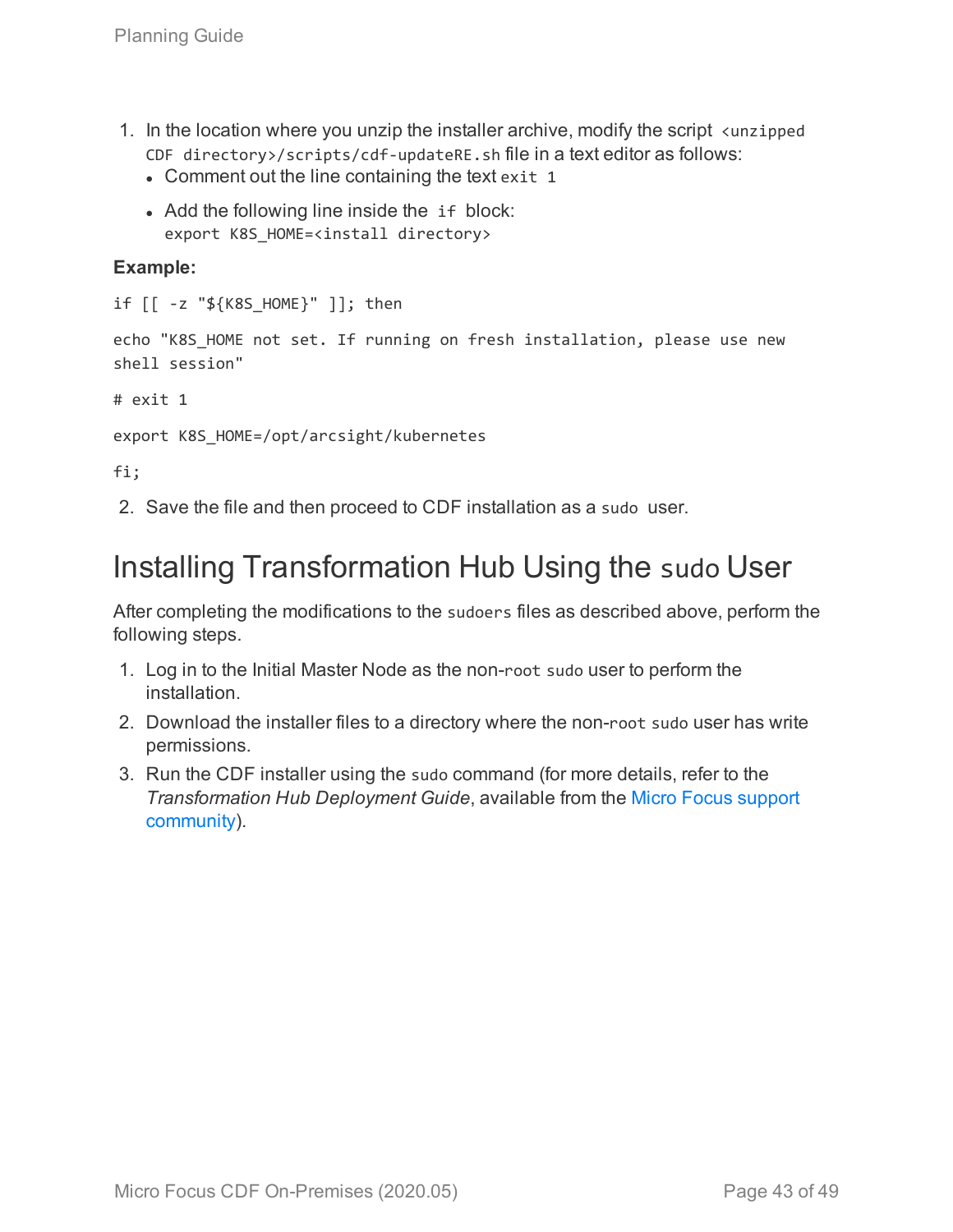- 1. In the location where you unzip the installer archive, modify the script <unzipped CDF directory>/scripts/cdf-updateRE.sh file in a text editor as follows:
	- $\bullet$  Comment out the line containing the text exit 1
	- Add the following line inside the if block: export K8S HOME=<install directory>

#### **Example:**

```
if [[ -z "${K8S_HOME}" ]]; then
```
echo "K8S HOME not set. If running on fresh installation, please use new shell session"

# exit 1

export K8S\_HOME=/opt/arcsight/kubernetes

fi;

<span id="page-42-0"></span>2. Save the file and then proceed to CDF installation as a sudo user.

# Installing Transformation Hub Using the sudo User

After completing the modifications to the sudoers files as described above, perform the following steps.

- 1. Log in to the Initial Master Node as the non-root sudo user to perform the installation.
- 2. Download the installer files to a directory where the non-root sudo user has write permissions.
- 3. Run the CDF installer using the sudo command (for more details, refer to the *Transformation Hub Deployment Guide*, available from the [Micro Focus](https://community.softwaregrp.com/t5/ArcSight-Product-Documentation/ct-p/productdocs) support [community\)](https://community.softwaregrp.com/t5/ArcSight-Product-Documentation/ct-p/productdocs).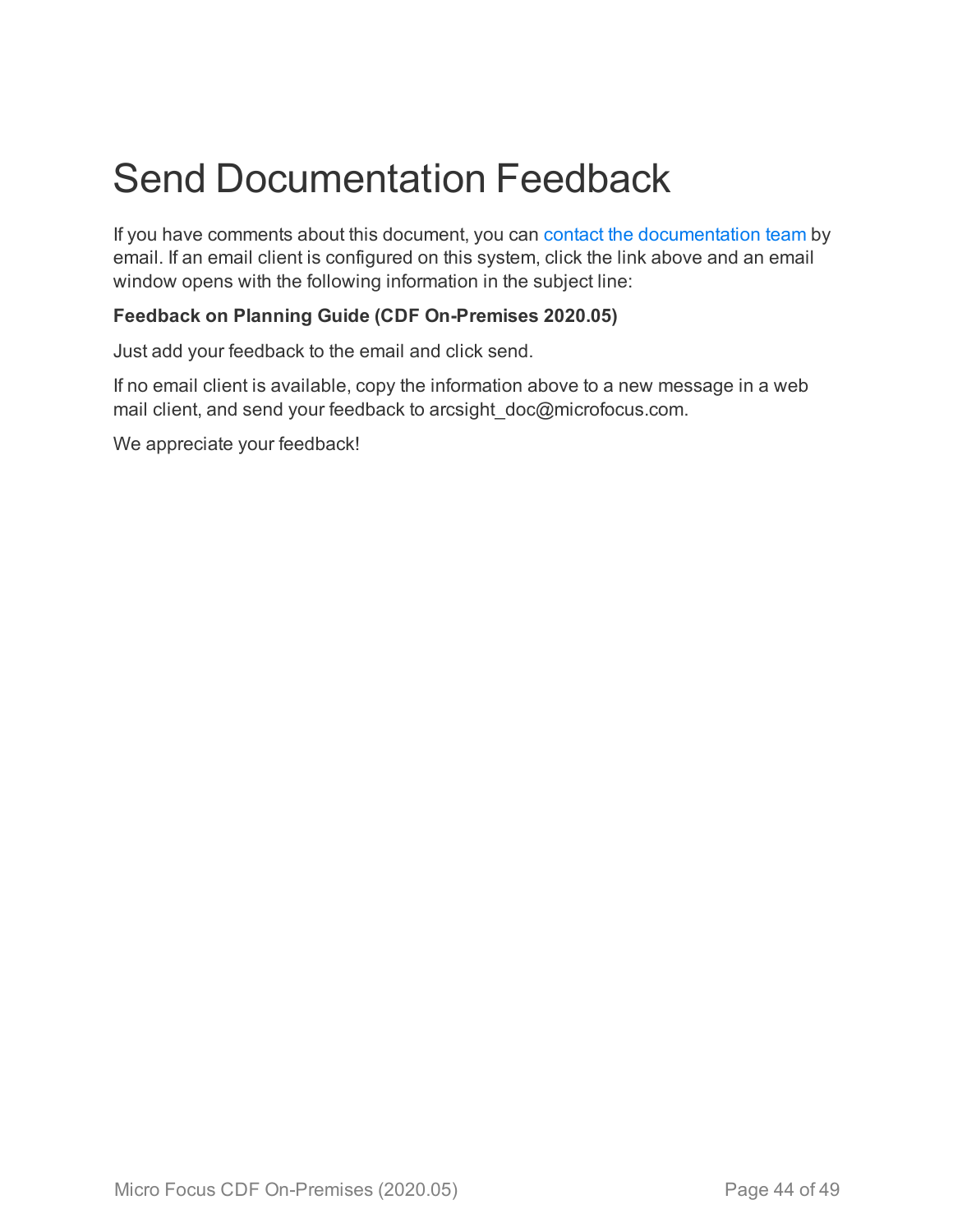# <span id="page-43-0"></span>Send Documentation Feedback

If you have comments about this document, you can contact the [documentation](mailto:arcsight_doc@microfocus.com?subject=Feedback on Planning Guide (CDF On-Premises 2020.05)) team by email. If an email client is configured on this system, click the link above and an email window opens with the following information in the subject line:

#### **Feedback on Planning Guide (CDF On-Premises 2020.05)**

Just add your feedback to the email and click send.

If no email client is available, copy the information above to a new message in a web mail client, and send your feedback to arcsight\_doc@microfocus.com.

We appreciate your feedback!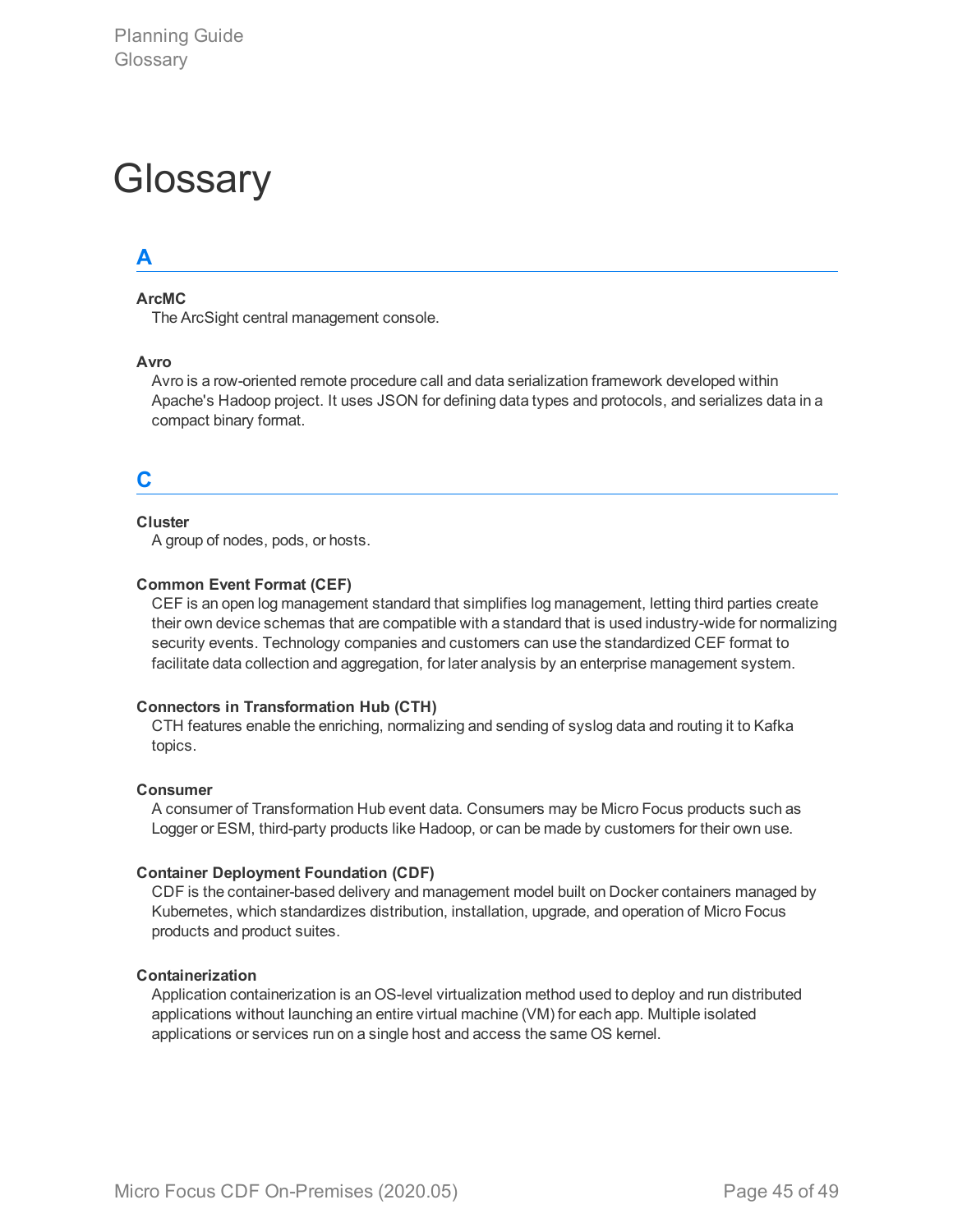# <span id="page-44-0"></span>**Glossary**

### **A**

#### **ArcMC**

The ArcSight central management console.

#### **Avro**

Avro is a row-oriented remote procedure call and data serialization framework developed within Apache's Hadoop project. It uses JSON for defining data types and protocols, and serializes data in a compact binary format.

#### **C**

#### **Cluster**

A group of nodes, pods, or hosts.

#### **Common Event Format (CEF)**

CEF is an open log management standard that simplifies log management, letting third parties create their own device schemas that are compatible with a standard that is used industry-wide for normalizing security events. Technology companies and customers can use the standardized CEF format to facilitate data collection and aggregation, for later analysis by an enterprise management system.

#### **Connectors in Transformation Hub (CTH)**

CTH features enable the enriching, normalizing and sending of syslog data and routing it to Kafka topics.

#### **Consumer**

A consumer of Transformation Hub event data. Consumers may be Micro Focus products such as Logger or ESM, third-party products like Hadoop, or can be made by customers for their own use.

#### **Container Deployment Foundation (CDF)**

CDF is the container-based delivery and management model built on Docker containers managed by Kubernetes, which standardizes distribution, installation, upgrade, and operation of Micro Focus products and product suites.

#### **Containerization**

Application containerization is an OS-level virtualization method used to deploy and run distributed applications without launching an entire virtual machine (VM) for each app. Multiple isolated applications or services run on a single host and access the same OS kernel.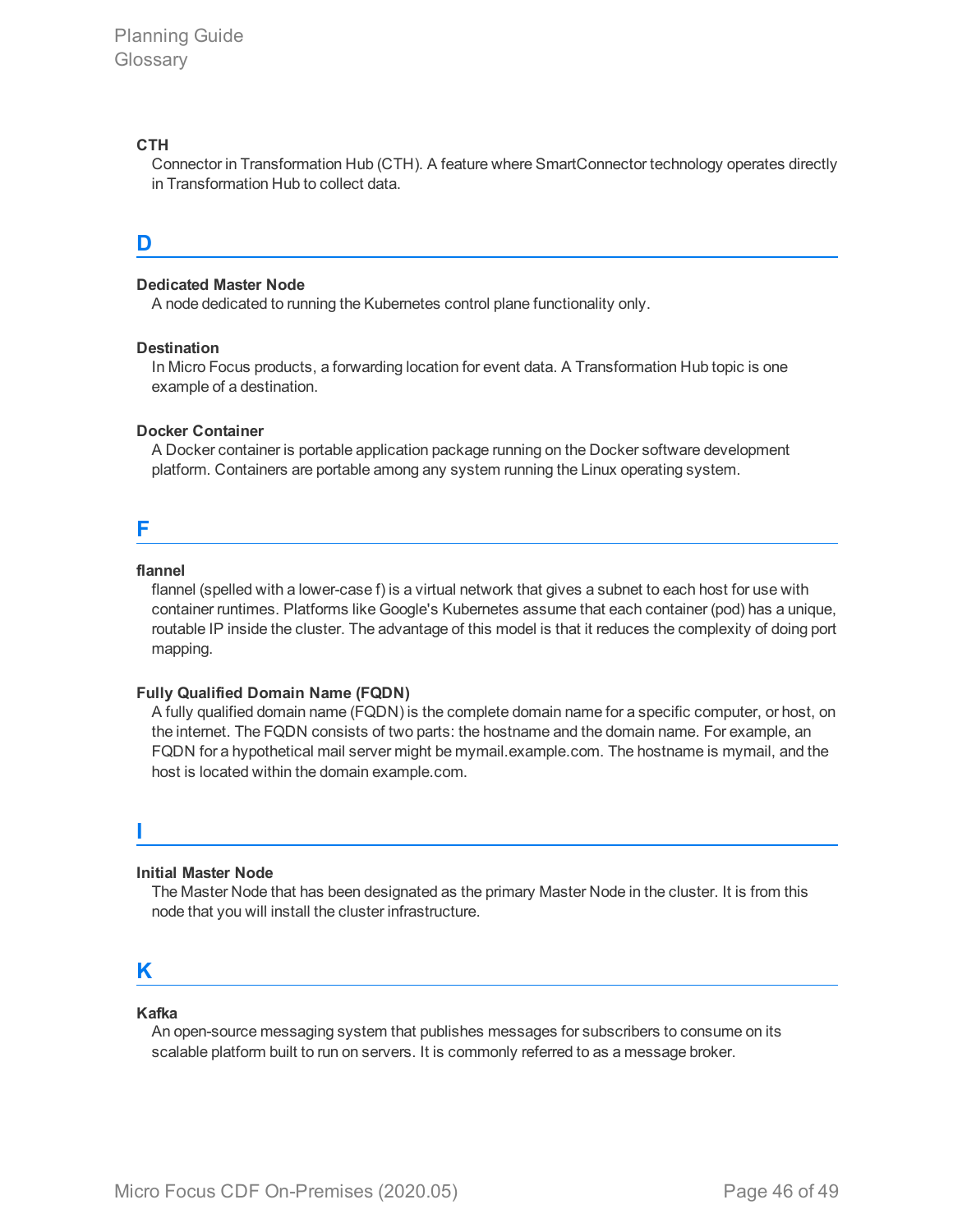#### **CTH**

Connector in Transformation Hub (CTH). A feature where SmartConnector technology operates directly in Transformation Hub to collect data.

#### **D**

#### **Dedicated Master Node**

A node dedicated to running the Kubernetes control plane functionality only.

#### **Destination**

In Micro Focus products, a forwarding location for event data. A Transformation Hub topic is one example of a destination.

#### **Docker Container**

A Docker container is portable application package running on the Docker software development platform. Containers are portable among any system running the Linux operating system.

#### **F**

#### **flannel**

flannel (spelled with a lower-case f) is a virtual network that gives a subnet to each host for use with container runtimes. Platforms like Google's Kubernetes assume that each container (pod) has a unique, routable IP inside the cluster. The advantage of this model is that it reduces the complexity of doing port mapping.

#### **Fully Qualified Domain Name (FQDN)**

A fully qualified domain name (FQDN) is the complete domain name for a specific computer, or host, on the internet. The FQDN consists of two parts: the hostname and the domain name. For example, an FQDN for a hypothetical mail server might be mymail.example.com. The hostname is mymail, and the host is located within the domain example.com.

#### **I**

#### **Initial Master Node**

The Master Node that has been designated as the primary Master Node in the cluster. It is from this node that you will install the cluster infrastructure.

#### **K**

#### **Kafka**

An open-source messaging system that publishes messages for subscribers to consume on its scalable platform built to run on servers. It is commonly referred to as a message broker.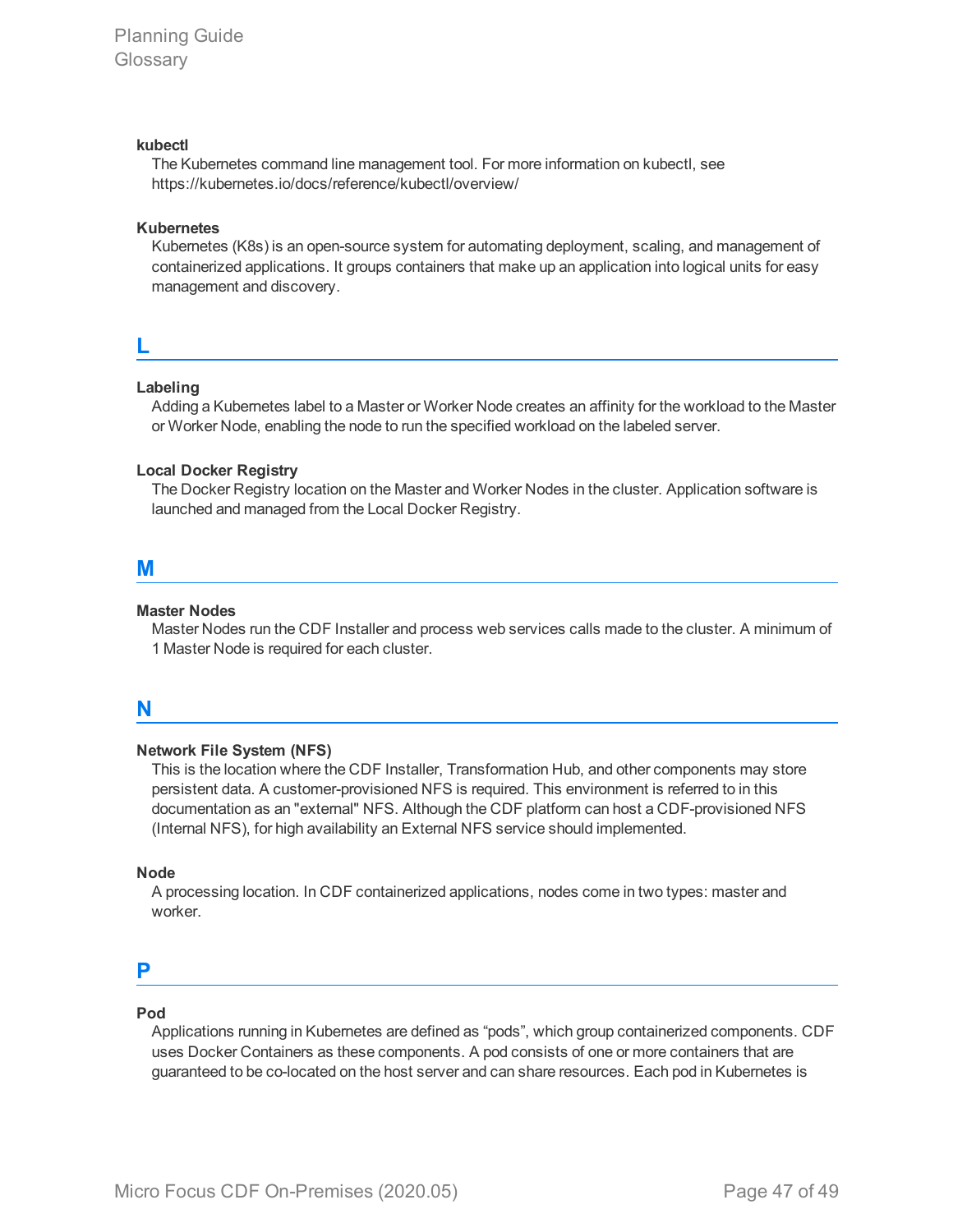#### **kubectl**

The Kubernetes command line management tool. For more information on kubectl, see https://kubernetes.io/docs/reference/kubectl/overview/

#### **Kubernetes**

Kubernetes (K8s) is an open-source system for automating deployment, scaling, and management of containerized applications. It groups containers that make up an application into logical units for easy management and discovery.

#### **L**

#### **Labeling**

Adding a Kubernetes label to a Master or Worker Node creates an affinity for the workload to the Master or Worker Node, enabling the node to run the specified workload on the labeled server.

#### **Local Docker Registry**

The Docker Registry location on the Master and Worker Nodes in the cluster. Application software is launched and managed from the Local Docker Registry.

#### **M**

#### **Master Nodes**

Master Nodes run the CDF Installer and process web services calls made to the cluster. A minimum of 1 Master Node is required for each cluster.

#### **N**

#### **Network File System (NFS)**

This is the location where the CDF Installer, Transformation Hub, and other components may store persistent data. A customer-provisioned NFS is required. This environment is referred to in this documentation as an "external" NFS. Although the CDF platform can host a CDF-provisioned NFS (Internal NFS), for high availability an External NFS service should implemented.

#### **Node**

A processing location. In CDF containerized applications, nodes come in two types: master and worker.

#### **P**

#### **Pod**

Applications running in Kubernetes are defined as "pods", which group containerized components. CDF uses Docker Containers as these components. A pod consists of one or more containers that are guaranteed to be co-located on the host server and can share resources. Each pod in Kubernetes is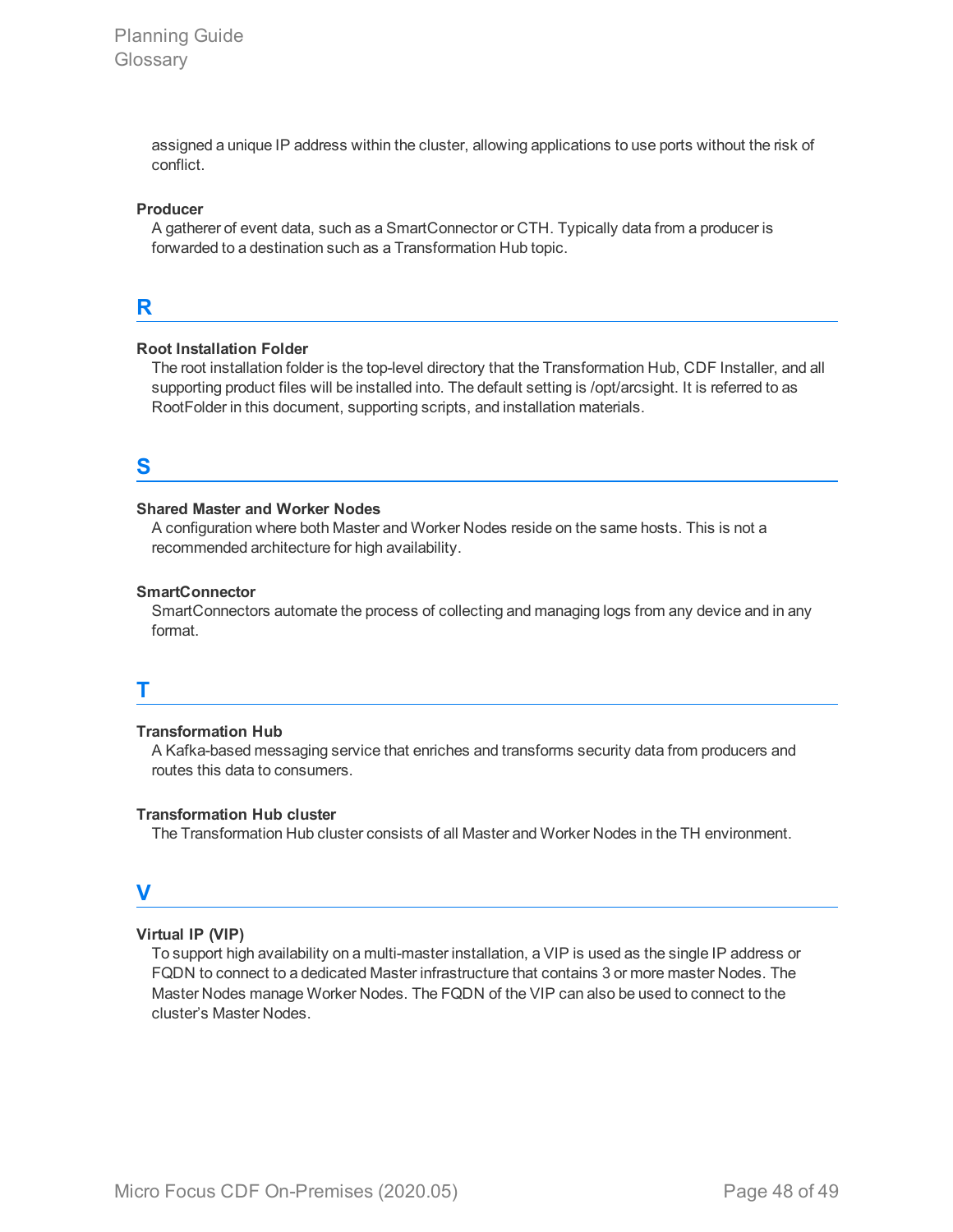assigned a unique IP address within the cluster, allowing applications to use ports without the risk of conflict.

#### **Producer**

A gatherer of event data, such as a SmartConnector or CTH. Typically data from a producer is forwarded to a destination such as a Transformation Hub topic.

#### **R**

#### **Root Installation Folder**

The root installation folder is the top-level directory that the Transformation Hub, CDF Installer, and all supporting product files will be installed into. The default setting is /opt/arcsight. It is referred to as RootFolder in this document, supporting scripts, and installation materials.

### **S**

#### **Shared Master and Worker Nodes**

A configuration where both Master and Worker Nodes reside on the same hosts. This is not a recommended architecture for high availability.

#### **SmartConnector**

SmartConnectors automate the process of collecting and managing logs from any device and in any format.

#### **T**

#### **Transformation Hub**

A Kafka-based messaging service that enriches and transforms security data from producers and routes this data to consumers.

#### **Transformation Hub cluster**

The Transformation Hub cluster consists of all Master and Worker Nodes in the TH environment.

### **V**

#### **Virtual IP (VIP)**

To support high availability on a multi-master installation, a VIP is used as the single IP address or FQDN to connect to a dedicated Master infrastructure that contains 3 or more master Nodes. The Master Nodes manage Worker Nodes. The FQDN of the VIP can also be used to connect to the cluster's Master Nodes.